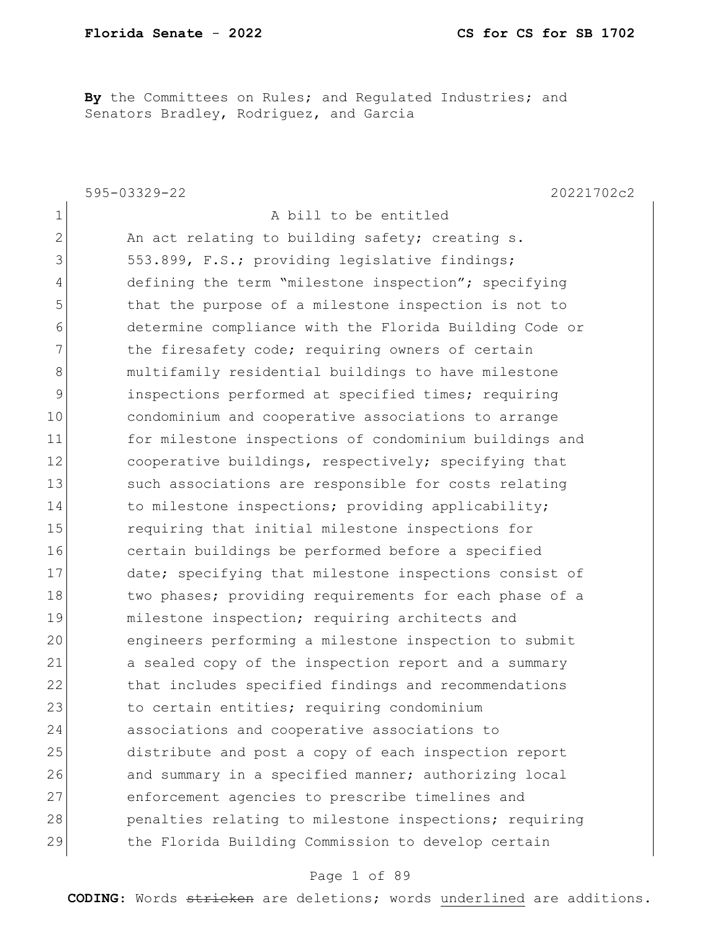**By** the Committees on Rules; and Regulated Industries; and Senators Bradley, Rodriguez, and Garcia

595-03329-22 20221702c2 1 A bill to be entitled 2 An act relating to building safety; creating s. 3 553.899, F.S.; providing legislative findings; 4 defining the term "milestone inspection"; specifying 5 that the purpose of a milestone inspection is not to 6 determine compliance with the Florida Building Code or 7 The firesafety code; requiring owners of certain 8 multifamily residential buildings to have milestone 9 inspections performed at specified times; requiring 10 condominium and cooperative associations to arrange 11 for milestone inspections of condominium buildings and 12 cooperative buildings, respectively; specifying that 13 such associations are responsible for costs relating 14 to milestone inspections; providing applicability; 15 15 requiring that initial milestone inspections for 16 certain buildings be performed before a specified 17 date; specifying that milestone inspections consist of 18 two phases; providing requirements for each phase of a 19 milestone inspection; requiring architects and 20 engineers performing a milestone inspection to submit 21 a sealed copy of the inspection report and a summary 22 that includes specified findings and recommendations 23 to certain entities; requiring condominium 24 associations and cooperative associations to 25 distribute and post a copy of each inspection report 26 and summary in a specified manner; authorizing local 27 enforcement agencies to prescribe timelines and 28 penalties relating to milestone inspections; requiring 29 the Florida Building Commission to develop certain

#### Page 1 of 89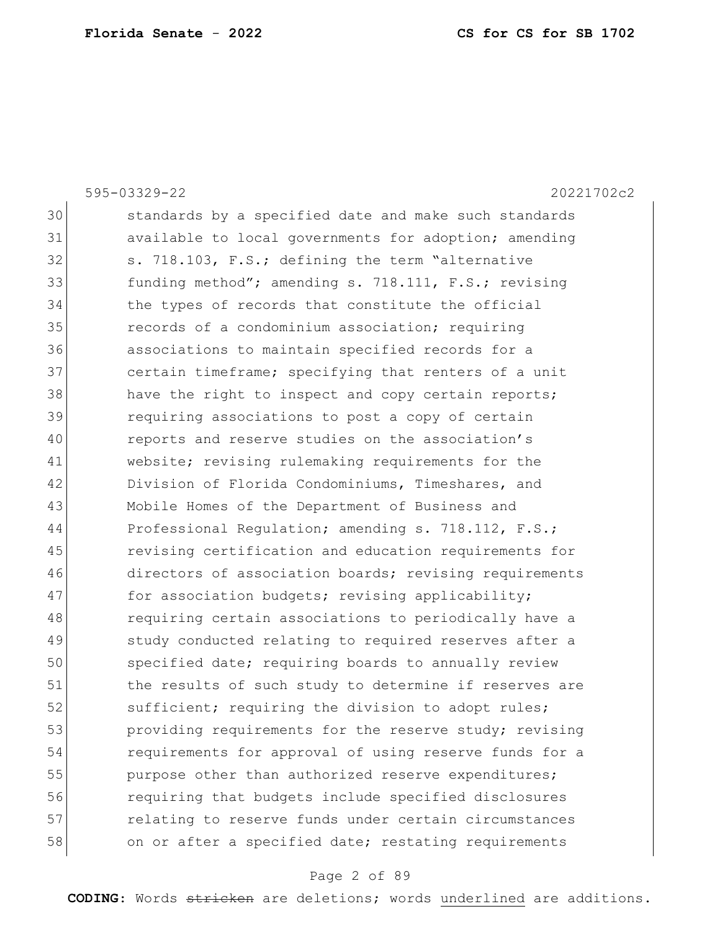595-03329-22 20221702c2 30 standards by a specified date and make such standards 31 available to local governments for adoption; amending 32 s. 718.103, F.S.; defining the term "alternative 33 funding method"; amending s. 718.111, F.S.; revising 34 the types of records that constitute the official 35 **records of a condominium association;** requiring 36 associations to maintain specified records for a 37 certain timeframe; specifying that renters of a unit 38 have the right to inspect and copy certain reports; 39 requiring associations to post a copy of certain 40 reports and reserve studies on the association's 41 website; revising rulemaking requirements for the 42 Division of Florida Condominiums, Timeshares, and 43 Mobile Homes of the Department of Business and 44 Professional Regulation; amending s. 718.112, F.S.; 45 revising certification and education requirements for 46 directors of association boards; revising requirements 47 for association budgets; revising applicability; 48 requiring certain associations to periodically have a 49 Study conducted relating to required reserves after a 50 specified date; requiring boards to annually review 51 the results of such study to determine if reserves are 52 sufficient; requiring the division to adopt rules; 53 **providing requirements for the reserve study; revising** 54 requirements for approval of using reserve funds for a 55 purpose other than authorized reserve expenditures; 56 requiring that budgets include specified disclosures 57 relating to reserve funds under certain circumstances 58 on or after a specified date; restating requirements

#### Page 2 of 89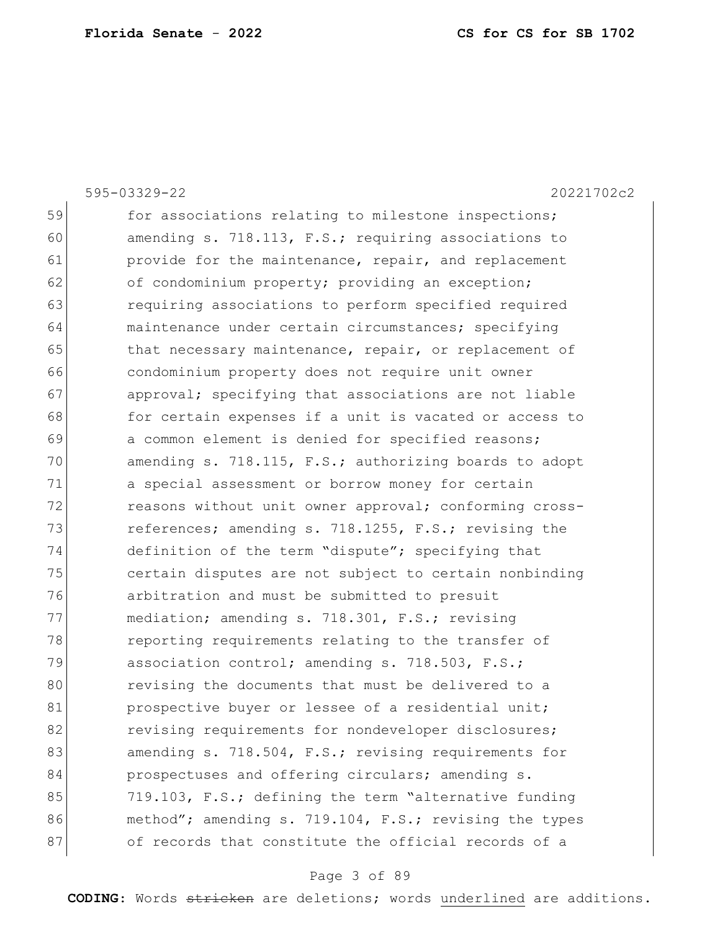59 for associations relating to milestone inspections; 60 amending s. 718.113, F.S.; requiring associations to 61 **provide for the maintenance, repair, and replacement**  $62$  of condominium property; providing an exception; 63 requiring associations to perform specified required 64 maintenance under certain circumstances; specifying 65 that necessary maintenance, repair, or replacement of 66 condominium property does not require unit owner 67 approval; specifying that associations are not liable 68 for certain expenses if a unit is vacated or access to 69 a common element is denied for specified reasons; 70 amending s. 718.115, F.S.; authorizing boards to adopt 71 a special assessment or borrow money for certain 72 reasons without unit owner approval; conforming cross-73 references; amending s. 718.1255, F.S.; revising the 74 definition of the term "dispute"; specifying that 75 certain disputes are not subject to certain nonbinding 76 arbitration and must be submitted to presuit 77 mediation; amending s. 718.301, F.S.; revising 78 reporting requirements relating to the transfer of 79 association control; amending s. 718.503, F.S.; 80 revising the documents that must be delivered to a 81 Prospective buyer or lessee of a residential unit; 82 revising requirements for nondeveloper disclosures; 83 amending s. 718.504, F.S.; revising requirements for 84 **prospectuses and offering circulars; amending s.** 85 719.103, F.S.; defining the term "alternative funding" 86 method"; amending s. 719.104, F.S.; revising the types 87 of records that constitute the official records of a

595-03329-22 20221702c2

#### Page 3 of 89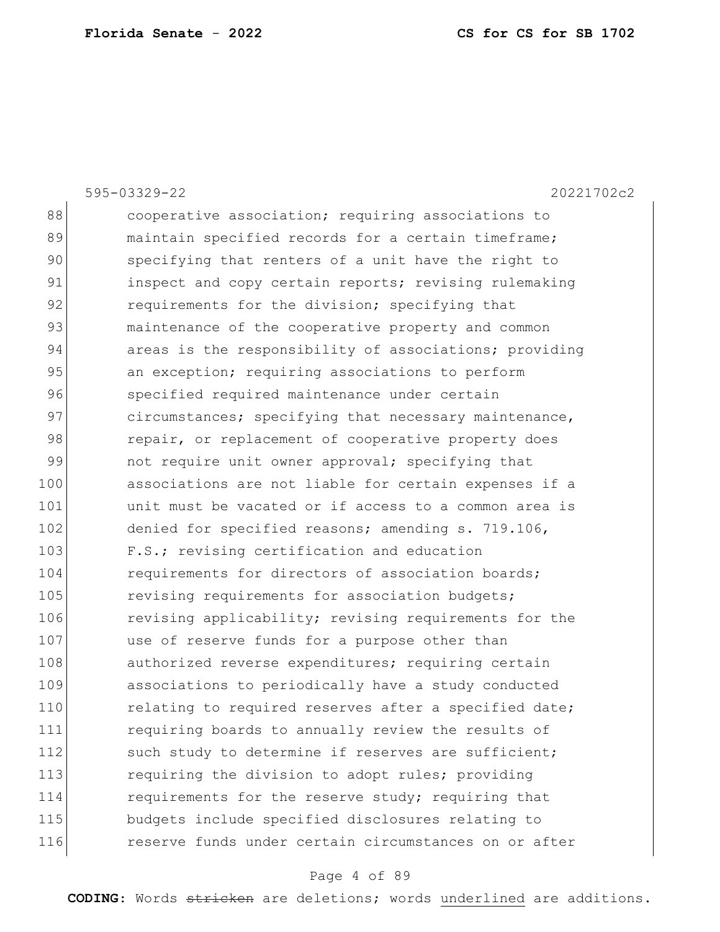|     | 595-03329-22<br>20221702c2                             |
|-----|--------------------------------------------------------|
| 88  | cooperative association; requiring associations to     |
| 89  | maintain specified records for a certain timeframe;    |
| 90  | specifying that renters of a unit have the right to    |
| 91  | inspect and copy certain reports; revising rulemaking  |
| 92  | requirements for the division; specifying that         |
| 93  | maintenance of the cooperative property and common     |
| 94  | areas is the responsibility of associations; providing |
| 95  | an exception; requiring associations to perform        |
| 96  | specified required maintenance under certain           |
| 97  | circumstances; specifying that necessary maintenance,  |
| 98  | repair, or replacement of cooperative property does    |
| 99  | not require unit owner approval; specifying that       |
| 100 | associations are not liable for certain expenses if a  |
| 101 | unit must be vacated or if access to a common area is  |
| 102 | denied for specified reasons; amending s. 719.106,     |
| 103 | F.S.; revising certification and education             |
| 104 | requirements for directors of association boards;      |
| 105 | revising requirements for association budgets;         |
| 106 | revising applicability; revising requirements for the  |
| 107 | use of reserve funds for a purpose other than          |
| 108 | authorized reverse expenditures; requiring certain     |
| 109 | associations to periodically have a study conducted    |
| 110 | relating to required reserves after a specified date;  |
| 111 | requiring boards to annually review the results of     |
| 112 | such study to determine if reserves are sufficient;    |
| 113 | requiring the division to adopt rules; providing       |
| 114 | requirements for the reserve study; requiring that     |
| 115 | budgets include specified disclosures relating to      |
| 116 | reserve funds under certain circumstances on or after  |
|     |                                                        |

## Page 4 of 89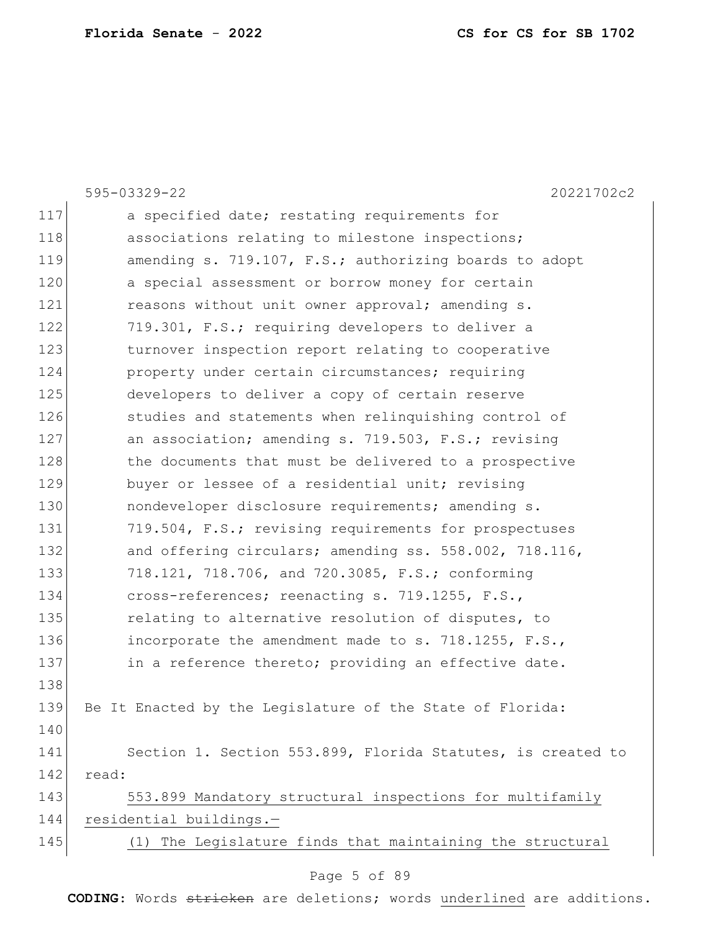|     | 595-03329-22<br>20221702c2                                   |
|-----|--------------------------------------------------------------|
| 117 | a specified date; restating requirements for                 |
| 118 | associations relating to milestone inspections;              |
| 119 | amending s. 719.107, F.S.; authorizing boards to adopt       |
| 120 | a special assessment or borrow money for certain             |
| 121 | reasons without unit owner approval; amending s.             |
| 122 | 719.301, F.S.; requiring developers to deliver a             |
| 123 | turnover inspection report relating to cooperative           |
| 124 | property under certain circumstances; requiring              |
| 125 | developers to deliver a copy of certain reserve              |
| 126 | studies and statements when relinquishing control of         |
| 127 | an association; amending s. 719.503, F.S.; revising          |
| 128 | the documents that must be delivered to a prospective        |
| 129 | buyer or lessee of a residential unit; revising              |
| 130 | nondeveloper disclosure requirements; amending s.            |
| 131 | 719.504, F.S.; revising requirements for prospectuses        |
| 132 | and offering circulars; amending ss. 558.002, 718.116,       |
| 133 | 718.121, 718.706, and 720.3085, F.S.; conforming             |
| 134 | cross-references; reenacting s. 719.1255, F.S.,              |
| 135 | relating to alternative resolution of disputes, to           |
| 136 | incorporate the amendment made to s. 718.1255, F.S.,         |
| 137 | in a reference thereto; providing an effective date.         |
| 138 |                                                              |
| 139 | Be It Enacted by the Legislature of the State of Florida:    |
| 140 |                                                              |
| 141 | Section 1. Section 553.899, Florida Statutes, is created to  |
| 142 | read:                                                        |
| 143 | 553.899 Mandatory structural inspections for multifamily     |
| 144 | residential buildings.-                                      |
| 145 | The Legislature finds that maintaining the structural<br>(1) |
|     | Page 5 of 89                                                 |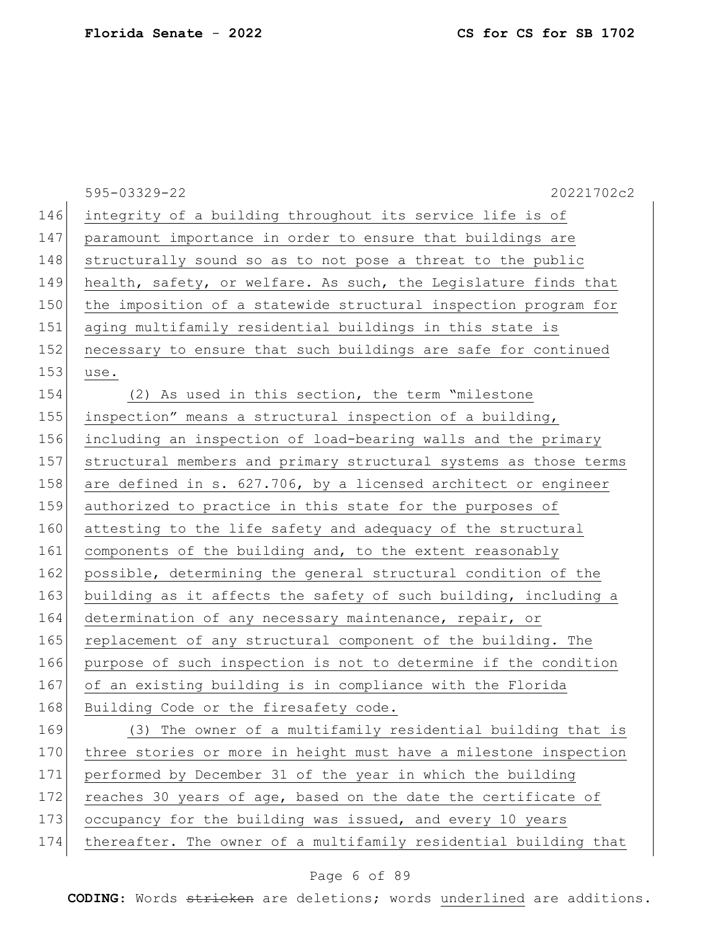|     | 595-03329-22<br>20221702c2                                       |
|-----|------------------------------------------------------------------|
| 146 | integrity of a building throughout its service life is of        |
| 147 | paramount importance in order to ensure that buildings are       |
| 148 | structurally sound so as to not pose a threat to the public      |
| 149 | health, safety, or welfare. As such, the Legislature finds that  |
| 150 | the imposition of a statewide structural inspection program for  |
| 151 | aging multifamily residential buildings in this state is         |
| 152 | necessary to ensure that such buildings are safe for continued   |
| 153 | use.                                                             |
| 154 | (2) As used in this section, the term "milestone                 |
| 155 | inspection" means a structural inspection of a building,         |
| 156 | including an inspection of load-bearing walls and the primary    |
| 157 | structural members and primary structural systems as those terms |
| 158 | are defined in s. 627.706, by a licensed architect or engineer   |
| 159 | authorized to practice in this state for the purposes of         |
| 160 | attesting to the life safety and adequacy of the structural      |
| 161 | components of the building and, to the extent reasonably         |
| 162 | possible, determining the general structural condition of the    |
| 163 | building as it affects the safety of such building, including a  |
| 164 | determination of any necessary maintenance, repair, or           |
| 165 | replacement of any structural component of the building. The     |
| 166 | purpose of such inspection is not to determine if the condition  |
| 167 | of an existing building is in compliance with the Florida        |
| 168 | Building Code or the firesafety code.                            |
| 169 | (3) The owner of a multifamily residential building that is      |
| 170 | three stories or more in height must have a milestone inspection |
| 171 | performed by December 31 of the year in which the building       |
| 172 | reaches 30 years of age, based on the date the certificate of    |
| 173 | occupancy for the building was issued, and every 10 years        |
| 174 | thereafter. The owner of a multifamily residential building that |

## Page 6 of 89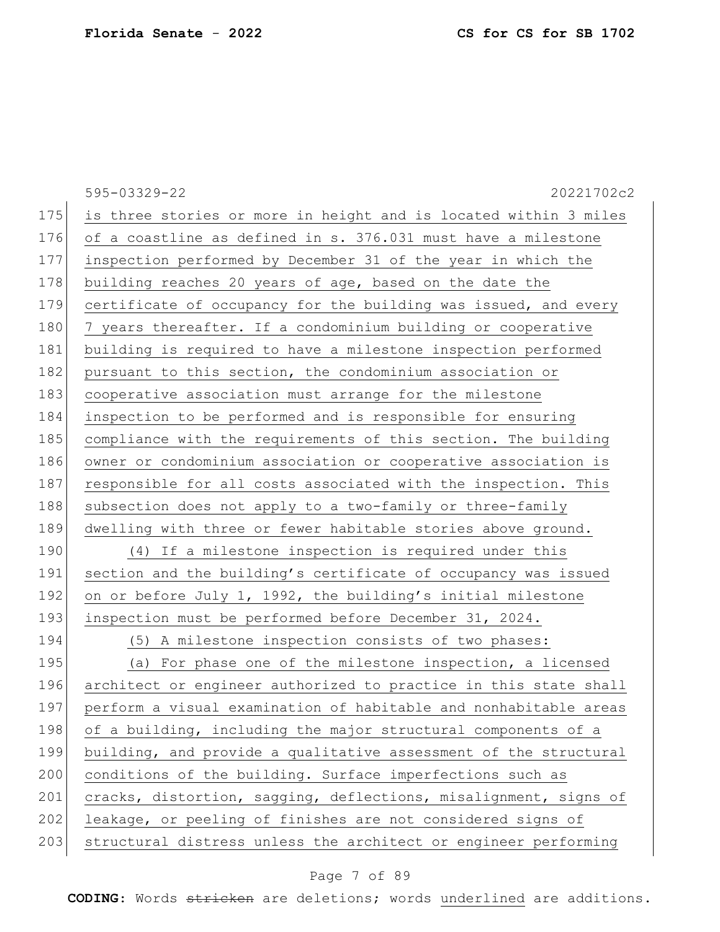|     | 595-03329-22<br>20221702c2                                       |
|-----|------------------------------------------------------------------|
| 175 | is three stories or more in height and is located within 3 miles |
| 176 | of a coastline as defined in s. 376.031 must have a milestone    |
| 177 | inspection performed by December 31 of the year in which the     |
| 178 | building reaches 20 years of age, based on the date the          |
| 179 | certificate of occupancy for the building was issued, and every  |
| 180 | 7 years thereafter. If a condominium building or cooperative     |
| 181 | building is required to have a milestone inspection performed    |
| 182 | pursuant to this section, the condominium association or         |
| 183 | cooperative association must arrange for the milestone           |
| 184 | inspection to be performed and is responsible for ensuring       |
| 185 | compliance with the requirements of this section. The building   |
| 186 | owner or condominium association or cooperative association is   |
| 187 | responsible for all costs associated with the inspection. This   |
| 188 | subsection does not apply to a two-family or three-family        |
| 189 | dwelling with three or fewer habitable stories above ground.     |
| 190 | (4) If a milestone inspection is required under this             |
| 191 | section and the building's certificate of occupancy was issued   |
| 192 | on or before July 1, 1992, the building's initial milestone      |
| 193 | inspection must be performed before December 31, 2024.           |
| 194 | (5) A milestone inspection consists of two phases:               |
| 195 | (a) For phase one of the milestone inspection, a licensed        |
| 196 | architect or engineer authorized to practice in this state shall |
| 197 | perform a visual examination of habitable and nonhabitable areas |
| 198 | of a building, including the major structural components of a    |
| 199 | building, and provide a qualitative assessment of the structural |
| 200 | conditions of the building. Surface imperfections such as        |
| 201 | cracks, distortion, sagging, deflections, misalignment, signs of |
| 202 | leakage, or peeling of finishes are not considered signs of      |
| 203 | structural distress unless the architect or engineer performing  |

## Page 7 of 89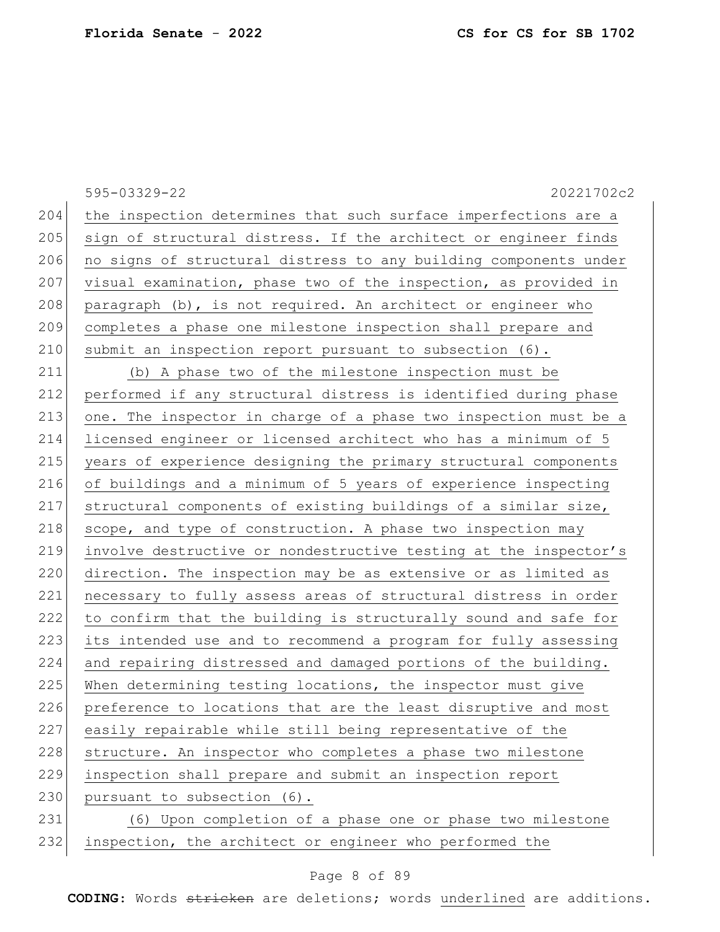|     | $595 - 03329 - 22$<br>20221702c2                                 |
|-----|------------------------------------------------------------------|
| 204 | the inspection determines that such surface imperfections are a  |
| 205 | sign of structural distress. If the architect or engineer finds  |
| 206 | no signs of structural distress to any building components under |
| 207 | visual examination, phase two of the inspection, as provided in  |
| 208 | paragraph (b), is not required. An architect or engineer who     |
| 209 | completes a phase one milestone inspection shall prepare and     |
| 210 | submit an inspection report pursuant to subsection (6).          |
| 211 | (b) A phase two of the milestone inspection must be              |
| 212 | performed if any structural distress is identified during phase  |
| 213 | one. The inspector in charge of a phase two inspection must be a |
| 214 | licensed engineer or licensed architect who has a minimum of 5   |
| 215 | years of experience designing the primary structural components  |
| 216 | of buildings and a minimum of 5 years of experience inspecting   |
| 217 | structural components of existing buildings of a similar size,   |
| 218 | scope, and type of construction. A phase two inspection may      |
| 219 | involve destructive or nondestructive testing at the inspector's |
| 220 | direction. The inspection may be as extensive or as limited as   |
| 221 | necessary to fully assess areas of structural distress in order  |
| 222 | to confirm that the building is structurally sound and safe for  |
| 223 | its intended use and to recommend a program for fully assessing  |
| 224 | and repairing distressed and damaged portions of the building.   |
| 225 | When determining testing locations, the inspector must give      |
| 226 | preference to locations that are the least disruptive and most   |
| 227 | easily repairable while still being representative of the        |
| 228 | structure. An inspector who completes a phase two milestone      |
| 229 | inspection shall prepare and submit an inspection report         |
| 230 | pursuant to subsection (6).                                      |
| 231 | (6) Upon completion of a phase one or phase two milestone        |
| 232 | inspection, the architect or engineer who performed the          |

## Page 8 of 89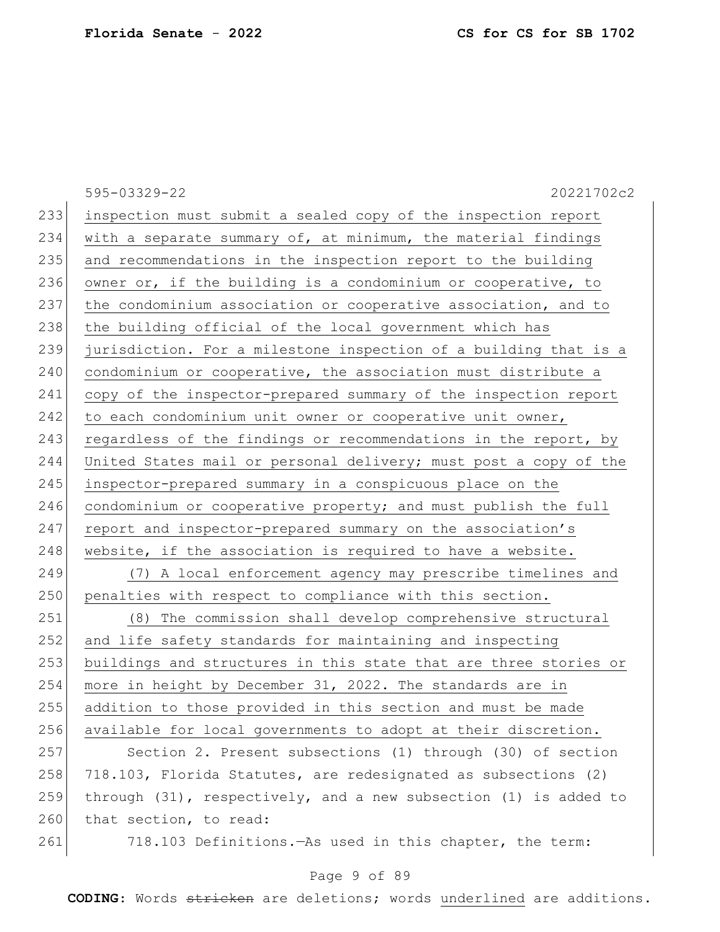595-03329-22 20221702c2 233 inspection must submit a sealed copy of the inspection report  $234$  with a separate summary of, at minimum, the material findings 235 and recommendations in the inspection report to the building 236 owner or, if the building is a condominium or cooperative, to 237 the condominium association or cooperative association, and to 238 the building official of the local government which has 239 jurisdiction. For a milestone inspection of a building that is a  $240$  condominium or cooperative, the association must distribute a 241 copy of the inspector-prepared summary of the inspection report 242 to each condominium unit owner or cooperative unit owner, 243 regardless of the findings or recommendations in the report, by 244 United States mail or personal delivery; must post a copy of the 245 inspector-prepared summary in a conspicuous place on the 246 condominium or cooperative property; and must publish the full 247 report and inspector-prepared summary on the association's  $248$  website, if the association is required to have a website. 249 (7) A local enforcement agency may prescribe timelines and 250 penalties with respect to compliance with this section. 251 (8) The commission shall develop comprehensive structural 252 and life safety standards for maintaining and inspecting 253 buildings and structures in this state that are three stories or 254 more in height by December 31, 2022. The standards are in 255 addition to those provided in this section and must be made 256 available for local governments to adopt at their discretion. 257 Section 2. Present subsections (1) through (30) of section 258 718.103, Florida Statutes, are redesignated as subsections (2) 259 through  $(31)$ , respectively, and a new subsection  $(1)$  is added to 260 that section, to read: 261 718.103 Definitions.—As used in this chapter, the term:

#### Page 9 of 89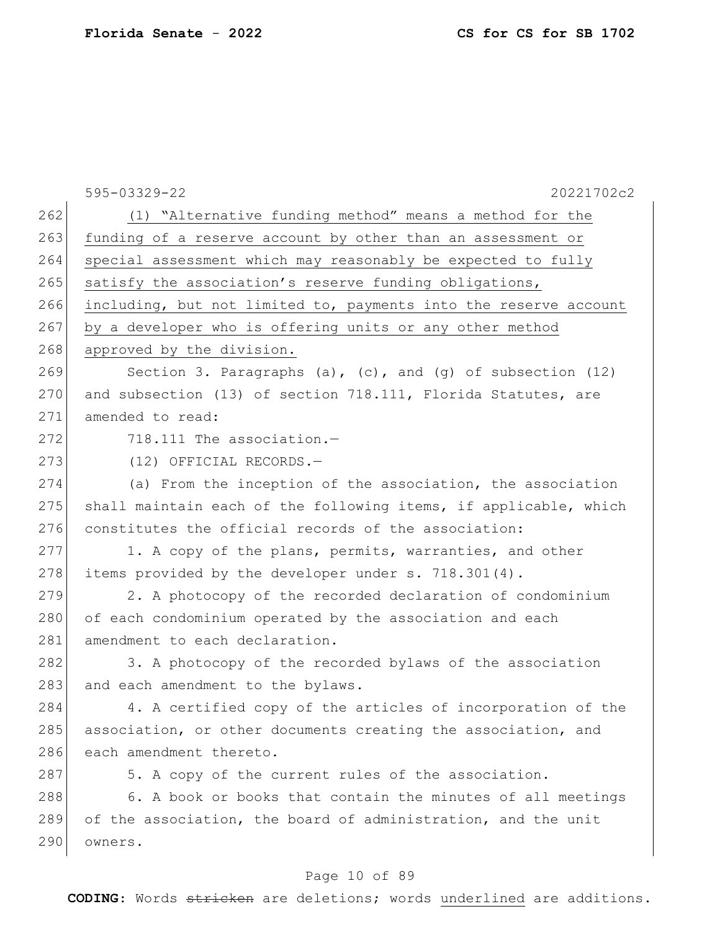|     | 595-03329-22<br>20221702c2                                       |
|-----|------------------------------------------------------------------|
| 262 | (1) "Alternative funding method" means a method for the          |
| 263 | funding of a reserve account by other than an assessment or      |
| 264 | special assessment which may reasonably be expected to fully     |
| 265 | satisfy the association's reserve funding obligations,           |
| 266 | including, but not limited to, payments into the reserve account |
| 267 | by a developer who is offering units or any other method         |
| 268 | approved by the division.                                        |
| 269 | Section 3. Paragraphs (a), (c), and (g) of subsection $(12)$     |
| 270 | and subsection (13) of section 718.111, Florida Statutes, are    |
| 271 | amended to read:                                                 |
| 272 | 718.111 The association.-                                        |
| 273 | (12) OFFICIAL RECORDS.-                                          |
| 274 | (a) From the inception of the association, the association       |
| 275 | shall maintain each of the following items, if applicable, which |
| 276 | constitutes the official records of the association:             |
| 277 | 1. A copy of the plans, permits, warranties, and other           |
| 278 | items provided by the developer under s. 718.301(4).             |
| 279 | 2. A photocopy of the recorded declaration of condominium        |
| 280 | of each condominium operated by the association and each         |
| 281 | amendment to each declaration.                                   |
| 282 | 3. A photocopy of the recorded bylaws of the association         |
| 283 | and each amendment to the bylaws.                                |
| 284 | 4. A certified copy of the articles of incorporation of the      |
| 285 | association, or other documents creating the association, and    |
| 286 | each amendment thereto.                                          |
| 287 | 5. A copy of the current rules of the association.               |
| 288 | 6. A book or books that contain the minutes of all meetings      |
| 289 | of the association, the board of administration, and the unit    |
| 290 | owners.                                                          |
|     |                                                                  |

## Page 10 of 89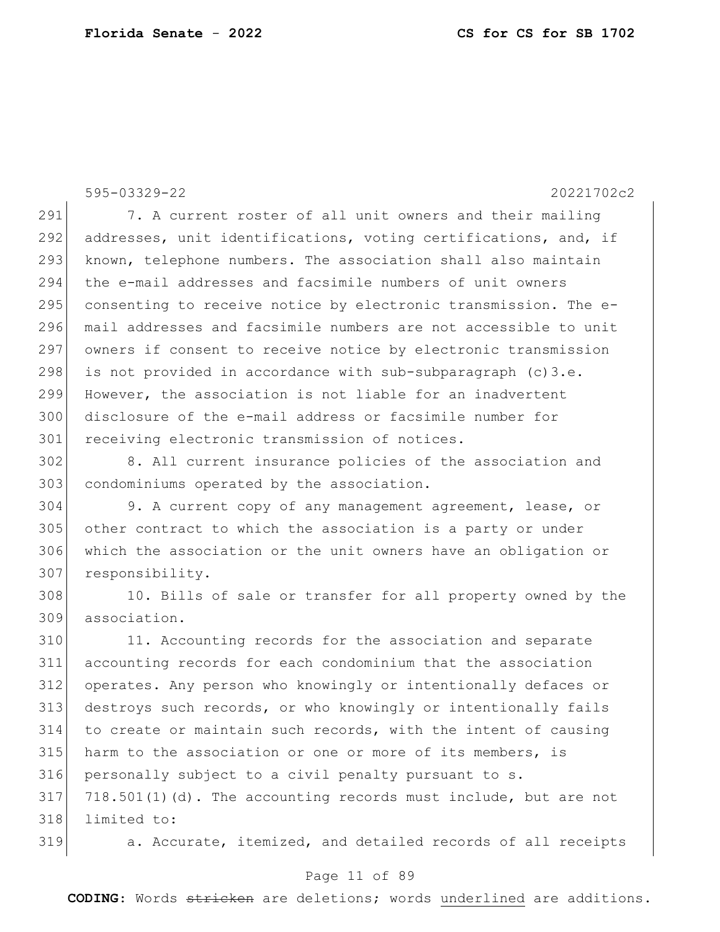595-03329-22 20221702c2 291 7. A current roster of all unit owners and their mailing 292 addresses, unit identifications, voting certifications, and, if 293 known, telephone numbers. The association shall also maintain 294 | the e-mail addresses and facsimile numbers of unit owners 295 consenting to receive notice by electronic transmission. The e-296 mail addresses and facsimile numbers are not accessible to unit 297 owners if consent to receive notice by electronic transmission 298 is not provided in accordance with sub-subparagraph  $(c)$ 3.e. 299 However, the association is not liable for an inadvertent 300 disclosure of the e-mail address or facsimile number for 301 receiving electronic transmission of notices.

302 8. All current insurance policies of the association and 303 condominiums operated by the association.

304 9. A current copy of any management agreement, lease, or other contract to which the association is a party or under which the association or the unit owners have an obligation or responsibility.

308 10. Bills of sale or transfer for all property owned by the 309 association.

310 11. Accounting records for the association and separate accounting records for each condominium that the association operates. Any person who knowingly or intentionally defaces or destroys such records, or who knowingly or intentionally fails to create or maintain such records, with the intent of causing harm to the association or one or more of its members, is personally subject to a civil penalty pursuant to s. 718.501(1)(d). The accounting records must include, but are not 318 limited to:

319 **a. Accurate, itemized, and detailed records of all receipts** 

#### Page 11 of 89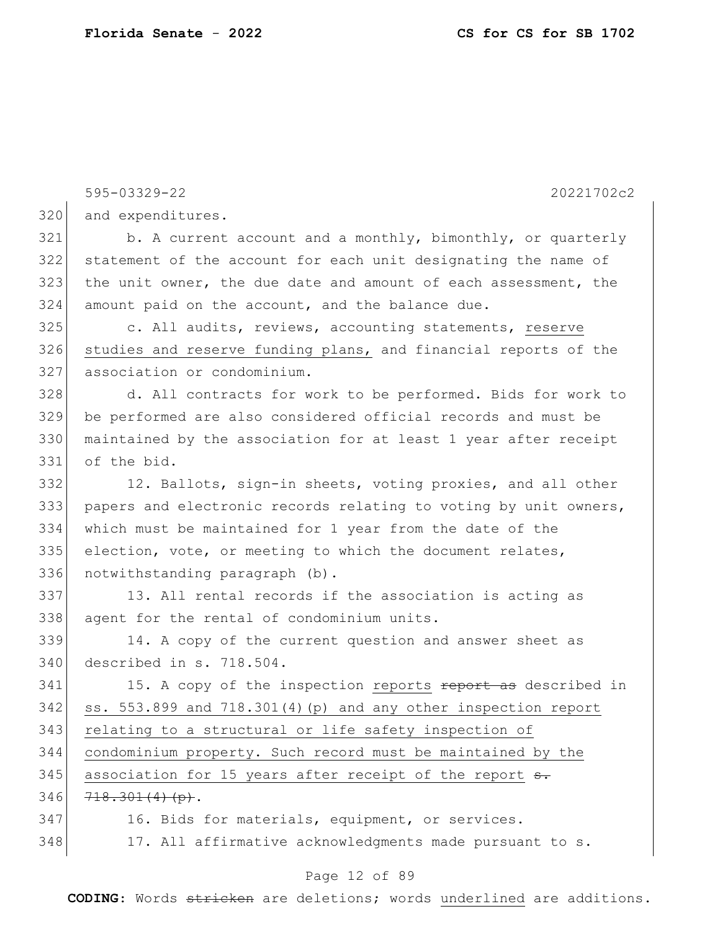| 320<br>and expenditures.<br>321<br>b. A current account and a monthly, bimonthly, or quarterly<br>322<br>statement of the account for each unit designating the name of<br>323<br>the unit owner, the due date and amount of each assessment, the<br>324<br>amount paid on the account, and the balance due.<br>325<br>c. All audits, reviews, accounting statements, reserve<br>326<br>studies and reserve funding plans, and financial reports of the<br>327<br>association or condominium.<br>328<br>d. All contracts for work to be performed. Bids for work to<br>329<br>be performed are also considered official records and must be<br>330<br>maintained by the association for at least 1 year after receipt<br>331<br>of the bid.<br>332<br>12. Ballots, sign-in sheets, voting proxies, and all other<br>333<br>papers and electronic records relating to voting by unit owners,<br>334<br>which must be maintained for 1 year from the date of the<br>335<br>election, vote, or meeting to which the document relates,<br>336<br>notwithstanding paragraph (b).<br>337<br>13. All rental records if the association is acting as<br>338<br>agent for the rental of condominium units.<br>339<br>14. A copy of the current question and answer sheet as<br>340<br>described in s. 718.504.<br>341<br>15. A copy of the inspection reports report as described in<br>342<br>ss. 553.899 and 718.301(4) (p) and any other inspection report<br>343<br>relating to a structural or life safety inspection of<br>344<br>condominium property. Such record must be maintained by the<br>345<br>association for 15 years after receipt of the report s. | 595-03329-22<br>20221702c2 |
|--------------------------------------------------------------------------------------------------------------------------------------------------------------------------------------------------------------------------------------------------------------------------------------------------------------------------------------------------------------------------------------------------------------------------------------------------------------------------------------------------------------------------------------------------------------------------------------------------------------------------------------------------------------------------------------------------------------------------------------------------------------------------------------------------------------------------------------------------------------------------------------------------------------------------------------------------------------------------------------------------------------------------------------------------------------------------------------------------------------------------------------------------------------------------------------------------------------------------------------------------------------------------------------------------------------------------------------------------------------------------------------------------------------------------------------------------------------------------------------------------------------------------------------------------------------------------------------------------------------------------------------------------------------|----------------------------|
|                                                                                                                                                                                                                                                                                                                                                                                                                                                                                                                                                                                                                                                                                                                                                                                                                                                                                                                                                                                                                                                                                                                                                                                                                                                                                                                                                                                                                                                                                                                                                                                                                                                              |                            |
|                                                                                                                                                                                                                                                                                                                                                                                                                                                                                                                                                                                                                                                                                                                                                                                                                                                                                                                                                                                                                                                                                                                                                                                                                                                                                                                                                                                                                                                                                                                                                                                                                                                              |                            |
|                                                                                                                                                                                                                                                                                                                                                                                                                                                                                                                                                                                                                                                                                                                                                                                                                                                                                                                                                                                                                                                                                                                                                                                                                                                                                                                                                                                                                                                                                                                                                                                                                                                              |                            |
|                                                                                                                                                                                                                                                                                                                                                                                                                                                                                                                                                                                                                                                                                                                                                                                                                                                                                                                                                                                                                                                                                                                                                                                                                                                                                                                                                                                                                                                                                                                                                                                                                                                              |                            |
|                                                                                                                                                                                                                                                                                                                                                                                                                                                                                                                                                                                                                                                                                                                                                                                                                                                                                                                                                                                                                                                                                                                                                                                                                                                                                                                                                                                                                                                                                                                                                                                                                                                              |                            |
|                                                                                                                                                                                                                                                                                                                                                                                                                                                                                                                                                                                                                                                                                                                                                                                                                                                                                                                                                                                                                                                                                                                                                                                                                                                                                                                                                                                                                                                                                                                                                                                                                                                              |                            |
|                                                                                                                                                                                                                                                                                                                                                                                                                                                                                                                                                                                                                                                                                                                                                                                                                                                                                                                                                                                                                                                                                                                                                                                                                                                                                                                                                                                                                                                                                                                                                                                                                                                              |                            |
|                                                                                                                                                                                                                                                                                                                                                                                                                                                                                                                                                                                                                                                                                                                                                                                                                                                                                                                                                                                                                                                                                                                                                                                                                                                                                                                                                                                                                                                                                                                                                                                                                                                              |                            |
|                                                                                                                                                                                                                                                                                                                                                                                                                                                                                                                                                                                                                                                                                                                                                                                                                                                                                                                                                                                                                                                                                                                                                                                                                                                                                                                                                                                                                                                                                                                                                                                                                                                              |                            |
|                                                                                                                                                                                                                                                                                                                                                                                                                                                                                                                                                                                                                                                                                                                                                                                                                                                                                                                                                                                                                                                                                                                                                                                                                                                                                                                                                                                                                                                                                                                                                                                                                                                              |                            |
|                                                                                                                                                                                                                                                                                                                                                                                                                                                                                                                                                                                                                                                                                                                                                                                                                                                                                                                                                                                                                                                                                                                                                                                                                                                                                                                                                                                                                                                                                                                                                                                                                                                              |                            |
|                                                                                                                                                                                                                                                                                                                                                                                                                                                                                                                                                                                                                                                                                                                                                                                                                                                                                                                                                                                                                                                                                                                                                                                                                                                                                                                                                                                                                                                                                                                                                                                                                                                              |                            |
|                                                                                                                                                                                                                                                                                                                                                                                                                                                                                                                                                                                                                                                                                                                                                                                                                                                                                                                                                                                                                                                                                                                                                                                                                                                                                                                                                                                                                                                                                                                                                                                                                                                              |                            |
|                                                                                                                                                                                                                                                                                                                                                                                                                                                                                                                                                                                                                                                                                                                                                                                                                                                                                                                                                                                                                                                                                                                                                                                                                                                                                                                                                                                                                                                                                                                                                                                                                                                              |                            |
|                                                                                                                                                                                                                                                                                                                                                                                                                                                                                                                                                                                                                                                                                                                                                                                                                                                                                                                                                                                                                                                                                                                                                                                                                                                                                                                                                                                                                                                                                                                                                                                                                                                              |                            |
|                                                                                                                                                                                                                                                                                                                                                                                                                                                                                                                                                                                                                                                                                                                                                                                                                                                                                                                                                                                                                                                                                                                                                                                                                                                                                                                                                                                                                                                                                                                                                                                                                                                              |                            |
|                                                                                                                                                                                                                                                                                                                                                                                                                                                                                                                                                                                                                                                                                                                                                                                                                                                                                                                                                                                                                                                                                                                                                                                                                                                                                                                                                                                                                                                                                                                                                                                                                                                              |                            |
|                                                                                                                                                                                                                                                                                                                                                                                                                                                                                                                                                                                                                                                                                                                                                                                                                                                                                                                                                                                                                                                                                                                                                                                                                                                                                                                                                                                                                                                                                                                                                                                                                                                              |                            |
|                                                                                                                                                                                                                                                                                                                                                                                                                                                                                                                                                                                                                                                                                                                                                                                                                                                                                                                                                                                                                                                                                                                                                                                                                                                                                                                                                                                                                                                                                                                                                                                                                                                              |                            |
|                                                                                                                                                                                                                                                                                                                                                                                                                                                                                                                                                                                                                                                                                                                                                                                                                                                                                                                                                                                                                                                                                                                                                                                                                                                                                                                                                                                                                                                                                                                                                                                                                                                              |                            |
|                                                                                                                                                                                                                                                                                                                                                                                                                                                                                                                                                                                                                                                                                                                                                                                                                                                                                                                                                                                                                                                                                                                                                                                                                                                                                                                                                                                                                                                                                                                                                                                                                                                              |                            |
|                                                                                                                                                                                                                                                                                                                                                                                                                                                                                                                                                                                                                                                                                                                                                                                                                                                                                                                                                                                                                                                                                                                                                                                                                                                                                                                                                                                                                                                                                                                                                                                                                                                              |                            |
|                                                                                                                                                                                                                                                                                                                                                                                                                                                                                                                                                                                                                                                                                                                                                                                                                                                                                                                                                                                                                                                                                                                                                                                                                                                                                                                                                                                                                                                                                                                                                                                                                                                              |                            |
|                                                                                                                                                                                                                                                                                                                                                                                                                                                                                                                                                                                                                                                                                                                                                                                                                                                                                                                                                                                                                                                                                                                                                                                                                                                                                                                                                                                                                                                                                                                                                                                                                                                              |                            |
|                                                                                                                                                                                                                                                                                                                                                                                                                                                                                                                                                                                                                                                                                                                                                                                                                                                                                                                                                                                                                                                                                                                                                                                                                                                                                                                                                                                                                                                                                                                                                                                                                                                              |                            |
|                                                                                                                                                                                                                                                                                                                                                                                                                                                                                                                                                                                                                                                                                                                                                                                                                                                                                                                                                                                                                                                                                                                                                                                                                                                                                                                                                                                                                                                                                                                                                                                                                                                              |                            |
| 346                                                                                                                                                                                                                                                                                                                                                                                                                                                                                                                                                                                                                                                                                                                                                                                                                                                                                                                                                                                                                                                                                                                                                                                                                                                                                                                                                                                                                                                                                                                                                                                                                                                          | 718.301(4)(p).             |
| 347<br>16. Bids for materials, equipment, or services.                                                                                                                                                                                                                                                                                                                                                                                                                                                                                                                                                                                                                                                                                                                                                                                                                                                                                                                                                                                                                                                                                                                                                                                                                                                                                                                                                                                                                                                                                                                                                                                                       |                            |
| 348<br>17. All affirmative acknowledgments made pursuant to s.                                                                                                                                                                                                                                                                                                                                                                                                                                                                                                                                                                                                                                                                                                                                                                                                                                                                                                                                                                                                                                                                                                                                                                                                                                                                                                                                                                                                                                                                                                                                                                                               |                            |

## Page 12 of 89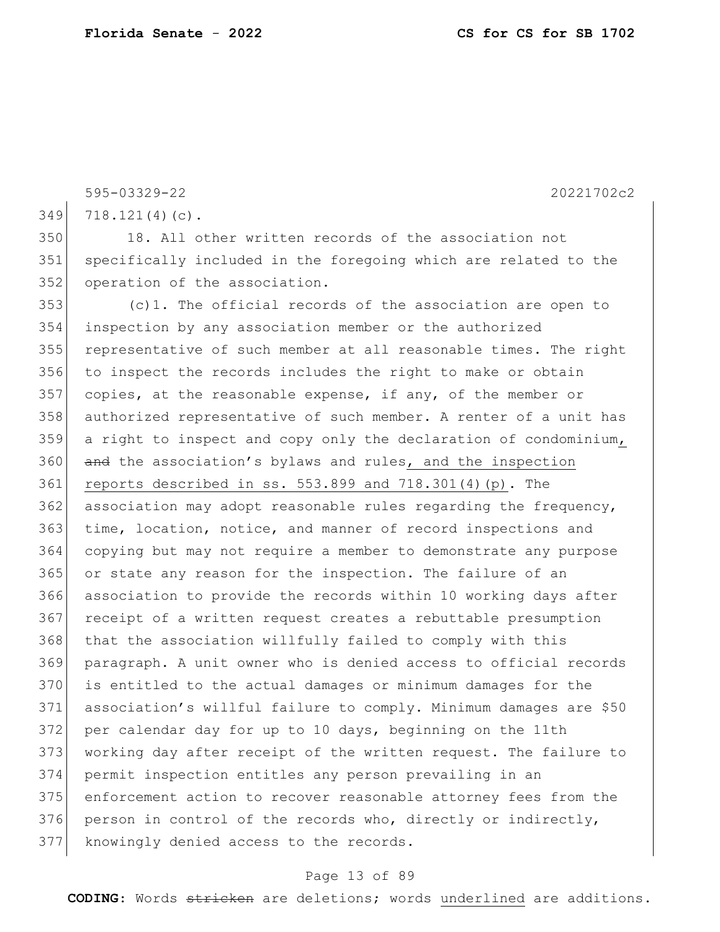595-03329-22 20221702c2 718.121(4)(c). 18. All other written records of the association not specifically included in the foregoing which are related to the 352 operation of the association. (c)1. The official records of the association are open to inspection by any association member or the authorized representative of such member at all reasonable times. The right to inspect the records includes the right to make or obtain copies, at the reasonable expense, if any, of the member or authorized representative of such member. A renter of a unit has 359 a right to inspect and copy only the declaration of condominium, 360 and the association's bylaws and rules, and the inspection reports described in ss. 553.899 and 718.301(4)(p). The association may adopt reasonable rules regarding the frequency, time, location, notice, and manner of record inspections and copying but may not require a member to demonstrate any purpose or state any reason for the inspection. The failure of an association to provide the records within 10 working days after 367 receipt of a written request creates a rebuttable presumption that the association willfully failed to comply with this paragraph. A unit owner who is denied access to official records is entitled to the actual damages or minimum damages for the association's willful failure to comply. Minimum damages are \$50 per calendar day for up to 10 days, beginning on the 11th working day after receipt of the written request. The failure to permit inspection entitles any person prevailing in an enforcement action to recover reasonable attorney fees from the person in control of the records who, directly or indirectly, 377 knowingly denied access to the records.

#### Page 13 of 89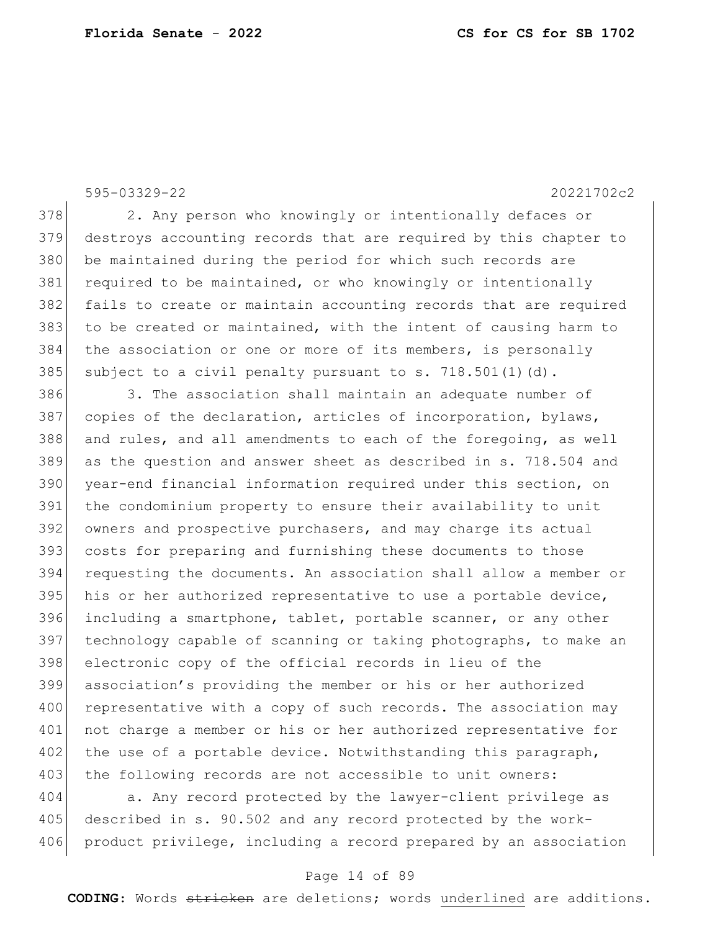595-03329-22 20221702c2 378 2. Any person who knowingly or intentionally defaces or 379 destroys accounting records that are required by this chapter to 380 be maintained during the period for which such records are 381 required to be maintained, or who knowingly or intentionally 382 fails to create or maintain accounting records that are required 383 to be created or maintained, with the intent of causing harm to 384 the association or one or more of its members, is personally 385 subject to a civil penalty pursuant to s.  $718.501(1)(d)$ . 386 3. The association shall maintain an adequate number of 387 copies of the declaration, articles of incorporation, bylaws, 388 and rules, and all amendments to each of the foregoing, as well 389 as the question and answer sheet as described in s. 718.504 and 390 year-end financial information required under this section, on 391 the condominium property to ensure their availability to unit 392 owners and prospective purchasers, and may charge its actual 393 costs for preparing and furnishing these documents to those 394 requesting the documents. An association shall allow a member or 395 his or her authorized representative to use a portable device, 396 including a smartphone, tablet, portable scanner, or any other 397 technology capable of scanning or taking photographs, to make an 398 electronic copy of the official records in lieu of the 399 association's providing the member or his or her authorized 400 representative with a copy of such records. The association may 401 not charge a member or his or her authorized representative for  $402$  the use of a portable device. Notwithstanding this paragraph, 403 the following records are not accessible to unit owners: 404 a. Any record protected by the lawyer-client privilege as

405 described in s. 90.502 and any record protected by the work-406 product privilege, including a record prepared by an association

#### Page 14 of 89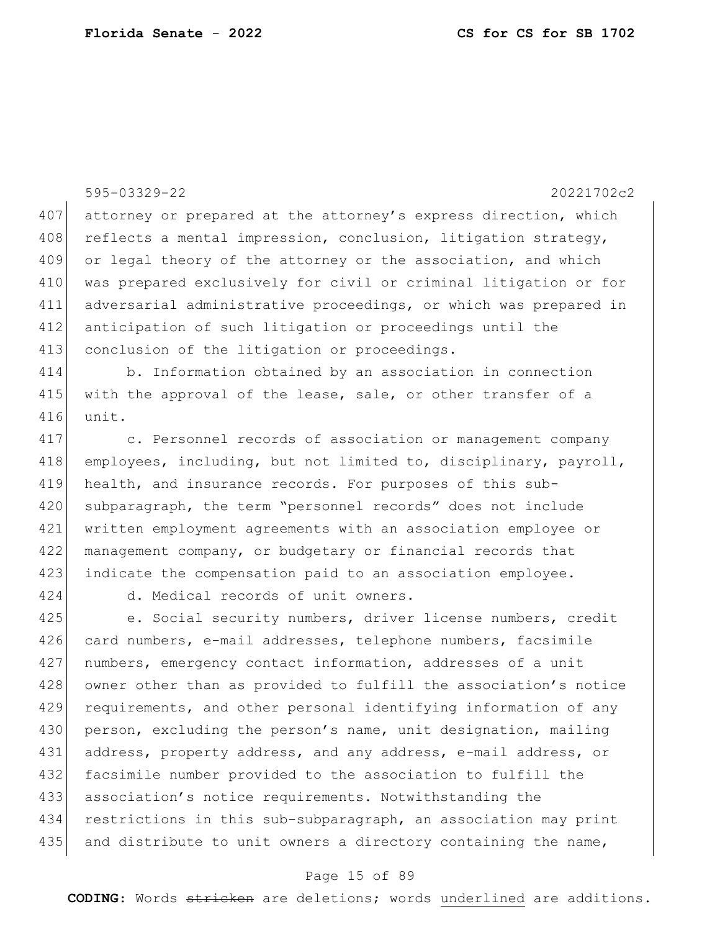595-03329-22 20221702c2 407 attorney or prepared at the attorney's express direction, which 408 reflects a mental impression, conclusion, litigation strategy, 409 or legal theory of the attorney or the association, and which 410 was prepared exclusively for civil or criminal litigation or for 411 adversarial administrative proceedings, or which was prepared in 412 anticipation of such litigation or proceedings until the 413 conclusion of the litigation or proceedings. 414 b. Information obtained by an association in connection 415 with the approval of the lease, sale, or other transfer of a 416 unit.

417 c. Personnel records of association or management company 418 employees, including, but not limited to, disciplinary, payroll, 419 health, and insurance records. For purposes of this sub-420 subparagraph, the term "personnel records" does not include 421 written employment agreements with an association employee or 422 management company, or budgetary or financial records that 423 indicate the compensation paid to an association employee.

424 d. Medical records of unit owners.

425 e. Social security numbers, driver license numbers, credit 426 card numbers, e-mail addresses, telephone numbers, facsimile 427 numbers, emergency contact information, addresses of a unit 428 owner other than as provided to fulfill the association's notice 429 requirements, and other personal identifying information of any 430 person, excluding the person's name, unit designation, mailing 431 address, property address, and any address, e-mail address, or 432 facsimile number provided to the association to fulfill the 433 association's notice requirements. Notwithstanding the 434 restrictions in this sub-subparagraph, an association may print 435 and distribute to unit owners a directory containing the name,

#### Page 15 of 89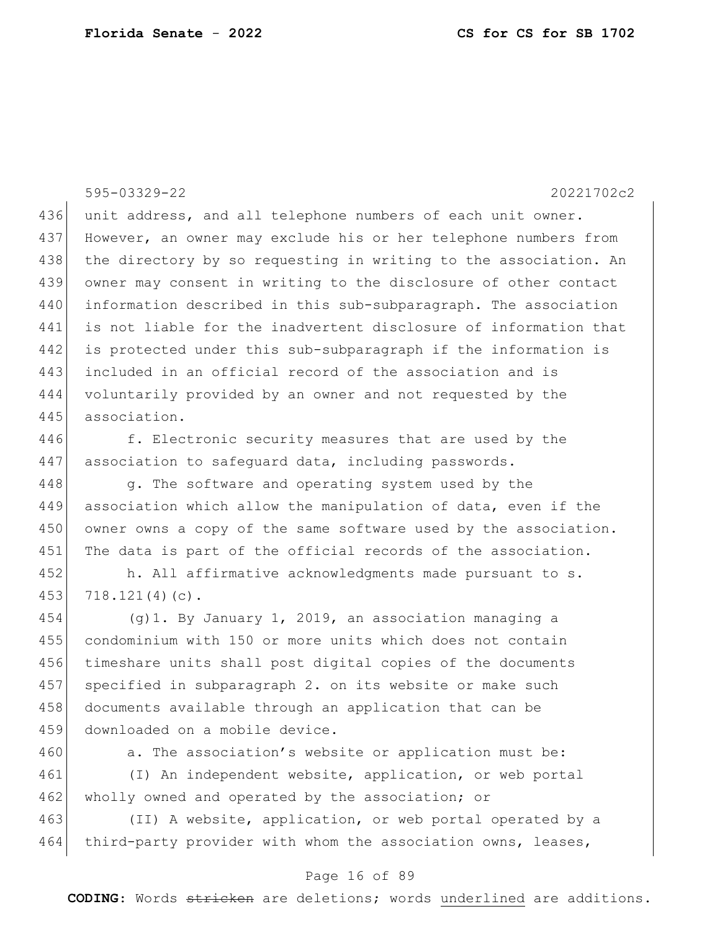595-03329-22 20221702c2

436 unit address, and all telephone numbers of each unit owner. 437 However, an owner may exclude his or her telephone numbers from 438 the directory by so requesting in writing to the association. An 439 owner may consent in writing to the disclosure of other contact 440 information described in this sub-subparagraph. The association 441 is not liable for the inadvertent disclosure of information that 442 is protected under this sub-subparagraph if the information is 443 included in an official record of the association and is 444 voluntarily provided by an owner and not requested by the 445 association.

446 f. Electronic security measures that are used by the 447 association to safequard data, including passwords.

448 g. The software and operating system used by the 449 association which allow the manipulation of data, even if the 450 owner owns a copy of the same software used by the association. 451 The data is part of the official records of the association.

452 h. All affirmative acknowledgments made pursuant to s. 453 718.121(4)(c).

454 (g)1. By January 1, 2019, an association managing a 455 condominium with 150 or more units which does not contain 456 timeshare units shall post digital copies of the documents 457 specified in subparagraph 2. on its website or make such 458 documents available through an application that can be 459 downloaded on a mobile device.

460 a. The association's website or application must be:

461 (I) An independent website, application, or web portal 462 wholly owned and operated by the association; or

463 (II) A website, application, or web portal operated by a 464 third-party provider with whom the association owns, leases,

### Page 16 of 89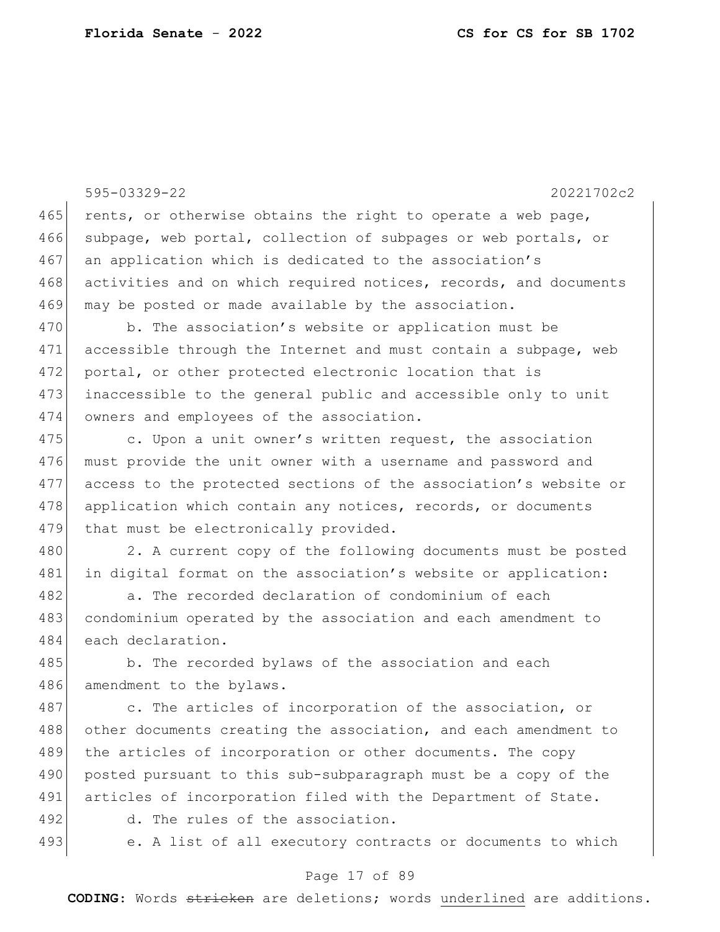595-03329-22 20221702c2 465 rents, or otherwise obtains the right to operate a web page, 466 subpage, web portal, collection of subpages or web portals, or 467 an application which is dedicated to the association's 468 activities and on which required notices, records, and documents 469 may be posted or made available by the association. 470 b. The association's website or application must be 471 accessible through the Internet and must contain a subpage, web 472 portal, or other protected electronic location that is 473 inaccessible to the general public and accessible only to unit 474 owners and employees of the association. 475 c. Upon a unit owner's written request, the association 476 must provide the unit owner with a username and password and 477 access to the protected sections of the association's website or 478 application which contain any notices, records, or documents 479 that must be electronically provided. 480 2. A current copy of the following documents must be posted 481 in digital format on the association's website or application: 482 a. The recorded declaration of condominium of each 483 condominium operated by the association and each amendment to 484 each declaration. 485 b. The recorded bylaws of the association and each 486 amendment to the bylaws. 487 c. The articles of incorporation of the association, or 488 other documents creating the association, and each amendment to 489 the articles of incorporation or other documents. The copy 490 posted pursuant to this sub-subparagraph must be a copy of the 491 articles of incorporation filed with the Department of State. 492 d. The rules of the association.

493 e. A list of all executory contracts or documents to which

#### Page 17 of 89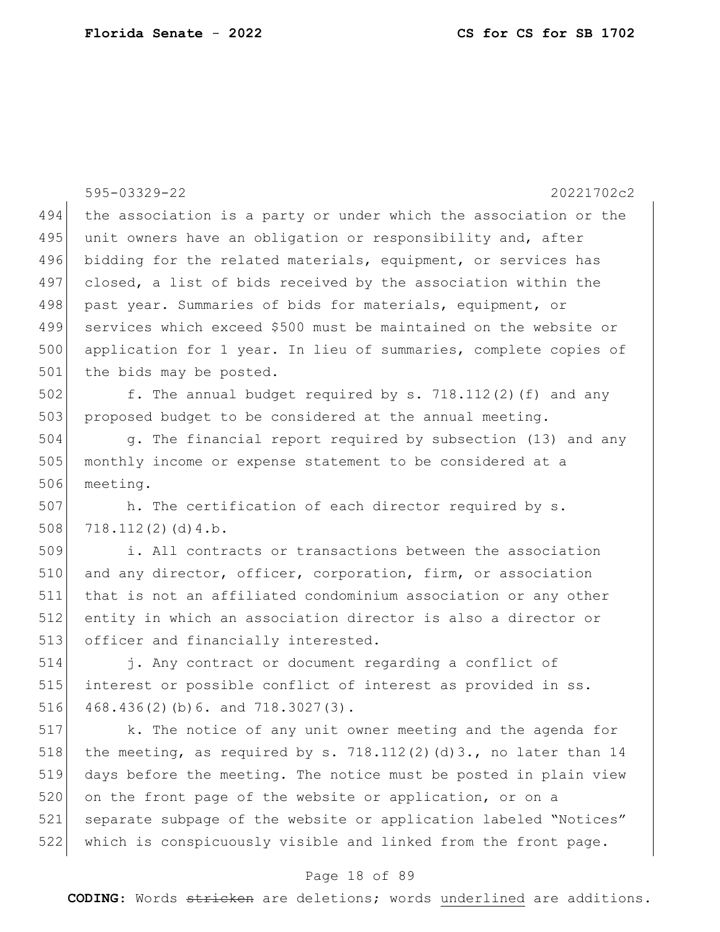|     | 595-03329-22<br>20221702c2                                       |
|-----|------------------------------------------------------------------|
| 494 | the association is a party or under which the association or the |
| 495 | unit owners have an obligation or responsibility and, after      |
| 496 | bidding for the related materials, equipment, or services has    |
| 497 | closed, a list of bids received by the association within the    |
| 498 | past year. Summaries of bids for materials, equipment, or        |
| 499 | services which exceed \$500 must be maintained on the website or |
| 500 | application for 1 year. In lieu of summaries, complete copies of |
| 501 | the bids may be posted.                                          |
| 502 | f. The annual budget required by s. 718.112(2) (f) and any       |
| 503 | proposed budget to be considered at the annual meeting.          |
| 504 | g. The financial report required by subsection (13) and any      |
| 505 | monthly income or expense statement to be considered at a        |
| 506 | meeting.                                                         |
| 507 | h. The certification of each director required by s.             |
| 508 | 718.112(2)(d)4.b.                                                |
| 509 | i. All contracts or transactions between the association         |
| 510 | and any director, officer, corporation, firm, or association     |
| 511 | that is not an affiliated condominium association or any other   |
| 512 | entity in which an association director is also a director or    |
| 513 | officer and financially interested.                              |
| 514 | j. Any contract or document regarding a conflict of              |
| 515 | interest or possible conflict of interest as provided in ss.     |
| 516 | 468.436(2)(b)6. and 718.3027(3).                                 |
| 517 | k. The notice of any unit owner meeting and the agenda for       |
| 518 | the meeting, as required by s. 718.112(2)(d)3., no later than 14 |
| 519 | days before the meeting. The notice must be posted in plain view |
| 520 | on the front page of the website or application, or on a         |
| 521 | separate subpage of the website or application labeled "Notices" |
| 522 | which is conspicuously visible and linked from the front page.   |

## Page 18 of 89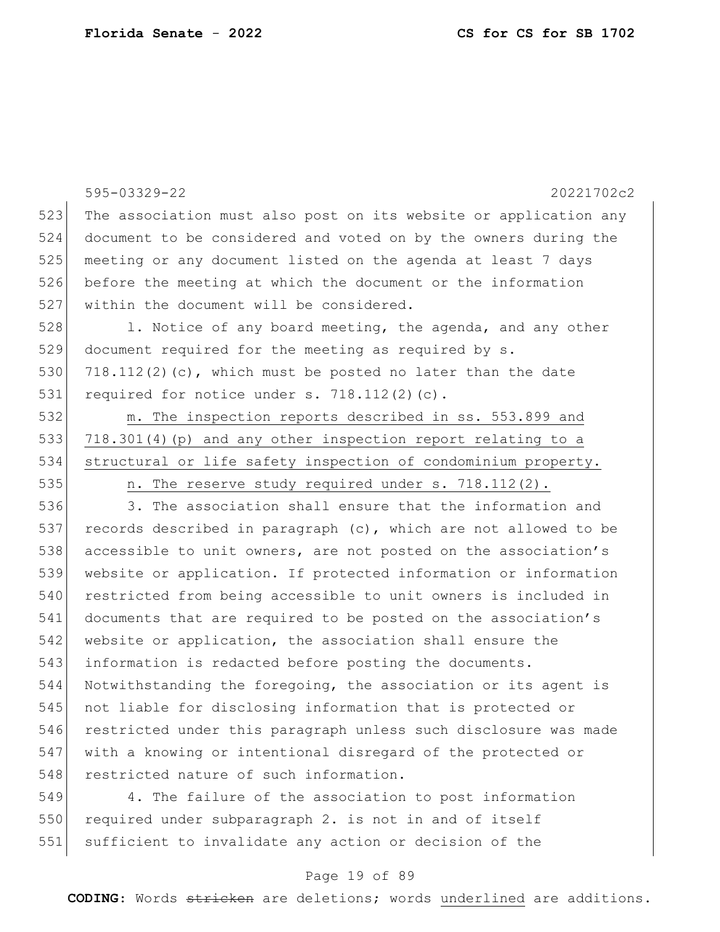|     | $595 - 03329 - 22$<br>20221702c2                                 |
|-----|------------------------------------------------------------------|
| 523 | The association must also post on its website or application any |
| 524 | document to be considered and voted on by the owners during the  |
| 525 | meeting or any document listed on the agenda at least 7 days     |
| 526 | before the meeting at which the document or the information      |
| 527 | within the document will be considered.                          |
| 528 | 1. Notice of any board meeting, the agenda, and any other        |
| 529 | document required for the meeting as required by s.              |
| 530 | $718.112(2)(c)$ , which must be posted no later than the date    |
| 531 | required for notice under $s. 718.112(2)(c)$ .                   |
| 532 | m. The inspection reports described in ss. 553.899 and           |
| 533 | 718.301(4) (p) and any other inspection report relating to a     |
| 534 | structural or life safety inspection of condominium property.    |
| 535 | n. The reserve study required under s. 718.112(2).               |
| 536 | 3. The association shall ensure that the information and         |
| 537 | records described in paragraph (c), which are not allowed to be  |
| 538 | accessible to unit owners, are not posted on the association's   |
| 539 | website or application. If protected information or information  |
| 540 | restricted from being accessible to unit owners is included in   |
| 541 | documents that are required to be posted on the association's    |
| 542 | website or application, the association shall ensure the         |
| 543 | information is redacted before posting the documents.            |
| 544 | Notwithstanding the foregoing, the association or its agent is   |
| 545 | not liable for disclosing information that is protected or       |
| 546 | restricted under this paragraph unless such disclosure was made  |
| 547 | with a knowing or intentional disregard of the protected or      |
| 548 | restricted nature of such information.                           |
| 549 | 4. The failure of the association to post information            |

550 required under subparagraph 2. is not in and of itself 551 sufficient to invalidate any action or decision of the

### Page 19 of 89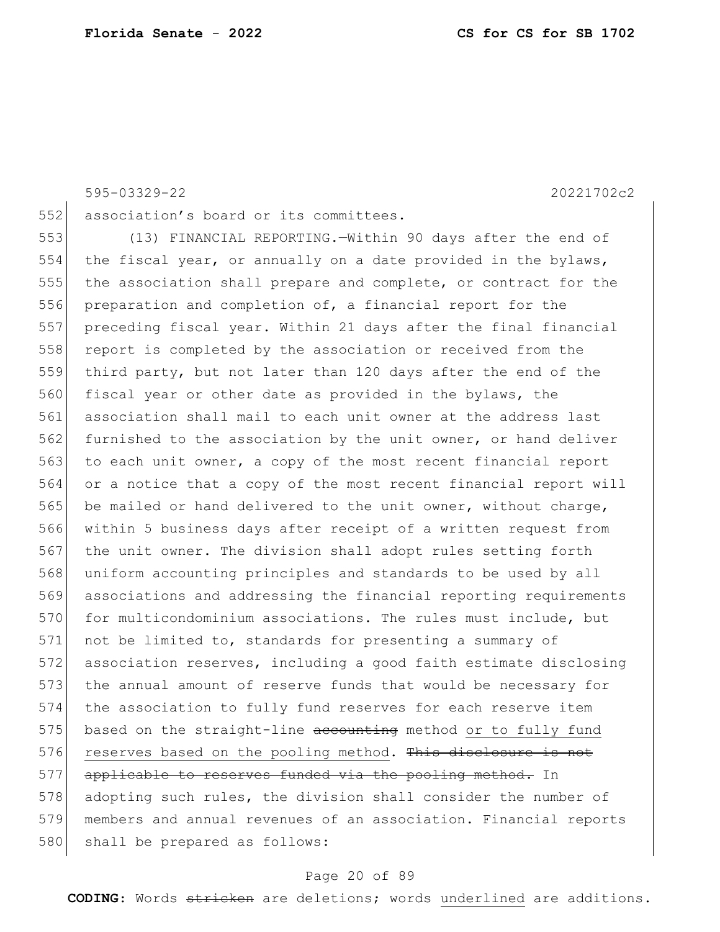595-03329-22 20221702c2

552 association's board or its committees.

553 (13) FINANCIAL REPORTING.—Within 90 days after the end of 554 the fiscal year, or annually on a date provided in the bylaws, 555 the association shall prepare and complete, or contract for the 556 preparation and completion of, a financial report for the 557 preceding fiscal year. Within 21 days after the final financial 558 report is completed by the association or received from the 559 third party, but not later than 120 days after the end of the 560 fiscal year or other date as provided in the bylaws, the 561 association shall mail to each unit owner at the address last 562 furnished to the association by the unit owner, or hand deliver 563 to each unit owner, a copy of the most recent financial report 564 or a notice that a copy of the most recent financial report will 565 be mailed or hand delivered to the unit owner, without charge, 566 within 5 business days after receipt of a written request from 567 the unit owner. The division shall adopt rules setting forth 568 uniform accounting principles and standards to be used by all 569 associations and addressing the financial reporting requirements 570 for multicondominium associations. The rules must include, but 571 not be limited to, standards for presenting a summary of 572 association reserves, including a good faith estimate disclosing 573 the annual amount of reserve funds that would be necessary for 574 the association to fully fund reserves for each reserve item 575 based on the straight-line accounting method or to fully fund 576 reserves based on the pooling method. This disclosure is not 577 applicable to reserves funded via the pooling method. In 578 adopting such rules, the division shall consider the number of 579 members and annual revenues of an association. Financial reports 580 shall be prepared as follows:

#### Page 20 of 89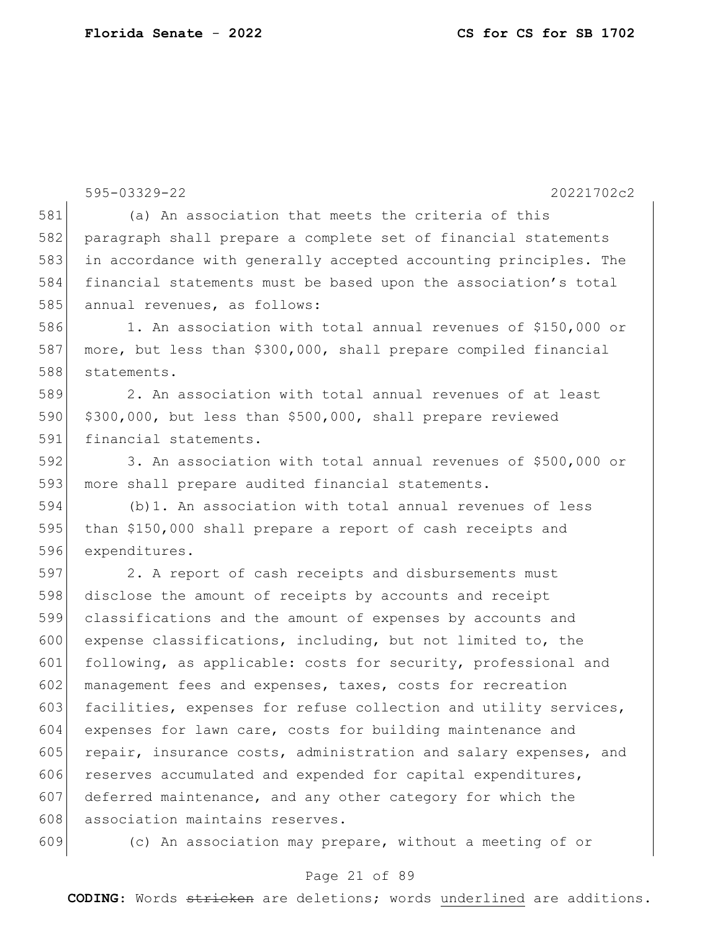595-03329-22 20221702c2 581 (a) An association that meets the criteria of this 582 paragraph shall prepare a complete set of financial statements 583 in accordance with generally accepted accounting principles. The 584 financial statements must be based upon the association's total 585 annual revenues, as follows: 586 1. An association with total annual revenues of \$150,000 or 587 more, but less than \$300,000, shall prepare compiled financial 588 statements. 589 2. An association with total annual revenues of at least  $590$  \$300,000, but less than \$500,000, shall prepare reviewed 591 financial statements. 592 3. An association with total annual revenues of \$500,000 or 593 more shall prepare audited financial statements. 594 (b)1. An association with total annual revenues of less 595 than \$150,000 shall prepare a report of cash receipts and 596 expenditures. 597 2. A report of cash receipts and disbursements must 598 disclose the amount of receipts by accounts and receipt 599 classifications and the amount of expenses by accounts and 600 expense classifications, including, but not limited to, the 601 following, as applicable: costs for security, professional and 602 management fees and expenses, taxes, costs for recreation 603 facilities, expenses for refuse collection and utility services, 604 expenses for lawn care, costs for building maintenance and 605 repair, insurance costs, administration and salary expenses, and 606 reserves accumulated and expended for capital expenditures, 607 deferred maintenance, and any other category for which the 608 association maintains reserves. 609 (c) An association may prepare, without a meeting of or

#### Page 21 of 89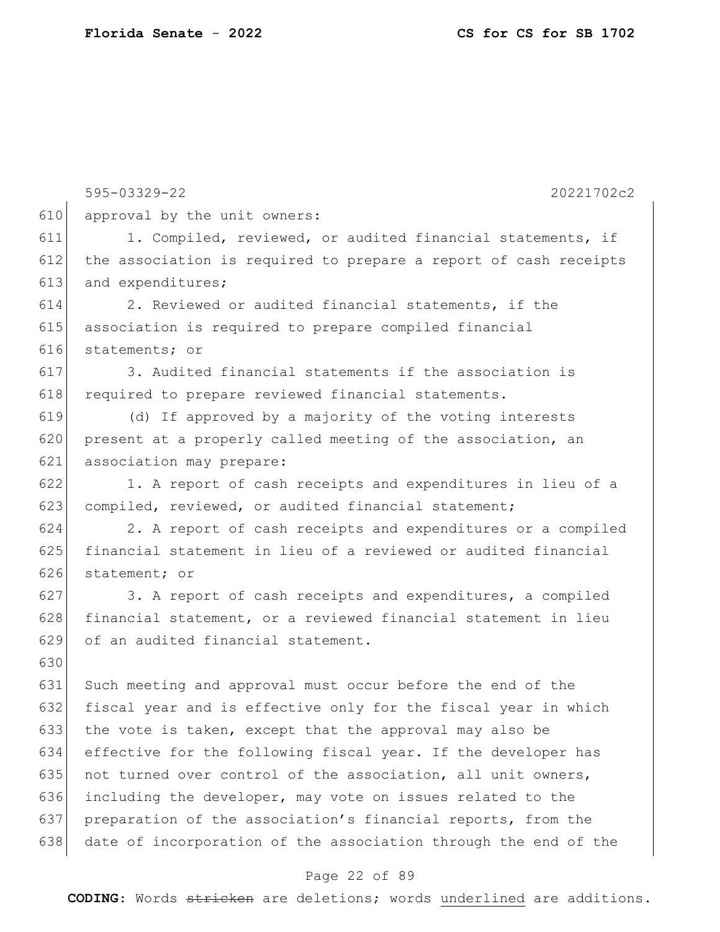595-03329-22 20221702c2 610 approval by the unit owners: 611 1. Compiled, reviewed, or audited financial statements, if 612 the association is required to prepare a report of cash receipts 613 and expenditures; 614 2. Reviewed or audited financial statements, if the 615 association is required to prepare compiled financial 616 statements; or 617 3. Audited financial statements if the association is 618 required to prepare reviewed financial statements. 619 (d) If approved by a majority of the voting interests 620 present at a properly called meeting of the association, an 621 association may prepare: 622 1. A report of cash receipts and expenditures in lieu of a 623 compiled, reviewed, or audited financial statement; 624 2. A report of cash receipts and expenditures or a compiled 625 financial statement in lieu of a reviewed or audited financial 626 statement; or 627 3. A report of cash receipts and expenditures, a compiled 628 financial statement, or a reviewed financial statement in lieu 629 of an audited financial statement. 630 631 Such meeting and approval must occur before the end of the 632 fiscal year and is effective only for the fiscal year in which 633 the vote is taken, except that the approval may also be 634 effective for the following fiscal year. If the developer has 635 not turned over control of the association, all unit owners, 636 including the developer, may vote on issues related to the 637 preparation of the association's financial reports, from the 638 date of incorporation of the association through the end of the

#### Page 22 of 89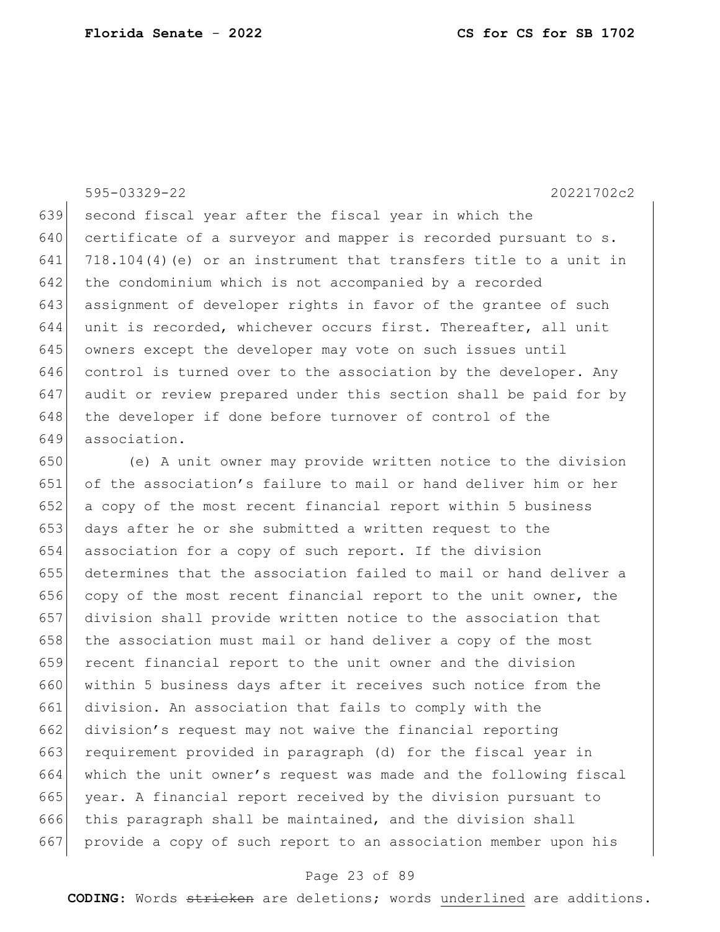595-03329-22 20221702c2

639 second fiscal year after the fiscal year in which the certificate of a surveyor and mapper is recorded pursuant to s. 641 718.104(4) (e) or an instrument that transfers title to a unit in the condominium which is not accompanied by a recorded assignment of developer rights in favor of the grantee of such unit is recorded, whichever occurs first. Thereafter, all unit 645 owners except the developer may vote on such issues until control is turned over to the association by the developer. Any audit or review prepared under this section shall be paid for by 648 the developer if done before turnover of control of the association.

 (e) A unit owner may provide written notice to the division of the association's failure to mail or hand deliver him or her a copy of the most recent financial report within 5 business days after he or she submitted a written request to the association for a copy of such report. If the division determines that the association failed to mail or hand deliver a copy of the most recent financial report to the unit owner, the division shall provide written notice to the association that 658 the association must mail or hand deliver a copy of the most recent financial report to the unit owner and the division within 5 business days after it receives such notice from the division. An association that fails to comply with the division's request may not waive the financial reporting requirement provided in paragraph (d) for the fiscal year in which the unit owner's request was made and the following fiscal year. A financial report received by the division pursuant to 666 this paragraph shall be maintained, and the division shall provide a copy of such report to an association member upon his

#### Page 23 of 89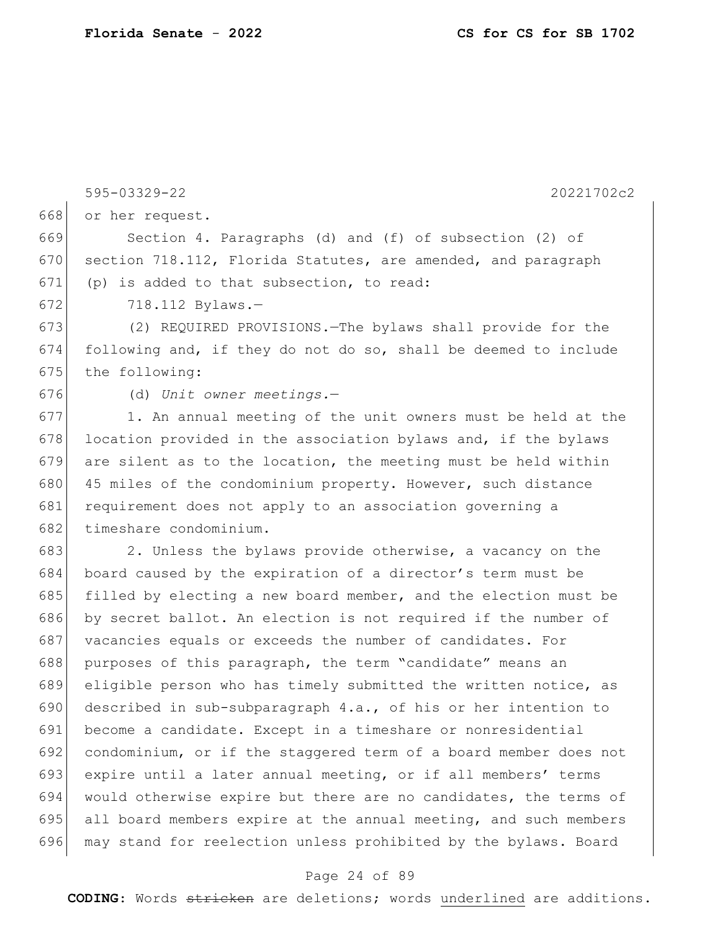595-03329-22 20221702c2 668 or her request. 669 Section 4. Paragraphs (d) and (f) of subsection (2) of 670 section 718.112, Florida Statutes, are amended, and paragraph 671 (p) is added to that subsection, to read: 672 718.112 Bylaws.-673 (2) REQUIRED PROVISIONS.—The bylaws shall provide for the 674 following and, if they do not do so, shall be deemed to include 675 the following: 676 (d) *Unit owner meetings.*—  $677$  1. An annual meeting of the unit owners must be held at the 678 location provided in the association bylaws and, if the bylaws  $679$  are silent as to the location, the meeting must be held within 680 45 miles of the condominium property. However, such distance 681 requirement does not apply to an association governing a 682 timeshare condominium. 683 2. Unless the bylaws provide otherwise, a vacancy on the 684 board caused by the expiration of a director's term must be 685 filled by electing a new board member, and the election must be 686 by secret ballot. An election is not required if the number of 687 vacancies equals or exceeds the number of candidates. For 688 purposes of this paragraph, the term "candidate" means an 689 eligible person who has timely submitted the written notice, as 690 described in sub-subparagraph  $4.a.,$  of his or her intention to 691 become a candidate. Except in a timeshare or nonresidential 692 condominium, or if the staggered term of a board member does not 693 expire until a later annual meeting, or if all members' terms 694 would otherwise expire but there are no candidates, the terms of 695 all board members expire at the annual meeting, and such members 696 may stand for reelection unless prohibited by the bylaws. Board

#### Page 24 of 89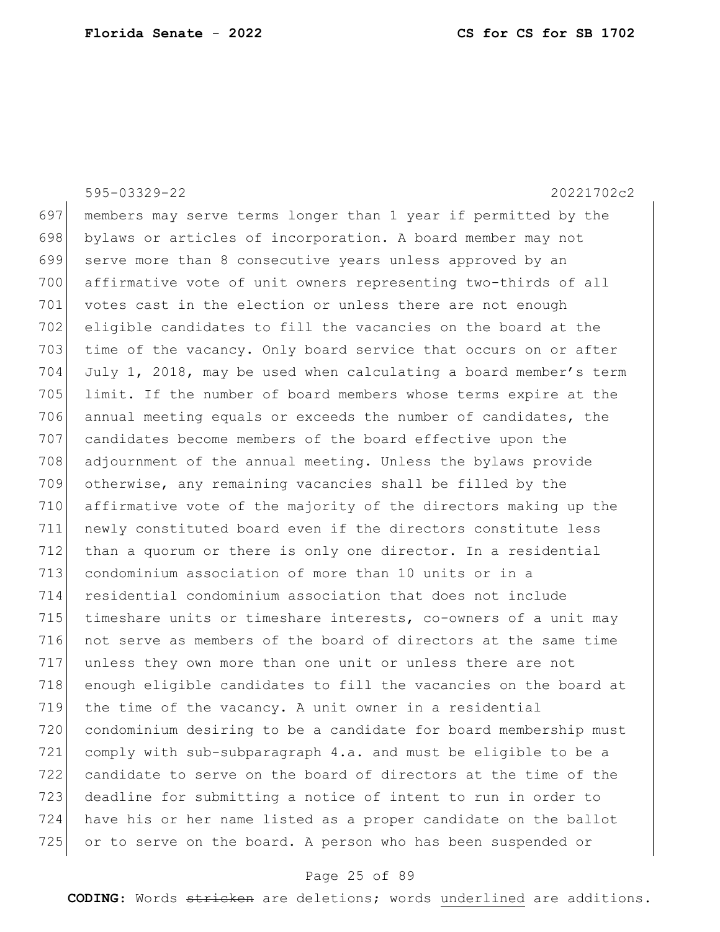| $595 - 03329 - 22$ |  |
|--------------------|--|
|                    |  |
|                    |  |

#### 595-03329-22 20221702c2

 members may serve terms longer than 1 year if permitted by the 698 bylaws or articles of incorporation. A board member may not 699 serve more than 8 consecutive years unless approved by an affirmative vote of unit owners representing two-thirds of all 701 votes cast in the election or unless there are not enough eligible candidates to fill the vacancies on the board at the 703 time of the vacancy. Only board service that occurs on or after July 1, 2018, may be used when calculating a board member's term limit. If the number of board members whose terms expire at the 706 annual meeting equals or exceeds the number of candidates, the candidates become members of the board effective upon the adjournment of the annual meeting. Unless the bylaws provide otherwise, any remaining vacancies shall be filled by the affirmative vote of the majority of the directors making up the newly constituted board even if the directors constitute less than a quorum or there is only one director. In a residential condominium association of more than 10 units or in a residential condominium association that does not include 715 | timeshare units or timeshare interests, co-owners of a unit may not serve as members of the board of directors at the same time unless they own more than one unit or unless there are not enough eligible candidates to fill the vacancies on the board at 719 the time of the vacancy. A unit owner in a residential condominium desiring to be a candidate for board membership must comply with sub-subparagraph 4.a. and must be eligible to be a candidate to serve on the board of directors at the time of the deadline for submitting a notice of intent to run in order to have his or her name listed as a proper candidate on the ballot 725 or to serve on the board. A person who has been suspended or

#### Page 25 of 89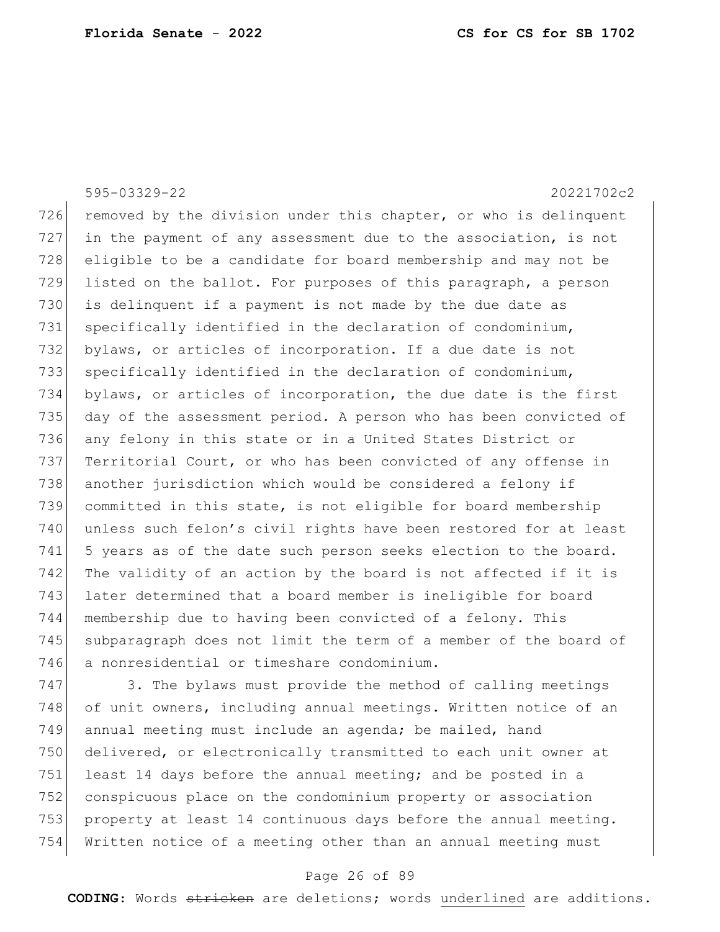595-03329-22 20221702c2 726 removed by the division under this chapter, or who is delinquent 727 in the payment of any assessment due to the association, is not 728 eligible to be a candidate for board membership and may not be 729 listed on the ballot. For purposes of this paragraph, a person 730 is delinquent if a payment is not made by the due date as 731 specifically identified in the declaration of condominium, 732 bylaws, or articles of incorporation. If a due date is not 733 specifically identified in the declaration of condominium, 734 bylaws, or articles of incorporation, the due date is the first 735 day of the assessment period. A person who has been convicted of 736 any felony in this state or in a United States District or 737 Territorial Court, or who has been convicted of any offense in 738 another jurisdiction which would be considered a felony if 739 committed in this state, is not eligible for board membership 740 unless such felon's civil rights have been restored for at least 741 5 years as of the date such person seeks election to the board. 742 The validity of an action by the board is not affected if it is 743 later determined that a board member is ineligible for board 744 membership due to having been convicted of a felony. This 745 subparagraph does not limit the term of a member of the board of 746 a nonresidential or timeshare condominium. 747 3. The bylaws must provide the method of calling meetings

748 of unit owners, including annual meetings. Written notice of an 749 annual meeting must include an agenda; be mailed, hand 750 delivered, or electronically transmitted to each unit owner at  $751$  least 14 days before the annual meeting; and be posted in a 752 conspicuous place on the condominium property or association 753 property at least 14 continuous days before the annual meeting. 754 Written notice of a meeting other than an annual meeting must

### Page 26 of 89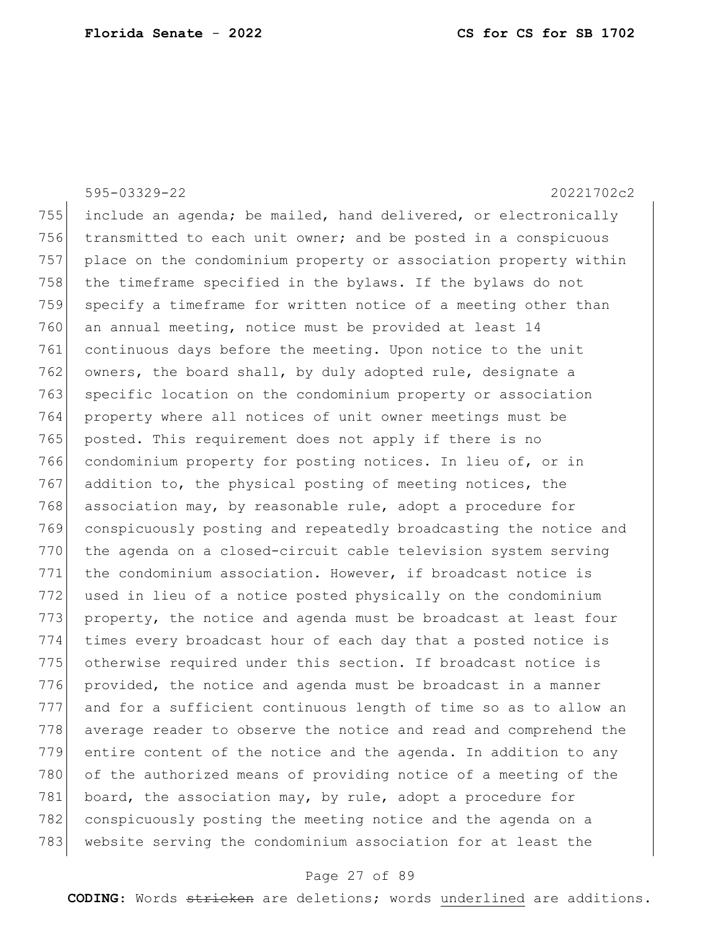# 595-03329-22 20221702c2 755 include an agenda; be mailed, hand delivered, or electronically 756 transmitted to each unit owner; and be posted in a conspicuous 757 place on the condominium property or association property within 758 the timeframe specified in the bylaws. If the bylaws do not 759 specify a timeframe for written notice of a meeting other than 760 an annual meeting, notice must be provided at least 14 761 continuous days before the meeting. Upon notice to the unit  $762$  owners, the board shall, by duly adopted rule, designate a 763 specific location on the condominium property or association 764 property where all notices of unit owner meetings must be 765 posted. This requirement does not apply if there is no 766 condominium property for posting notices. In lieu of, or in 767 addition to, the physical posting of meeting notices, the 768 association may, by reasonable rule, adopt a procedure for 769 conspicuously posting and repeatedly broadcasting the notice and 770 the agenda on a closed-circuit cable television system serving 771 the condominium association. However, if broadcast notice is 772 used in lieu of a notice posted physically on the condominium 773 property, the notice and agenda must be broadcast at least four 774 times every broadcast hour of each day that a posted notice is 775 otherwise required under this section. If broadcast notice is 776 provided, the notice and agenda must be broadcast in a manner 777 and for a sufficient continuous length of time so as to allow an 778 average reader to observe the notice and read and comprehend the 779 entire content of the notice and the agenda. In addition to any 780 of the authorized means of providing notice of a meeting of the 781 board, the association may, by rule, adopt a procedure for 782 conspicuously posting the meeting notice and the agenda on a 783 website serving the condominium association for at least the

#### Page 27 of 89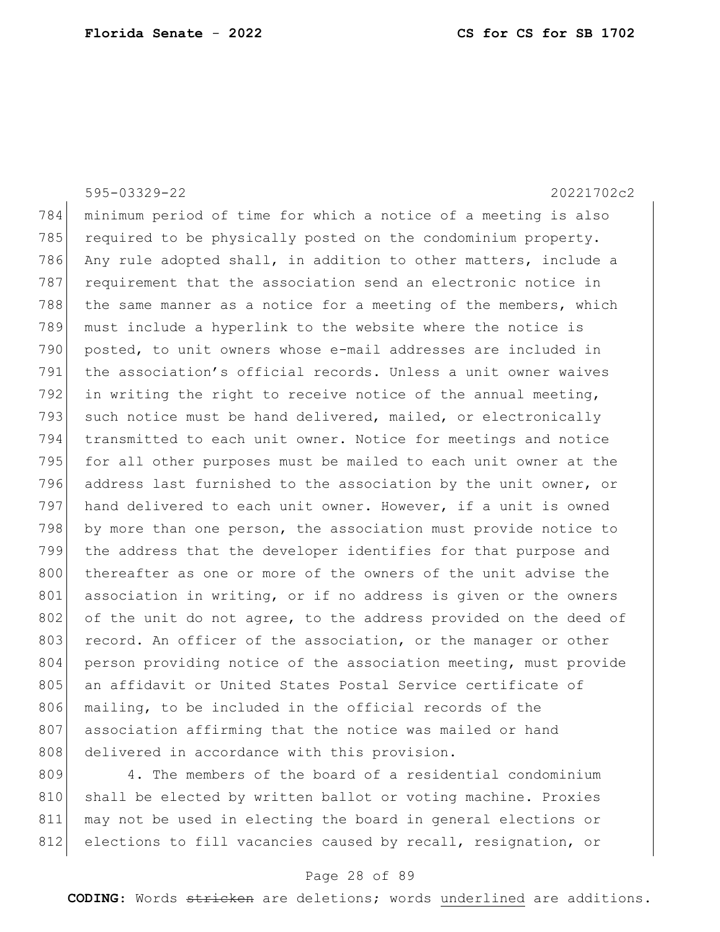595-03329-22 20221702c2 784 minimum period of time for which a notice of a meeting is also 785 required to be physically posted on the condominium property. 786 Any rule adopted shall, in addition to other matters, include a 787 requirement that the association send an electronic notice in 788 the same manner as a notice for a meeting of the members, which 789 must include a hyperlink to the website where the notice is 790 posted, to unit owners whose e-mail addresses are included in 791 the association's official records. Unless a unit owner waives 792 in writing the right to receive notice of the annual meeting,  $793$  such notice must be hand delivered, mailed, or electronically 794 transmitted to each unit owner. Notice for meetings and notice 795 for all other purposes must be mailed to each unit owner at the 796 address last furnished to the association by the unit owner, or 797 hand delivered to each unit owner. However, if a unit is owned 798 by more than one person, the association must provide notice to 799 the address that the developer identifies for that purpose and 800 thereafter as one or more of the owners of the unit advise the 801 association in writing, or if no address is given or the owners 802 of the unit do not agree, to the address provided on the deed of 803 record. An officer of the association, or the manager or other 804 person providing notice of the association meeting, must provide 805 an affidavit or United States Postal Service certificate of 806 mailing, to be included in the official records of the 807 association affirming that the notice was mailed or hand 808 delivered in accordance with this provision.

809 4. The members of the board of a residential condominium 810 shall be elected by written ballot or voting machine. Proxies 811 may not be used in electing the board in general elections or 812 elections to fill vacancies caused by recall, resignation, or

#### Page 28 of 89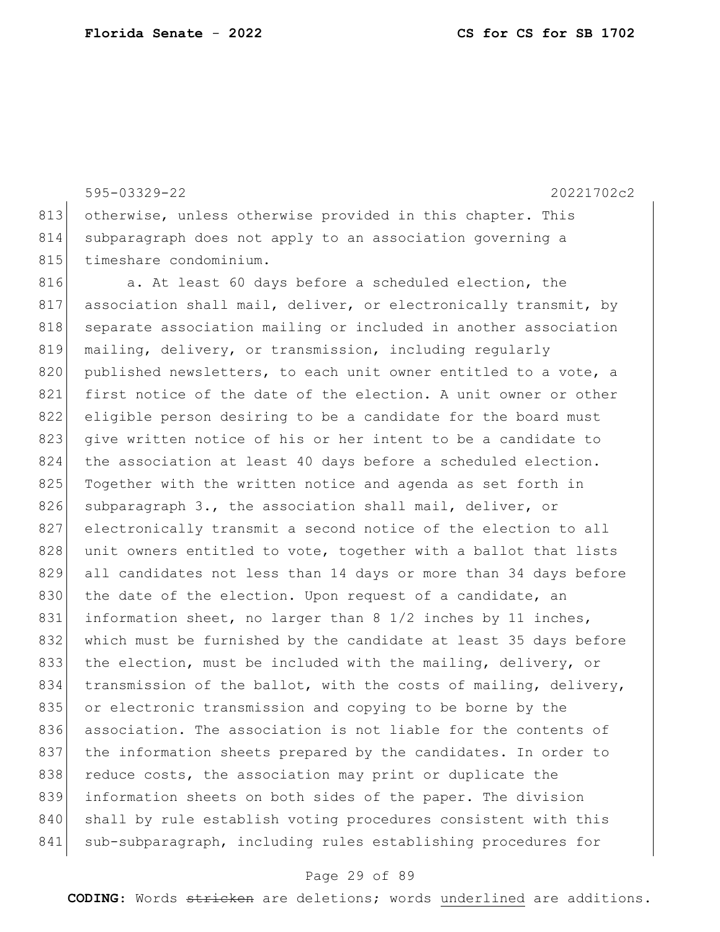595-03329-22 20221702c2 813 otherwise, unless otherwise provided in this chapter. This 814 subparagraph does not apply to an association governing a 815 timeshare condominium.

816 a. At least 60 days before a scheduled election, the 817 association shall mail, deliver, or electronically transmit, by 818 separate association mailing or included in another association 819 mailing, delivery, or transmission, including regularly 820 published newsletters, to each unit owner entitled to a vote, a 821 first notice of the date of the election. A unit owner or other 822 eligible person desiring to be a candidate for the board must 823 give written notice of his or her intent to be a candidate to 824 the association at least 40 days before a scheduled election. 825 Together with the written notice and agenda as set forth in 826 subparagraph 3., the association shall mail, deliver, or 827 electronically transmit a second notice of the election to all 828 unit owners entitled to vote, together with a ballot that lists 829 all candidates not less than 14 days or more than 34 days before 830 the date of the election. Upon request of a candidate, an 831 information sheet, no larger than 8 1/2 inches by 11 inches, 832 which must be furnished by the candidate at least 35 days before 833 the election, must be included with the mailing, delivery, or 834 transmission of the ballot, with the costs of mailing, delivery, 835 or electronic transmission and copying to be borne by the 836 association. The association is not liable for the contents of 837 the information sheets prepared by the candidates. In order to 838 reduce costs, the association may print or duplicate the 839 information sheets on both sides of the paper. The division 840 shall by rule establish voting procedures consistent with this 841 sub-subparagraph, including rules establishing procedures for

#### Page 29 of 89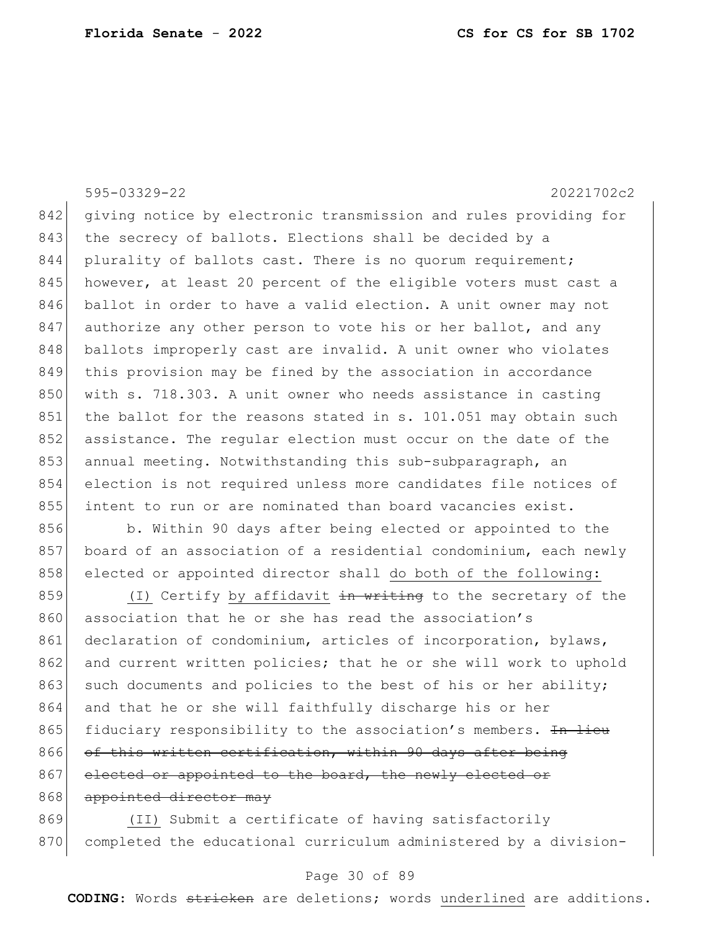595-03329-22 20221702c2 842 giving notice by electronic transmission and rules providing for 843 the secrecy of ballots. Elections shall be decided by a 844 plurality of ballots cast. There is no quorum requirement; 845 however, at least 20 percent of the eligible voters must cast a 846 ballot in order to have a valid election. A unit owner may not 847 authorize any other person to vote his or her ballot, and any 848 ballots improperly cast are invalid. A unit owner who violates 849 this provision may be fined by the association in accordance 850 with s. 718.303. A unit owner who needs assistance in casting 851 the ballot for the reasons stated in s. 101.051 may obtain such 852 assistance. The regular election must occur on the date of the 853 annual meeting. Notwithstanding this sub-subparagraph, an 854 election is not required unless more candidates file notices of 855 intent to run or are nominated than board vacancies exist. 856 b. Within 90 days after being elected or appointed to the 857 board of an association of a residential condominium, each newly 858 elected or appointed director shall do both of the following: 859  $(1)$  Certify by affidavit in writing to the secretary of the 860 association that he or she has read the association's 861 declaration of condominium, articles of incorporation, bylaws, 862 and current written policies; that he or she will work to uphold 863 such documents and policies to the best of his or her ability; 864 and that he or she will faithfully discharge his or her 865 fiduciary responsibility to the association's members. In lieur 866 of this written certification, within 90 days after being

867 elected or appointed to the board, the newly elected or 868 appointed director may

869 (II) Submit a certificate of having satisfactorily 870 completed the educational curriculum administered by a division-

#### Page 30 of 89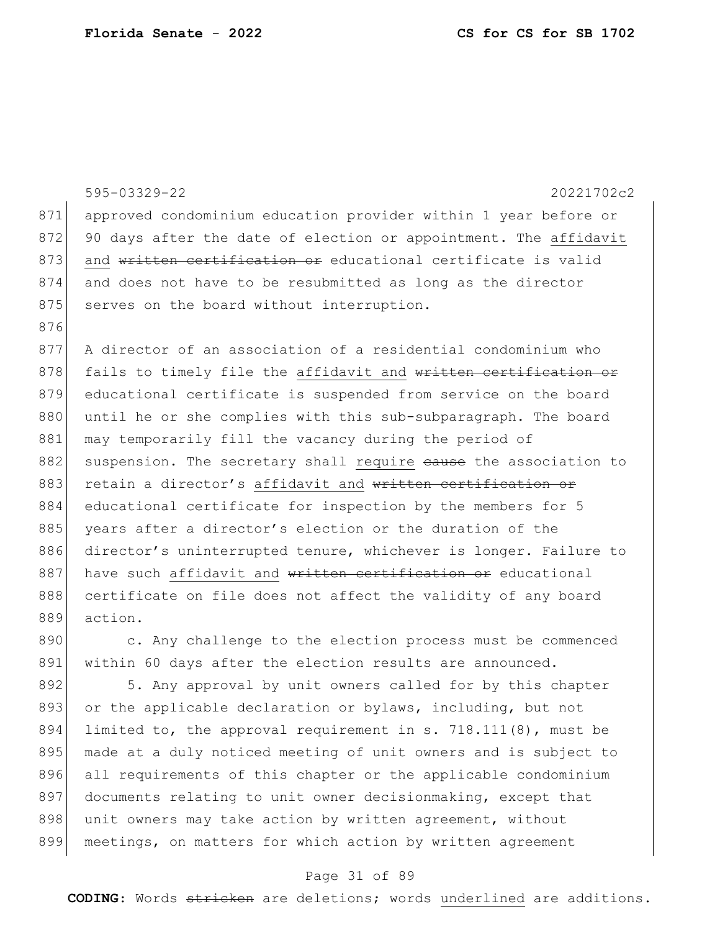|     | 595-03329-22<br>20221702c2                                       |
|-----|------------------------------------------------------------------|
| 871 | approved condominium education provider within 1 year before or  |
| 872 | 90 days after the date of election or appointment. The affidavit |
| 873 | and written certification or educational certificate is valid    |
| 874 | and does not have to be resubmitted as long as the director      |
| 875 | serves on the board without interruption.                        |
| 876 |                                                                  |
| 877 | A director of an association of a residential condominium who    |
| 878 | fails to timely file the affidavit and written certification or  |
| 879 | educational certificate is suspended from service on the board   |
| 880 | until he or she complies with this sub-subparagraph. The board   |
| 881 | may temporarily fill the vacancy during the period of            |
| 882 | suspension. The secretary shall require eause the association to |
| 883 | retain a director's affidavit and written certification or       |
| 884 | educational certificate for inspection by the members for 5      |
| 885 | years after a director's election or the duration of the         |
| 886 | director's uninterrupted tenure, whichever is longer. Failure to |
| 887 | have such affidavit and written certification or educational     |
| 888 | certificate on file does not affect the validity of any board    |
| 889 | action.                                                          |
| 890 | c. Any challenge to the election process must be commenced       |
| 891 | within 60 days after the election results are announced.         |
| 892 | 5. Any approval by unit owners called for by this chapter        |
| 893 | or the applicable declaration or bylaws, including, but not      |
| 894 | limited to, the approval requirement in s. 718.111(8), must be   |
| 895 | made at a duly noticed meeting of unit owners and is subject to  |
| 896 | all requirements of this chapter or the applicable condominium   |

897 documents relating to unit owner decisionmaking, except that 898 unit owners may take action by written agreement, without 899 meetings, on matters for which action by written agreement

### Page 31 of 89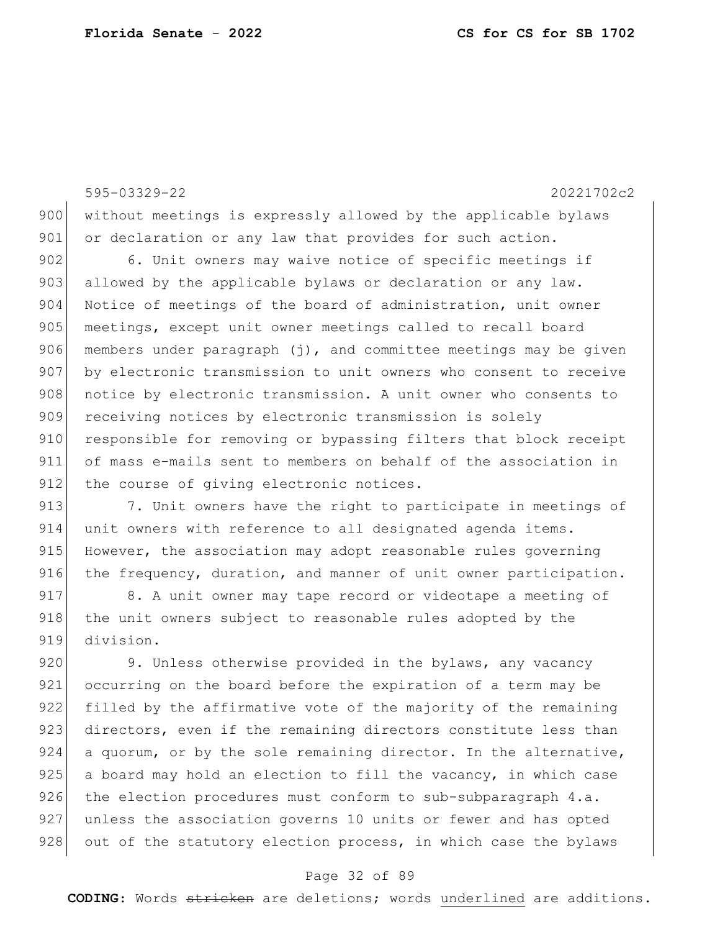595-03329-22 20221702c2 900 without meetings is expressly allowed by the applicable bylaws 901 or declaration or any law that provides for such action.

902 6. Unit owners may waive notice of specific meetings if 903 allowed by the applicable bylaws or declaration or any law. 904 Notice of meetings of the board of administration, unit owner 905 meetings, except unit owner meetings called to recall board 906 members under paragraph  $(j)$ , and committee meetings may be given 907 by electronic transmission to unit owners who consent to receive 908 notice by electronic transmission. A unit owner who consents to 909 receiving notices by electronic transmission is solely 910 responsible for removing or bypassing filters that block receipt 911 of mass e-mails sent to members on behalf of the association in 912 the course of giving electronic notices.

913 7. Unit owners have the right to participate in meetings of 914 unit owners with reference to all designated agenda items. 915 However, the association may adopt reasonable rules governing 916 the frequency, duration, and manner of unit owner participation.

917 8. A unit owner may tape record or videotape a meeting of 918 the unit owners subject to reasonable rules adopted by the 919 division.

920 9. Unless otherwise provided in the bylaws, any vacancy 921 occurring on the board before the expiration of a term may be 922 filled by the affirmative vote of the majority of the remaining 923 directors, even if the remaining directors constitute less than  $924$  a quorum, or by the sole remaining director. In the alternative,  $925$  a board may hold an election to fill the vacancy, in which case  $926$  the election procedures must conform to sub-subparagraph 4.a. 927 unless the association governs 10 units or fewer and has opted  $928$  out of the statutory election process, in which case the bylaws

#### Page 32 of 89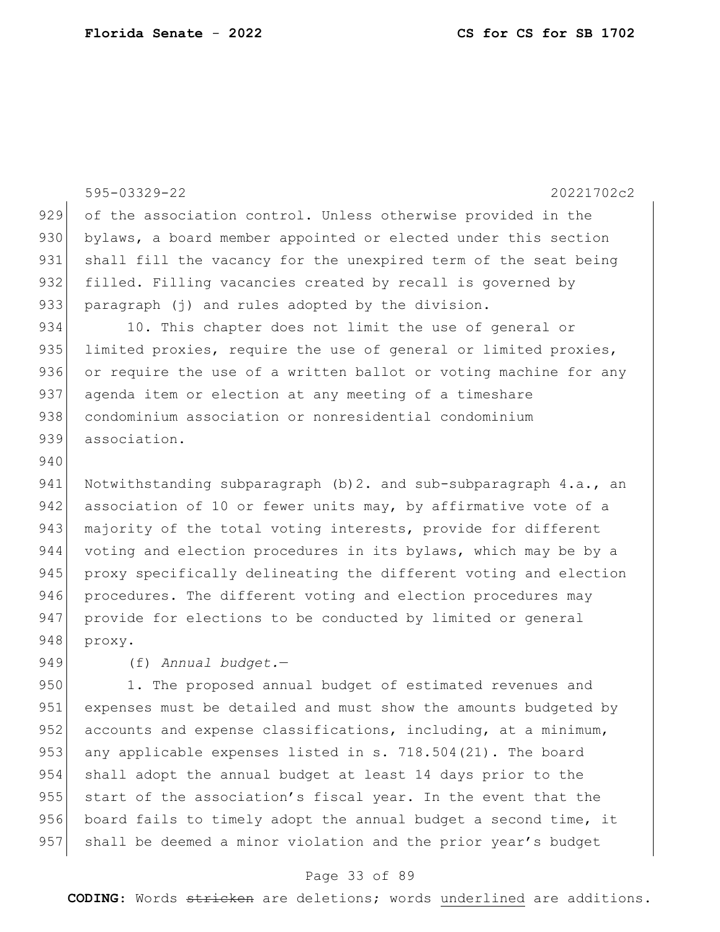|     | 595-03329-22<br>20221702c2                                        |
|-----|-------------------------------------------------------------------|
| 929 | of the association control. Unless otherwise provided in the      |
| 930 | bylaws, a board member appointed or elected under this section    |
| 931 | shall fill the vacancy for the unexpired term of the seat being   |
| 932 | filled. Filling vacancies created by recall is governed by        |
| 933 | paragraph (j) and rules adopted by the division.                  |
| 934 | 10. This chapter does not limit the use of general or             |
| 935 | limited proxies, require the use of general or limited proxies,   |
| 936 | or require the use of a written ballot or voting machine for any  |
| 937 | agenda item or election at any meeting of a timeshare             |
| 938 | condominium association or nonresidential condominium             |
| 939 | association.                                                      |
| 940 |                                                                   |
| 941 | Notwithstanding subparagraph (b) 2. and sub-subparagraph 4.a., an |
| 942 | association of 10 or fewer units may, by affirmative vote of a    |
| 943 | majority of the total voting interests, provide for different     |
| 944 | voting and election procedures in its bylaws, which may be by a   |
| 945 | proxy specifically delineating the different voting and election  |
| 946 | procedures. The different voting and election procedures may      |
| 947 | provide for elections to be conducted by limited or general       |
| 948 | proxy.                                                            |
| 949 | $(f)$ Annual budget.-                                             |
| 950 | 1. The proposed annual budget of estimated revenues and           |
| 951 | expenses must be detailed and must show the amounts budgeted by   |
| 952 | accounts and expense classifications, including, at a minimum,    |
| 953 | any applicable expenses listed in s. 718.504(21). The board       |
| 954 | shall adopt the annual budget at least 14 days prior to the       |

955 start of the association's fiscal year. In the event that the board fails to timely adopt the annual budget a second time, it 957 shall be deemed a minor violation and the prior year's budget

### Page 33 of 89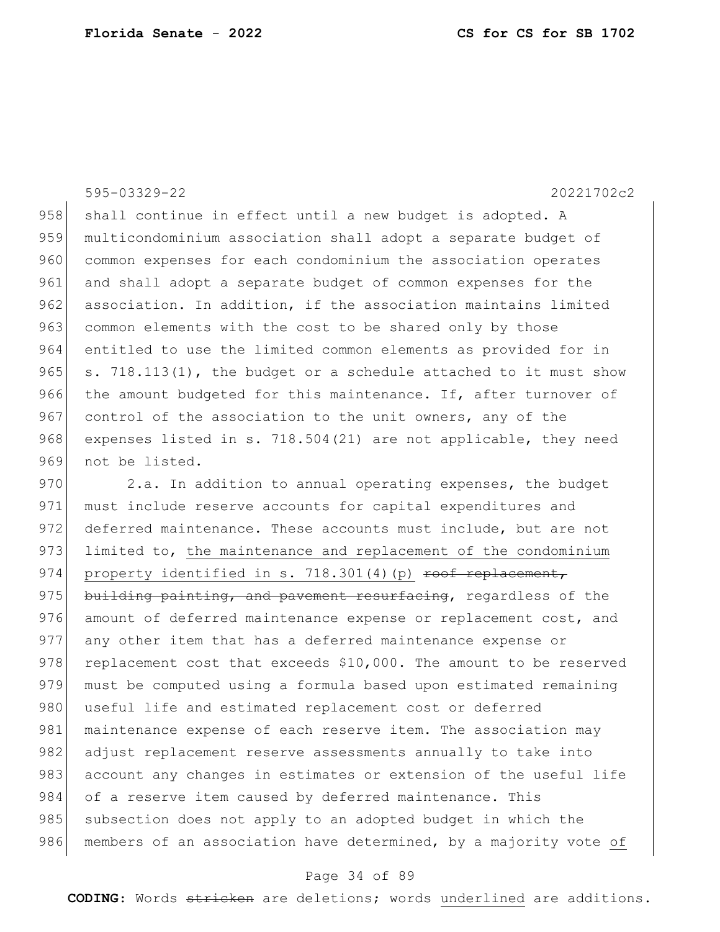595-03329-22 20221702c2

958 shall continue in effect until a new budget is adopted. A 959 multicondominium association shall adopt a separate budget of 960 common expenses for each condominium the association operates 961 and shall adopt a separate budget of common expenses for the 962 association. In addition, if the association maintains limited 963 common elements with the cost to be shared only by those 964 entitled to use the limited common elements as provided for in 965 s. 718.113(1), the budget or a schedule attached to it must show 966 the amount budgeted for this maintenance. If, after turnover of 967 control of the association to the unit owners, any of the 968 expenses listed in s. 718.504(21) are not applicable, they need 969 not be listed.

970 2.a. In addition to annual operating expenses, the budget 971 must include reserve accounts for capital expenditures and 972 deferred maintenance. These accounts must include, but are not  $973$  limited to, the maintenance and replacement of the condominium 974 property identified in s. 718.301(4)(p) roof replacement,  $975$  building painting, and pavement resurfacing, regardless of the 976 amount of deferred maintenance expense or replacement cost, and 977 any other item that has a deferred maintenance expense or 978 replacement cost that exceeds \$10,000. The amount to be reserved 979 must be computed using a formula based upon estimated remaining 980 useful life and estimated replacement cost or deferred 981 maintenance expense of each reserve item. The association may 982 adjust replacement reserve assessments annually to take into 983 account any changes in estimates or extension of the useful life 984 of a reserve item caused by deferred maintenance. This 985 subsection does not apply to an adopted budget in which the 986 members of an association have determined, by a majority vote of

#### Page 34 of 89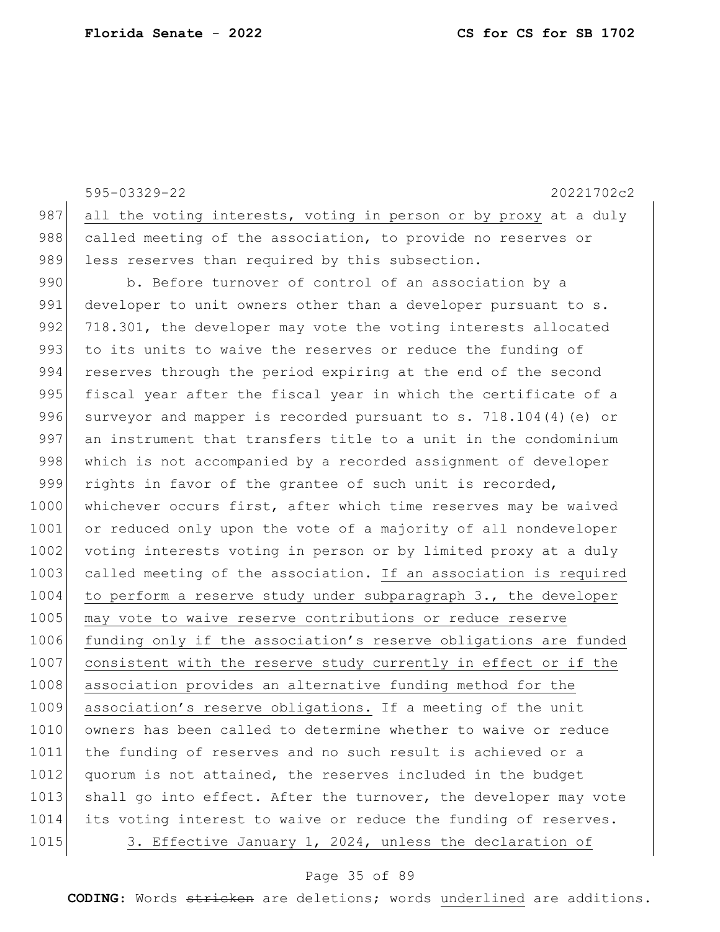595-03329-22 20221702c2 987 all the voting interests, voting in person or by proxy at a duly 988 called meeting of the association, to provide no reserves or 989 less reserves than required by this subsection. 990 b. Before turnover of control of an association by a 991 developer to unit owners other than a developer pursuant to s. 992 718.301, the developer may vote the voting interests allocated 993 to its units to waive the reserves or reduce the funding of 994 reserves through the period expiring at the end of the second 995 fiscal year after the fiscal year in which the certificate of a 996 surveyor and mapper is recorded pursuant to s. 718.104(4) (e) or 997 an instrument that transfers title to a unit in the condominium 998 which is not accompanied by a recorded assignment of developer 999 rights in favor of the grantee of such unit is recorded, 1000 whichever occurs first, after which time reserves may be waived 1001 or reduced only upon the vote of a majority of all nondeveloper 1002 voting interests voting in person or by limited proxy at a duly 1003 called meeting of the association. If an association is required 1004 to perform a reserve study under subparagraph 3., the developer 1005 may vote to waive reserve contributions or reduce reserve 1006 funding only if the association's reserve obligations are funded 1007 consistent with the reserve study currently in effect or if the 1008 association provides an alternative funding method for the 1009 association's reserve obligations. If a meeting of the unit 1010 owners has been called to determine whether to waive or reduce 1011 the funding of reserves and no such result is achieved or a 1012 quorum is not attained, the reserves included in the budget 1013 shall go into effect. After the turnover, the developer may vote 1014 its voting interest to waive or reduce the funding of reserves. 1015 3. Effective January 1, 2024, unless the declaration of

#### Page 35 of 89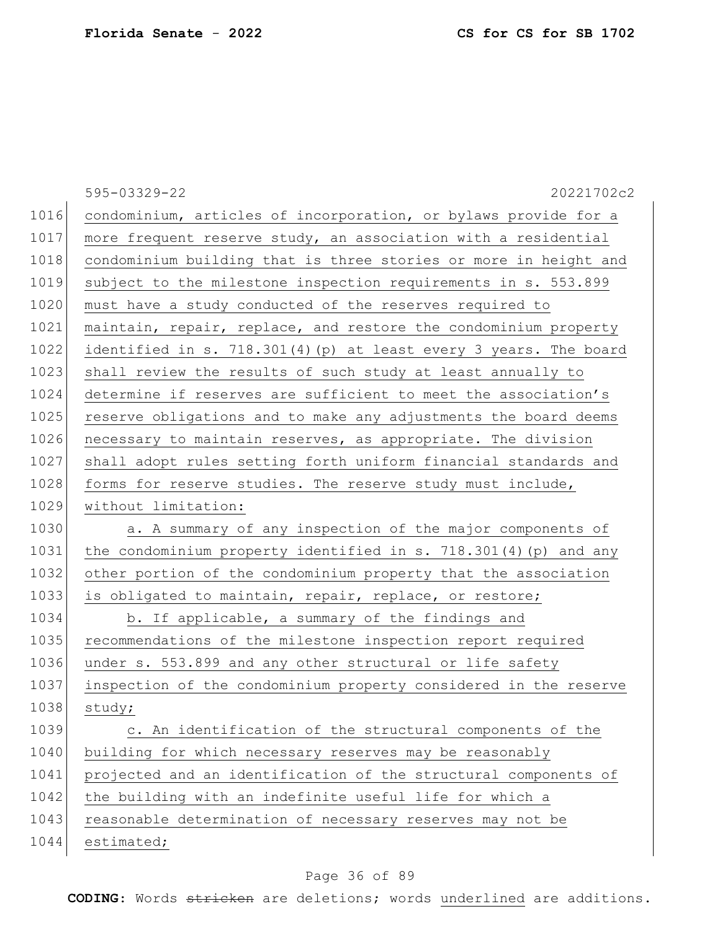|      | 595-03329-22<br>20221702c2                                         |
|------|--------------------------------------------------------------------|
| 1016 | condominium, articles of incorporation, or bylaws provide for a    |
| 1017 | more frequent reserve study, an association with a residential     |
| 1018 | condominium building that is three stories or more in height and   |
| 1019 | subject to the milestone inspection requirements in s. 553.899     |
| 1020 | must have a study conducted of the reserves required to            |
| 1021 | maintain, repair, replace, and restore the condominium property    |
| 1022 | identified in s. 718.301(4)(p) at least every 3 years. The board   |
| 1023 | shall review the results of such study at least annually to        |
| 1024 | determine if reserves are sufficient to meet the association's     |
| 1025 | reserve obligations and to make any adjustments the board deems    |
| 1026 | necessary to maintain reserves, as appropriate. The division       |
| 1027 | shall adopt rules setting forth uniform financial standards and    |
| 1028 | forms for reserve studies. The reserve study must include,         |
| 1029 | without limitation:                                                |
| 1030 | a. A summary of any inspection of the major components of          |
| 1031 | the condominium property identified in $s. 718.301(4)$ (p) and any |
| 1032 | other portion of the condominium property that the association     |
| 1033 | is obligated to maintain, repair, replace, or restore;             |
| 1034 | b. If applicable, a summary of the findings and                    |
| 1035 | recommendations of the milestone inspection report required        |
| 1036 | under s. 553.899 and any other structural or life safety           |
| 1037 | inspection of the condominium property considered in the reserve   |
| 1038 | study;                                                             |
| 1039 | c. An identification of the structural components of the           |
| 1040 | building for which necessary reserves may be reasonably            |
| 1041 | projected and an identification of the structural components of    |
| 1042 | the building with an indefinite useful life for which a            |
| 1043 | reasonable determination of necessary reserves may not be          |
| 1044 | estimated;                                                         |

## Page 36 of 89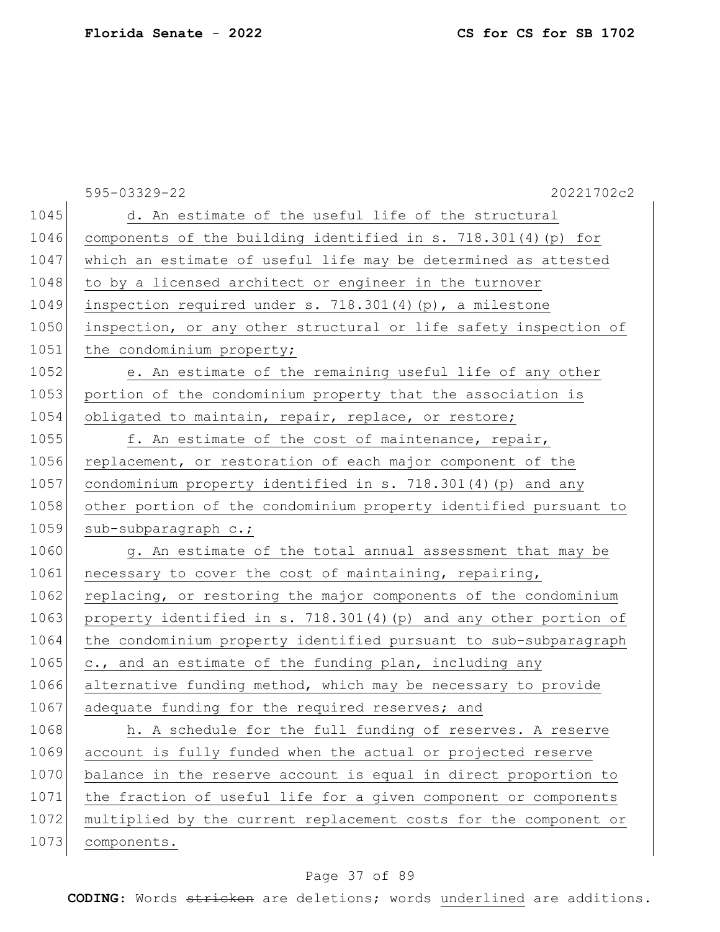|      | $595 - 03329 - 22$<br>20221702c2                                  |
|------|-------------------------------------------------------------------|
| 1045 | d. An estimate of the useful life of the structural               |
| 1046 | components of the building identified in s. 718.301(4) (p) for    |
| 1047 | which an estimate of useful life may be determined as attested    |
| 1048 | to by a licensed architect or engineer in the turnover            |
| 1049 | inspection required under s. $718.301(4)$ (p), a milestone        |
| 1050 | inspection, or any other structural or life safety inspection of  |
| 1051 | the condominium property;                                         |
| 1052 | e. An estimate of the remaining useful life of any other          |
| 1053 | portion of the condominium property that the association is       |
| 1054 | obligated to maintain, repair, replace, or restore;               |
| 1055 | f. An estimate of the cost of maintenance, repair,                |
| 1056 | replacement, or restoration of each major component of the        |
| 1057 | condominium property identified in s. 718.301(4) (p) and any      |
| 1058 | other portion of the condominium property identified pursuant to  |
| 1059 | sub-subparagraph c.;                                              |
| 1060 | g. An estimate of the total annual assessment that may be         |
| 1061 | necessary to cover the cost of maintaining, repairing,            |
| 1062 | replacing, or restoring the major components of the condominium   |
| 1063 | property identified in s. 718.301(4) (p) and any other portion of |
| 1064 | the condominium property identified pursuant to sub-subparagraph  |
| 1065 | c., and an estimate of the funding plan, including any            |
| 1066 | alternative funding method, which may be necessary to provide     |
| 1067 | adequate funding for the required reserves; and                   |
| 1068 | h. A schedule for the full funding of reserves. A reserve         |
| 1069 | account is fully funded when the actual or projected reserve      |
| 1070 | balance in the reserve account is equal in direct proportion to   |
| 1071 | the fraction of useful life for a given component or components   |
| 1072 | multiplied by the current replacement costs for the component or  |
| 1073 | components.                                                       |

# Page 37 of 89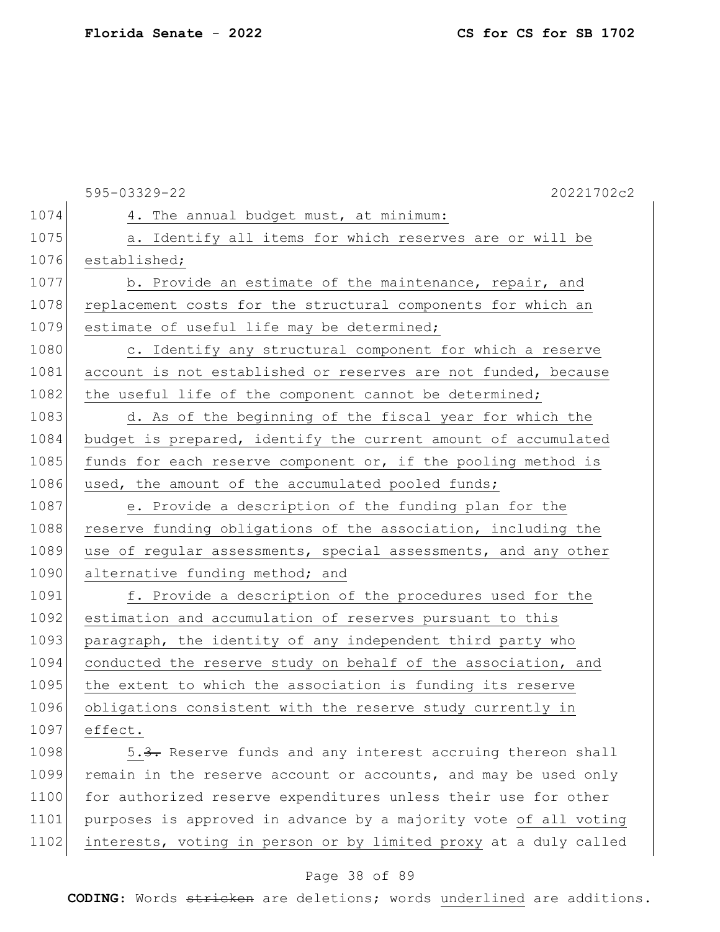|      | 20221702c2<br>595-03329-22                                       |
|------|------------------------------------------------------------------|
| 1074 | 4. The annual budget must, at minimum:                           |
| 1075 | a. Identify all items for which reserves are or will be          |
| 1076 | established;                                                     |
| 1077 | b. Provide an estimate of the maintenance, repair, and           |
| 1078 | replacement costs for the structural components for which an     |
| 1079 | estimate of useful life may be determined;                       |
| 1080 | c. Identify any structural component for which a reserve         |
| 1081 | account is not established or reserves are not funded, because   |
| 1082 | the useful life of the component cannot be determined;           |
| 1083 | d. As of the beginning of the fiscal year for which the          |
| 1084 | budget is prepared, identify the current amount of accumulated   |
| 1085 | funds for each reserve component or, if the pooling method is    |
| 1086 | used, the amount of the accumulated pooled funds;                |
| 1087 | e. Provide a description of the funding plan for the             |
| 1088 | reserve funding obligations of the association, including the    |
| 1089 | use of regular assessments, special assessments, and any other   |
| 1090 | alternative funding method; and                                  |
| 1091 | f. Provide a description of the procedures used for the          |
| 1092 | estimation and accumulation of reserves pursuant to this         |
| 1093 | paragraph, the identity of any independent third party who       |
| 1094 | conducted the reserve study on behalf of the association, and    |
| 1095 | the extent to which the association is funding its reserve       |
| 1096 | obligations consistent with the reserve study currently in       |
| 1097 | effect.                                                          |
| 1098 | 5.3. Reserve funds and any interest accruing thereon shall       |
| 1099 | remain in the reserve account or accounts, and may be used only  |
| 1100 | for authorized reserve expenditures unless their use for other   |
| 1101 | purposes is approved in advance by a majority vote of all voting |

# Page 38 of 89

1102 interests, voting in person or by limited proxy at a duly called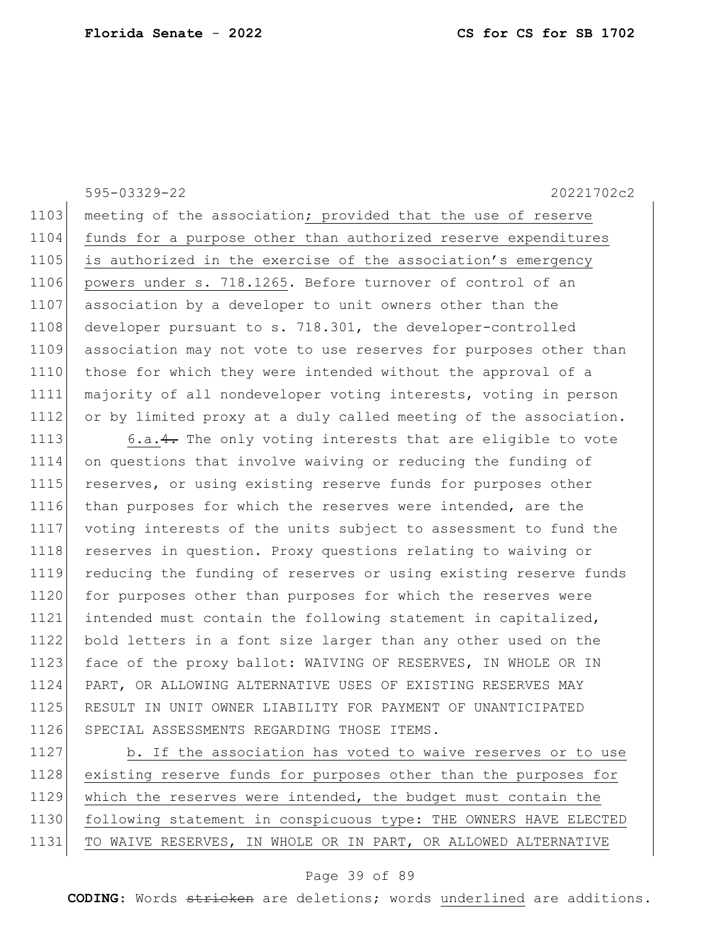595-03329-22 20221702c2

1103 meeting of the association; provided that the use of reserve 1104 funds for a purpose other than authorized reserve expenditures 1105 is authorized in the exercise of the association's emergency 1106 powers under s. 718.1265. Before turnover of control of an 1107 association by a developer to unit owners other than the 1108 developer pursuant to s. 718.301, the developer-controlled 1109 association may not vote to use reserves for purposes other than 1110 those for which they were intended without the approval of a 1111 majority of all nondeveloper voting interests, voting in person 1112 or by limited proxy at a duly called meeting of the association.

1113 6.a.  $4$ . The only voting interests that are eligible to vote 1114 on questions that involve waiving or reducing the funding of 1115 reserves, or using existing reserve funds for purposes other 1116 than purposes for which the reserves were intended, are the 1117 voting interests of the units subject to assessment to fund the 1118 reserves in question. Proxy questions relating to waiving or 1119 reducing the funding of reserves or using existing reserve funds 1120 for purposes other than purposes for which the reserves were 1121 intended must contain the following statement in capitalized, 1122 bold letters in a font size larger than any other used on the 1123 face of the proxy ballot: WAIVING OF RESERVES, IN WHOLE OR IN 1124 PART, OR ALLOWING ALTERNATIVE USES OF EXISTING RESERVES MAY 1125 RESULT IN UNIT OWNER LIABILITY FOR PAYMENT OF UNANTICIPATED 1126 SPECIAL ASSESSMENTS REGARDING THOSE ITEMS.

1127 b. If the association has voted to waive reserves or to use 1128 existing reserve funds for purposes other than the purposes for 1129 which the reserves were intended, the budget must contain the 1130 following statement in conspicuous type: THE OWNERS HAVE ELECTED 1131 TO WAIVE RESERVES, IN WHOLE OR IN PART, OR ALLOWED ALTERNATIVE

#### Page 39 of 89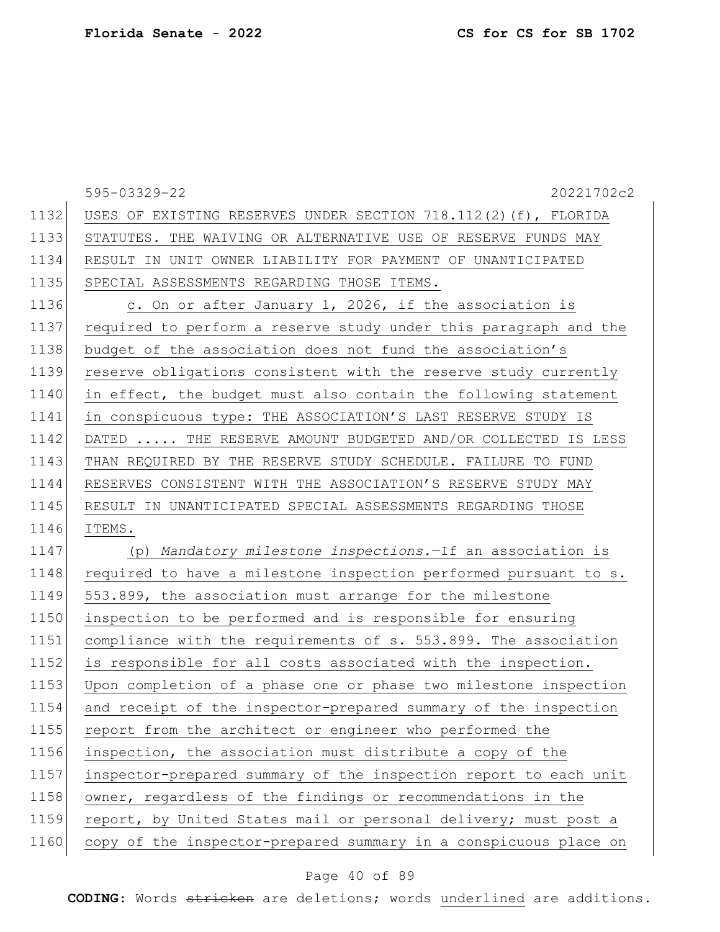|      | 595-03329-22<br>20221702c2                                       |
|------|------------------------------------------------------------------|
| 1132 | USES OF EXISTING RESERVES UNDER SECTION 718.112(2)(f), FLORIDA   |
| 1133 | STATUTES. THE WAIVING OR ALTERNATIVE USE OF RESERVE FUNDS MAY    |
| 1134 | RESULT IN UNIT OWNER LIABILITY FOR PAYMENT OF UNANTICIPATED      |
| 1135 | SPECIAL ASSESSMENTS REGARDING THOSE ITEMS.                       |
| 1136 | c. On or after January 1, 2026, if the association is            |
| 1137 | required to perform a reserve study under this paragraph and the |
| 1138 | budget of the association does not fund the association's        |
| 1139 | reserve obligations consistent with the reserve study currently  |
| 1140 | in effect, the budget must also contain the following statement  |
| 1141 | in conspicuous type: THE ASSOCIATION'S LAST RESERVE STUDY IS     |
| 1142 | DATED  THE RESERVE AMOUNT BUDGETED AND/OR COLLECTED IS LESS      |
| 1143 | THAN REQUIRED BY THE RESERVE STUDY SCHEDULE. FAILURE TO FUND     |
| 1144 | RESERVES CONSISTENT WITH THE ASSOCIATION'S RESERVE STUDY MAY     |
| 1145 | RESULT IN UNANTICIPATED SPECIAL ASSESSMENTS REGARDING THOSE      |
| 1146 | ITEMS.                                                           |
| 1147 | (p) Mandatory milestone inspections. - If an association is      |
| 1148 | required to have a milestone inspection performed pursuant to s. |
| 1149 | 553.899, the association must arrange for the milestone          |
| 1150 | inspection to be performed and is responsible for ensuring       |
| 1151 | compliance with the requirements of s. 553.899. The association  |
| 1152 | is responsible for all costs associated with the inspection.     |
| 1153 | Upon completion of a phase one or phase two milestone inspection |
| 1154 | and receipt of the inspector-prepared summary of the inspection  |
| 1155 | report from the architect or engineer who performed the          |
| 1156 | inspection, the association must distribute a copy of the        |
| 1157 | inspector-prepared summary of the inspection report to each unit |
| 1158 | owner, regardless of the findings or recommendations in the      |
| 1159 | report, by United States mail or personal delivery; must post a  |
| 1160 | copy of the inspector-prepared summary in a conspicuous place on |

# Page 40 of 89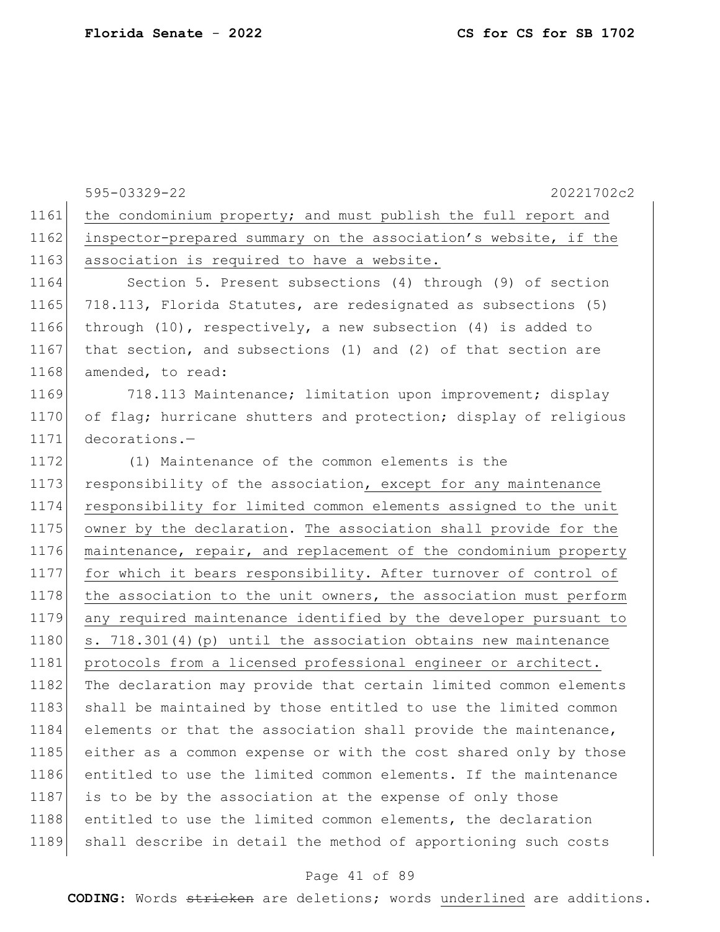|      | 595-03329-22<br>20221702c2                                       |
|------|------------------------------------------------------------------|
| 1161 | the condominium property; and must publish the full report and   |
| 1162 | inspector-prepared summary on the association's website, if the  |
| 1163 | association is required to have a website.                       |
| 1164 | Section 5. Present subsections (4) through (9) of section        |
| 1165 | 718.113, Florida Statutes, are redesignated as subsections (5)   |
| 1166 | through (10), respectively, a new subsection (4) is added to     |
| 1167 | that section, and subsections (1) and (2) of that section are    |
| 1168 | amended, to read:                                                |
| 1169 | 718.113 Maintenance; limitation upon improvement; display        |
| 1170 | of flag; hurricane shutters and protection; display of religious |
| 1171 | $decorations.$ -                                                 |
| 1172 | (1) Maintenance of the common elements is the                    |
| 1173 | responsibility of the association, except for any maintenance    |
| 1174 | responsibility for limited common elements assigned to the unit  |
| 1175 | owner by the declaration. The association shall provide for the  |
| 1176 | maintenance, repair, and replacement of the condominium property |
| 1177 | for which it bears responsibility. After turnover of control of  |
| 1178 | the association to the unit owners, the association must perform |
| 1179 | any required maintenance identified by the developer pursuant to |
| 1180 | s. 718.301(4) (p) until the association obtains new maintenance  |
| 1181 | protocols from a licensed professional engineer or architect.    |
| 1182 | The declaration may provide that certain limited common elements |
| 1183 | shall be maintained by those entitled to use the limited common  |
| 1184 | elements or that the association shall provide the maintenance,  |
| 1185 | either as a common expense or with the cost shared only by those |
| 1186 | entitled to use the limited common elements. If the maintenance  |
| 1187 | is to be by the association at the expense of only those         |
| 1188 | entitled to use the limited common elements, the declaration     |
| 1189 | shall describe in detail the method of apportioning such costs   |

# Page 41 of 89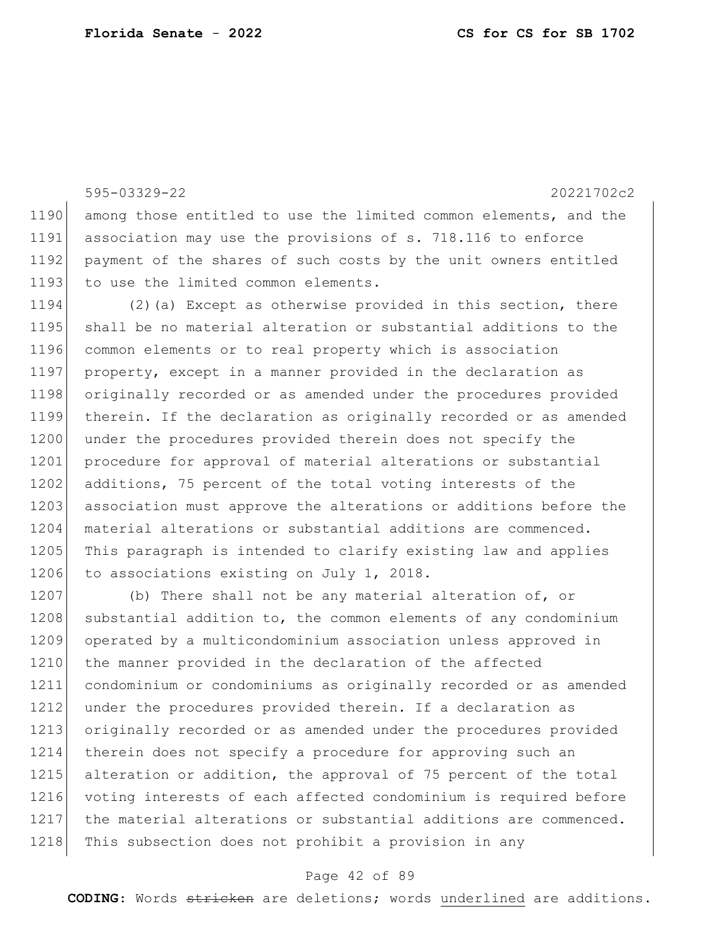595-03329-22 20221702c2 1190 among those entitled to use the limited common elements, and the 1191 association may use the provisions of s. 718.116 to enforce 1192 payment of the shares of such costs by the unit owners entitled 1193 to use the limited common elements. 1194 (2)(a) Except as otherwise provided in this section, there 1195 shall be no material alteration or substantial additions to the 1196 common elements or to real property which is association 1197 property, except in a manner provided in the declaration as 1198 originally recorded or as amended under the procedures provided 1199 therein. If the declaration as originally recorded or as amended 1200 under the procedures provided therein does not specify the 1201 procedure for approval of material alterations or substantial 1202 additions, 75 percent of the total voting interests of the 1203 association must approve the alterations or additions before the 1204 material alterations or substantial additions are commenced. 1205 This paragraph is intended to clarify existing law and applies 1206 to associations existing on July 1, 2018.

1207 (b) There shall not be any material alteration of, or 1208 substantial addition to, the common elements of any condominium 1209 operated by a multicondominium association unless approved in 1210 the manner provided in the declaration of the affected 1211 condominium or condominiums as originally recorded or as amended 1212 under the procedures provided therein. If a declaration as 1213 originally recorded or as amended under the procedures provided 1214 therein does not specify a procedure for approving such an 1215 alteration or addition, the approval of 75 percent of the total 1216 voting interests of each affected condominium is required before 1217 the material alterations or substantial additions are commenced. 1218 This subsection does not prohibit a provision in any

#### Page 42 of 89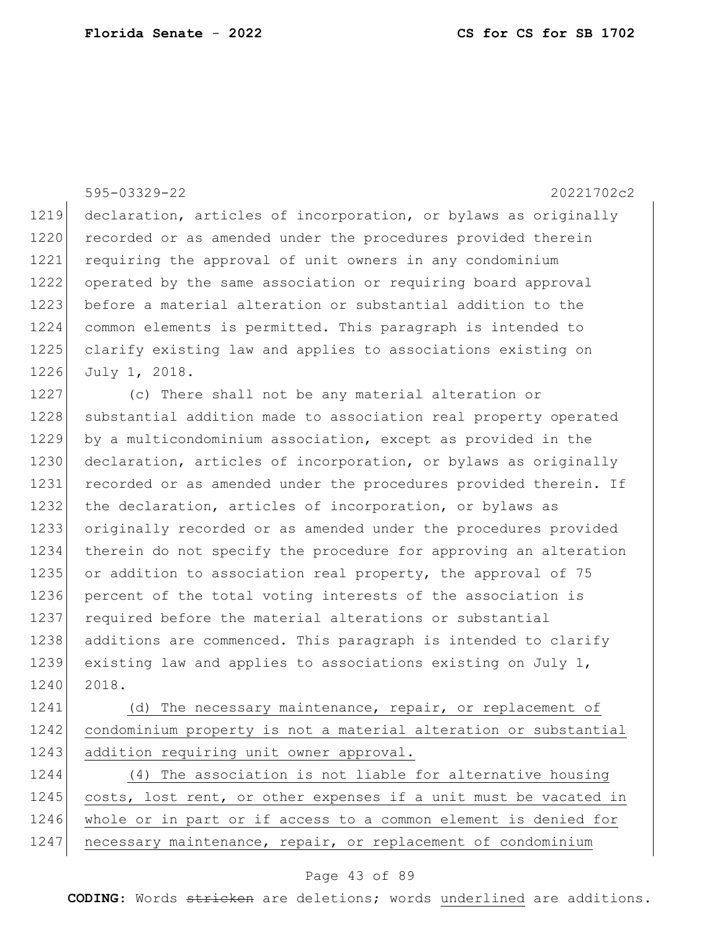595-03329-22 20221702c2 1219 declaration, articles of incorporation, or bylaws as originally 1220 recorded or as amended under the procedures provided therein 1221 requiring the approval of unit owners in any condominium 1222 operated by the same association or requiring board approval 1223 before a material alteration or substantial addition to the 1224 common elements is permitted. This paragraph is intended to 1225 clarify existing law and applies to associations existing on 1226 July 1, 2018. 1227 (c) There shall not be any material alteration or 1228 substantial addition made to association real property operated 1229 by a multicondominium association, except as provided in the 1230 declaration, articles of incorporation, or bylaws as originally 1231 recorded or as amended under the procedures provided therein. If 1232 the declaration, articles of incorporation, or bylaws as 1233 originally recorded or as amended under the procedures provided 1234 therein do not specify the procedure for approving an alteration 1235 or addition to association real property, the approval of 75 1236 percent of the total voting interests of the association is 1237 required before the material alterations or substantial 1238 additions are commenced. This paragraph is intended to clarify 1239 existing law and applies to associations existing on July 1, 1240 2018. 1241 (d) The necessary maintenance, repair, or replacement of 1242 condominium property is not a material alteration or substantial 1243 addition requiring unit owner approval. 1244 (4) The association is not liable for alternative housing

1245 costs, lost rent, or other expenses if a unit must be vacated in 1246 whole or in part or if access to a common element is denied for 1247 necessary maintenance, repair, or replacement of condominium

## Page 43 of 89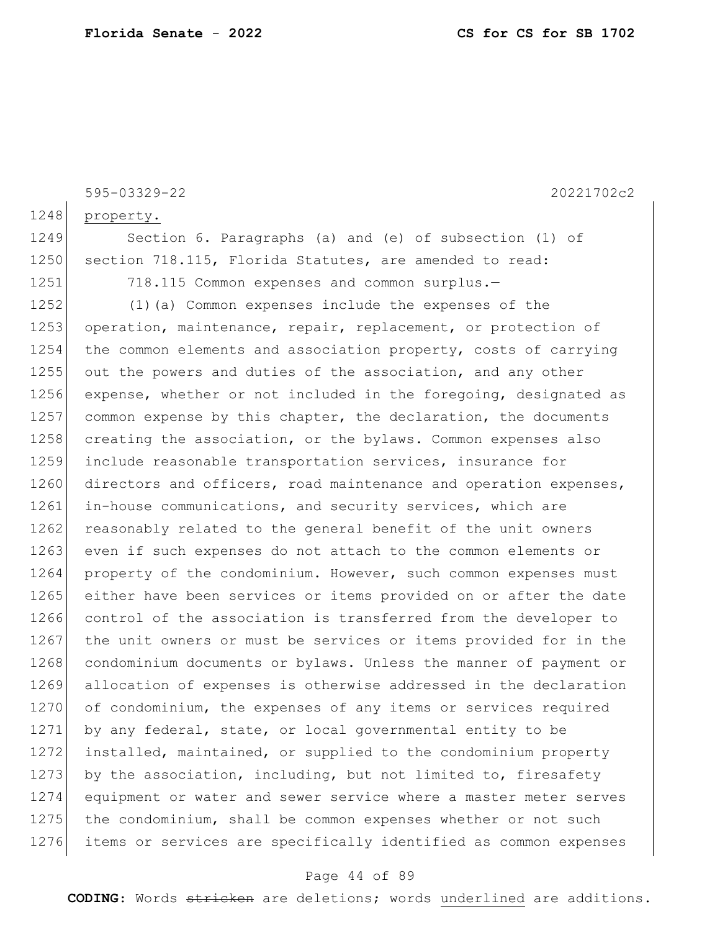595-03329-22 20221702c2 1248 property. 1249 Section 6. Paragraphs (a) and (e) of subsection (1) of 1250 section 718.115, Florida Statutes, are amended to read: 1251 718.115 Common expenses and common surplus.-1252 (1)(a) Common expenses include the expenses of the 1253 operation, maintenance, repair, replacement, or protection of  $1254$  the common elements and association property, costs of carrying 1255 out the powers and duties of the association, and any other 1256 expense, whether or not included in the foregoing, designated as 1257 common expense by this chapter, the declaration, the documents 1258 creating the association, or the bylaws. Common expenses also 1259 include reasonable transportation services, insurance for 1260 directors and officers, road maintenance and operation expenses, 1261 in-house communications, and security services, which are 1262 reasonably related to the general benefit of the unit owners 1263 even if such expenses do not attach to the common elements or 1264 property of the condominium. However, such common expenses must 1265 either have been services or items provided on or after the date 1266 control of the association is transferred from the developer to 1267 the unit owners or must be services or items provided for in the 1268 condominium documents or bylaws. Unless the manner of payment or 1269 allocation of expenses is otherwise addressed in the declaration 1270 of condominium, the expenses of any items or services required 1271 by any federal, state, or local governmental entity to be 1272 installed, maintained, or supplied to the condominium property 1273 by the association, including, but not limited to, firesafety 1274 equipment or water and sewer service where a master meter serves 1275 the condominium, shall be common expenses whether or not such 1276 items or services are specifically identified as common expenses

## Page 44 of 89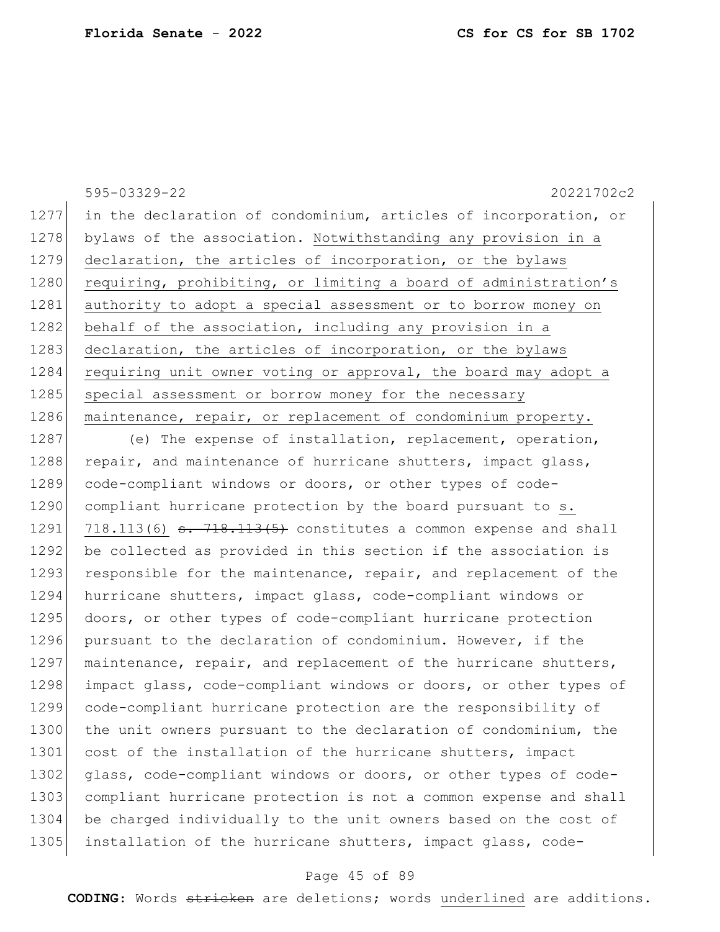595-03329-22 20221702c2 1277 in the declaration of condominium, articles of incorporation, or 1278 bylaws of the association. Notwithstanding any provision in a 1279 declaration, the articles of incorporation, or the bylaws 1280 requiring, prohibiting, or limiting a board of administration's 1281 authority to adopt a special assessment or to borrow money on 1282 behalf of the association, including any provision in a 1283 declaration, the articles of incorporation, or the bylaws 1284 requiring unit owner voting or approval, the board may adopt a 1285 special assessment or borrow money for the necessary 1286 maintenance, repair, or replacement of condominium property.

1287 (e) The expense of installation, replacement, operation, 1288 repair, and maintenance of hurricane shutters, impact glass, 1289 code-compliant windows or doors, or other types of code-1290 compliant hurricane protection by the board pursuant to s.  $1291$  718.113(6) <del>s. 718.113(5)</del> constitutes a common expense and shall 1292 be collected as provided in this section if the association is 1293 responsible for the maintenance, repair, and replacement of the 1294 hurricane shutters, impact glass, code-compliant windows or 1295 doors, or other types of code-compliant hurricane protection 1296 pursuant to the declaration of condominium. However, if the 1297 maintenance, repair, and replacement of the hurricane shutters, 1298 impact glass, code-compliant windows or doors, or other types of 1299 code-compliant hurricane protection are the responsibility of 1300 the unit owners pursuant to the declaration of condominium, the 1301 cost of the installation of the hurricane shutters, impact 1302 glass, code-compliant windows or doors, or other types of code-1303 compliant hurricane protection is not a common expense and shall 1304 be charged individually to the unit owners based on the cost of 1305 installation of the hurricane shutters, impact glass, code-

## Page 45 of 89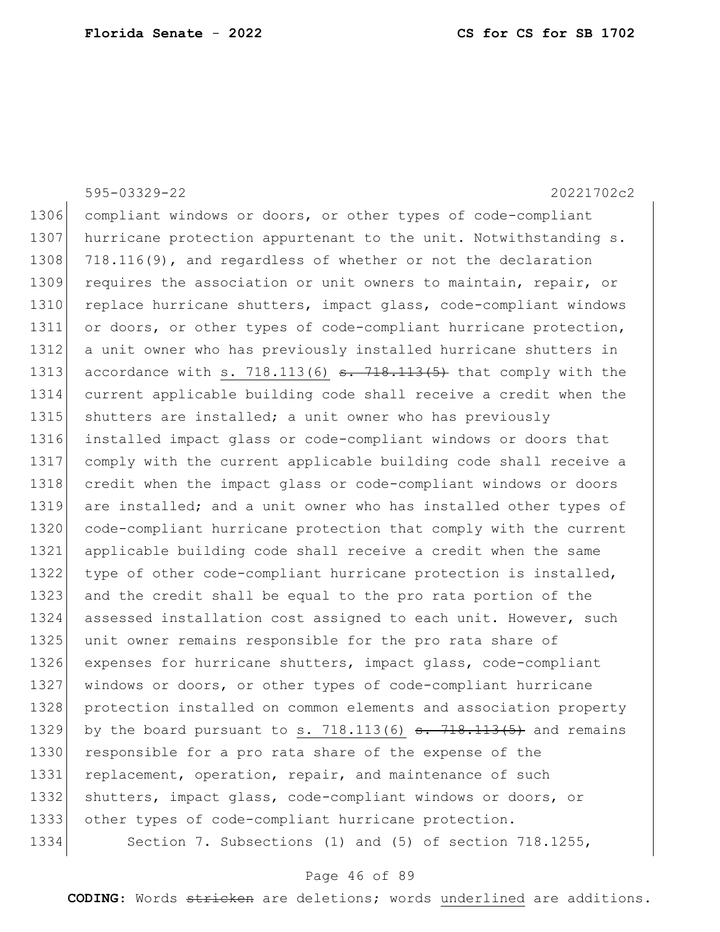595-03329-22 20221702c2 1306 compliant windows or doors, or other types of code-compliant 1307 hurricane protection appurtenant to the unit. Notwithstanding s. 1308 718.116(9), and regardless of whether or not the declaration 1309 requires the association or unit owners to maintain, repair, or 1310 replace hurricane shutters, impact glass, code-compliant windows 1311 or doors, or other types of code-compliant hurricane protection, 1312 a unit owner who has previously installed hurricane shutters in 1313 accordance with s. 718.113(6)  $\frac{1313(5)}{13(5)}$  that comply with the 1314 current applicable building code shall receive a credit when the 1315 shutters are installed; a unit owner who has previously 1316 installed impact glass or code-compliant windows or doors that 1317 comply with the current applicable building code shall receive a 1318 credit when the impact glass or code-compliant windows or doors 1319 are installed; and a unit owner who has installed other types of 1320 code-compliant hurricane protection that comply with the current 1321 applicable building code shall receive a credit when the same 1322 type of other code-compliant hurricane protection is installed, 1323 and the credit shall be equal to the pro rata portion of the 1324 assessed installation cost assigned to each unit. However, such 1325 unit owner remains responsible for the pro rata share of 1326 expenses for hurricane shutters, impact glass, code-compliant 1327 windows or doors, or other types of code-compliant hurricane 1328 protection installed on common elements and association property 1329 by the board pursuant to s.  $718.113(6)$  s.  $718.113(5)$  and remains 1330 responsible for a pro rata share of the expense of the 1331 replacement, operation, repair, and maintenance of such 1332 shutters, impact glass, code-compliant windows or doors, or 1333 other types of code-compliant hurricane protection. 1334 Section 7. Subsections (1) and (5) of section 718.1255,

## Page 46 of 89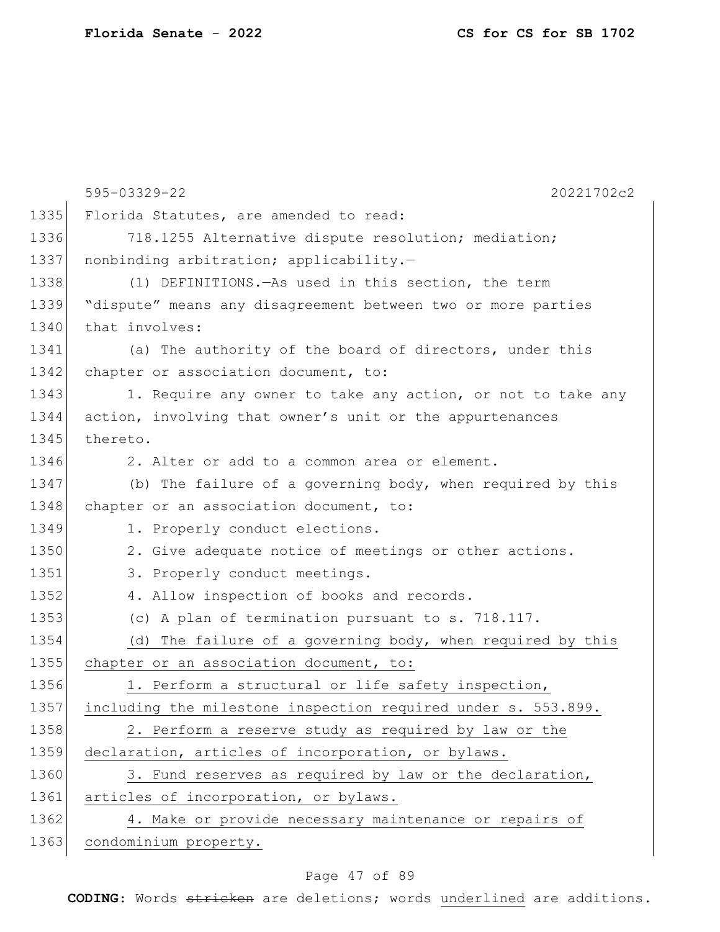|      | 595-03329-22<br>20221702c2                                    |
|------|---------------------------------------------------------------|
| 1335 | Florida Statutes, are amended to read:                        |
| 1336 | 718.1255 Alternative dispute resolution; mediation;           |
| 1337 | nonbinding arbitration; applicability.-                       |
| 1338 | (1) DEFINITIONS. - As used in this section, the term          |
| 1339 | "dispute" means any disagreement between two or more parties  |
| 1340 | that involves:                                                |
| 1341 | (a) The authority of the board of directors, under this       |
| 1342 | chapter or association document, to:                          |
| 1343 | 1. Require any owner to take any action, or not to take any   |
| 1344 | action, involving that owner's unit or the appurtenances      |
| 1345 | thereto.                                                      |
| 1346 | 2. Alter or add to a common area or element.                  |
| 1347 | (b) The failure of a governing body, when required by this    |
| 1348 | chapter or an association document, to:                       |
| 1349 | 1. Properly conduct elections.                                |
| 1350 | 2. Give adequate notice of meetings or other actions.         |
| 1351 | 3. Properly conduct meetings.                                 |
| 1352 | 4. Allow inspection of books and records.                     |
| 1353 | (c) A plan of termination pursuant to s. 718.117.             |
| 1354 | (d) The failure of a governing body, when required by this    |
| 1355 | chapter or an association document, to:                       |
| 1356 | 1. Perform a structural or life safety inspection,            |
| 1357 | including the milestone inspection required under s. 553.899. |
| 1358 | 2. Perform a reserve study as required by law or the          |
| 1359 | declaration, articles of incorporation, or bylaws.            |
| 1360 | 3. Fund reserves as required by law or the declaration,       |
| 1361 | articles of incorporation, or bylaws.                         |
| 1362 | 4. Make or provide necessary maintenance or repairs of        |
| 1363 | condominium property.                                         |

# Page 47 of 89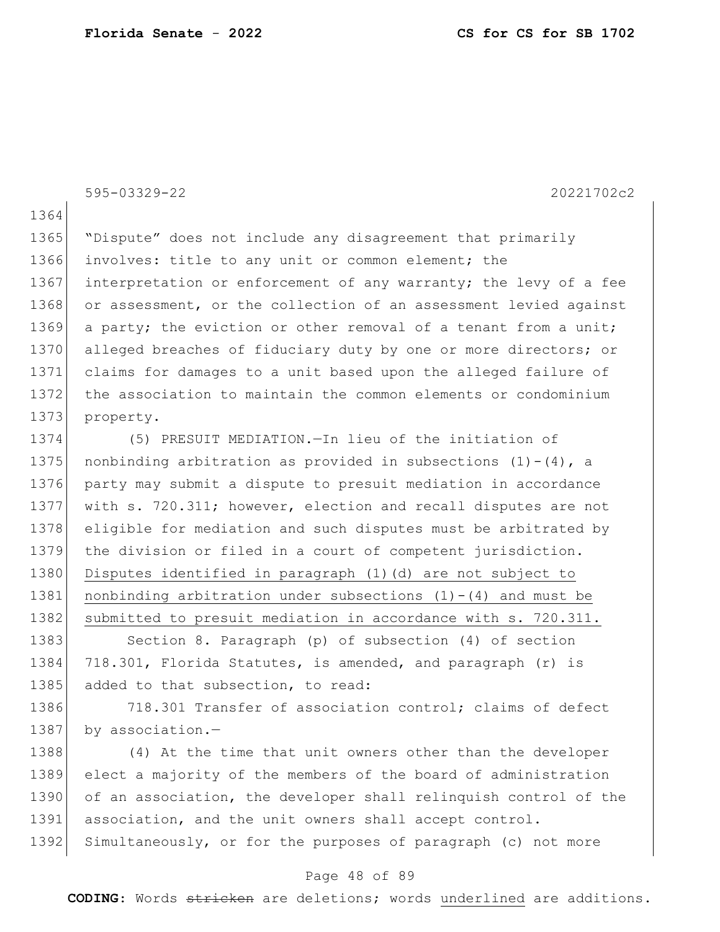595-03329-22 20221702c2

1364

1365 "Dispute" does not include any disagreement that primarily 1366 involves: title to any unit or common element; the 1367 interpretation or enforcement of any warranty; the levy of a fee 1368 or assessment, or the collection of an assessment levied against 1369 a party; the eviction or other removal of a tenant from a unit; 1370 alleged breaches of fiduciary duty by one or more directors; or 1371 claims for damages to a unit based upon the alleged failure of 1372 the association to maintain the common elements or condominium 1373 property.

1374 (5) PRESUIT MEDIATION.—In lieu of the initiation of 1375 nonbinding arbitration as provided in subsections  $(1)-(4)$ , a 1376 party may submit a dispute to presuit mediation in accordance 1377 with s. 720.311; however, election and recall disputes are not 1378 eligible for mediation and such disputes must be arbitrated by 1379 the division or filed in a court of competent jurisdiction. 1380 Disputes identified in paragraph (1)(d) are not subject to 1381 nonbinding arbitration under subsections  $(1)-(4)$  and must be 1382 submitted to presuit mediation in accordance with s. 720.311.

1383 Section 8. Paragraph (p) of subsection (4) of section 1384 718.301, Florida Statutes, is amended, and paragraph (r) is 1385 added to that subsection, to read:

1386 718.301 Transfer of association control; claims of defect 1387 by association.-

1388 (4) At the time that unit owners other than the developer 1389 elect a majority of the members of the board of administration 1390 of an association, the developer shall relinquish control of the 1391 association, and the unit owners shall accept control. 1392 Simultaneously, or for the purposes of paragraph (c) not more

## Page 48 of 89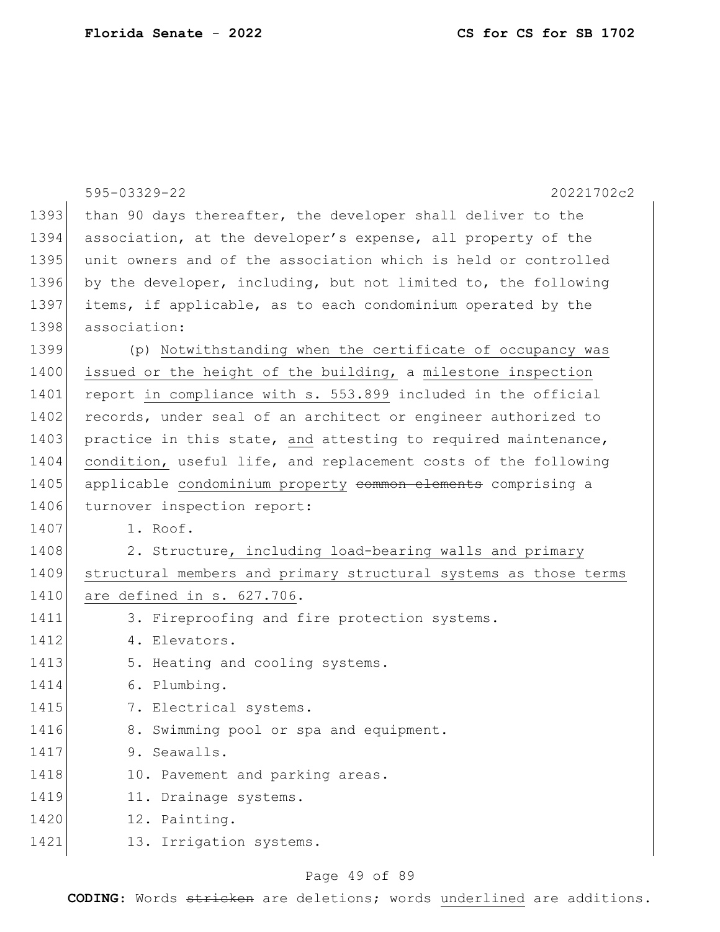|      | 595-03329-22<br>20221702c2                                       |
|------|------------------------------------------------------------------|
| 1393 | than 90 days thereafter, the developer shall deliver to the      |
| 1394 | association, at the developer's expense, all property of the     |
| 1395 | unit owners and of the association which is held or controlled   |
| 1396 | by the developer, including, but not limited to, the following   |
| 1397 | items, if applicable, as to each condominium operated by the     |
| 1398 | association:                                                     |
| 1399 | (p) Notwithstanding when the certificate of occupancy was        |
| 1400 | issued or the height of the building, a milestone inspection     |
| 1401 | report in compliance with s. 553.899 included in the official    |
| 1402 | records, under seal of an architect or engineer authorized to    |
| 1403 | practice in this state, and attesting to required maintenance,   |
| 1404 | condition, useful life, and replacement costs of the following   |
| 1405 | applicable condominium property common elements comprising a     |
| 1406 | turnover inspection report:                                      |
| 1407 | 1. Roof.                                                         |
| 1408 | 2. Structure, including load-bearing walls and primary           |
| 1409 | structural members and primary structural systems as those terms |
| 1410 | are defined in s. 627.706.                                       |
| 1411 | 3. Fireproofing and fire protection systems.                     |
| 1412 | 4. Elevators.                                                    |
| 1413 | 5. Heating and cooling systems.                                  |
| 1414 | 6. Plumbing.                                                     |
| 1415 | 7. Electrical systems.                                           |
| 1416 | 8. Swimming pool or spa and equipment.                           |
| 1417 | 9. Seawalls.                                                     |
| 1418 | 10. Pavement and parking areas.                                  |
| 1419 | 11. Drainage systems.                                            |
| 1420 | 12. Painting.                                                    |
| 1421 | 13. Irrigation systems.                                          |

# Page 49 of 89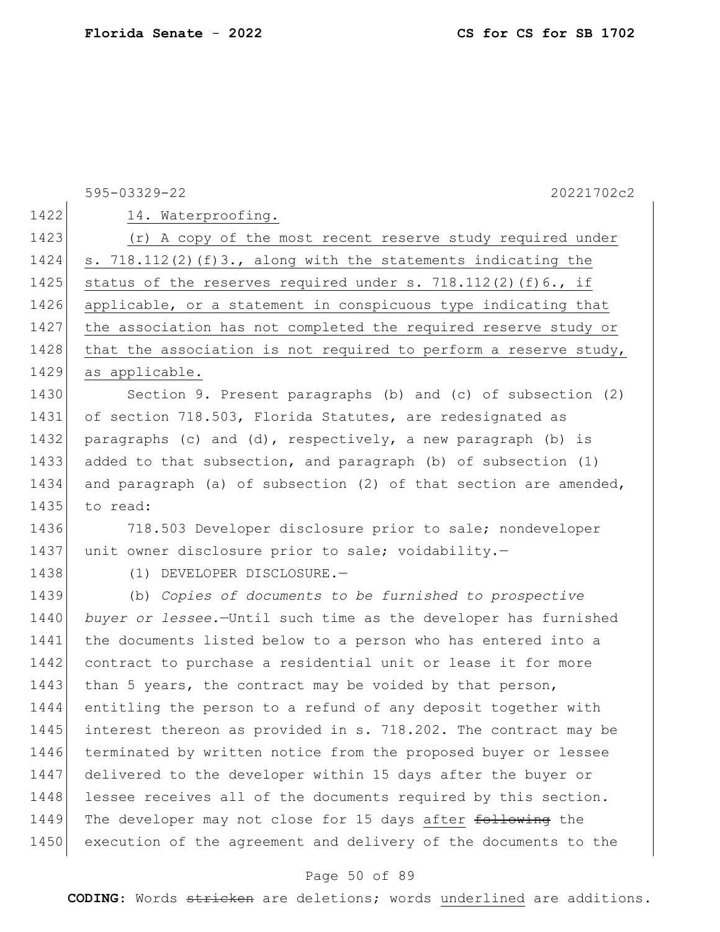|      | 595-03329-22<br>20221702c2                                       |
|------|------------------------------------------------------------------|
| 1422 | 14. Waterproofing.                                               |
| 1423 | (r) A copy of the most recent reserve study required under       |
| 1424 | s. 718.112(2)(f)3., along with the statements indicating the     |
| 1425 | status of the reserves required under s. $718.112(2)$ (f) 6., if |
| 1426 | applicable, or a statement in conspicuous type indicating that   |
| 1427 | the association has not completed the required reserve study or  |
| 1428 | that the association is not required to perform a reserve study, |
| 1429 | as applicable.                                                   |
| 1430 | Section 9. Present paragraphs (b) and (c) of subsection (2)      |
| 1431 | of section 718.503, Florida Statutes, are redesignated as        |
| 1432 | paragraphs (c) and (d), respectively, a new paragraph (b) is     |
| 1433 | added to that subsection, and paragraph (b) of subsection (1)    |
| 1434 | and paragraph (a) of subsection (2) of that section are amended, |
| 1435 | to read:                                                         |
| 1436 | 718.503 Developer disclosure prior to sale; nondeveloper         |
| 1437 | unit owner disclosure prior to sale; voidability.-               |
| 1438 | (1) DEVELOPER DISCLOSURE.-                                       |
| 1439 | (b) Copies of documents to be furnished to prospective           |
| 1440 | buyer or lessee.-Until such time as the developer has furnished  |
| 1441 | the documents listed below to a person who has entered into a    |
| 1442 | contract to purchase a residential unit or lease it for more     |
| 1443 | than 5 years, the contract may be voided by that person,         |
| 1444 | entitling the person to a refund of any deposit together with    |
| 1445 | interest thereon as provided in s. 718.202. The contract may be  |
| 1446 | terminated by written notice from the proposed buyer or lessee   |
| 1447 | delivered to the developer within 15 days after the buyer or     |
| 1448 | lessee receives all of the documents required by this section.   |
| 1449 | The developer may not close for 15 days after following the      |
| 1450 | execution of the agreement and delivery of the documents to the  |

# Page 50 of 89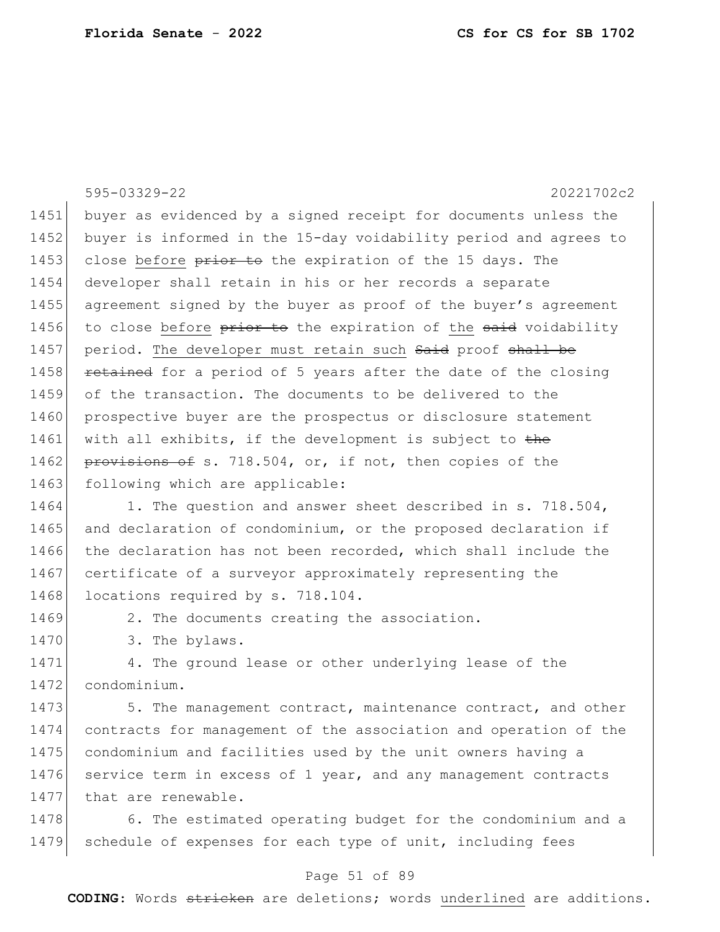595-03329-22 20221702c2 1451 buyer as evidenced by a signed receipt for documents unless the 1452 buyer is informed in the 15-day voidability period and agrees to 1453 close before prior to the expiration of the 15 days. The 1454 developer shall retain in his or her records a separate 1455 agreement signed by the buyer as proof of the buyer's agreement 1456 to close before prior to the expiration of the said voidability 1457 period. The developer must retain such said proof shall be 1458 retained for a period of 5 years after the date of the closing 1459 of the transaction. The documents to be delivered to the 1460 prospective buyer are the prospectus or disclosure statement 1461 with all exhibits, if the development is subject to the 1462 provisions of s. 718.504, or, if not, then copies of the 1463 following which are applicable: 1464 1. The question and answer sheet described in s. 718.504, 1465 and declaration of condominium, or the proposed declaration if 1466 the declaration has not been recorded, which shall include the 1467 certificate of a surveyor approximately representing the 1468 locations required by s. 718.104. 1469 2. The documents creating the association. 1470 3. The bylaws. 1471 4. The ground lease or other underlying lease of the 1472 condominium.

1473 5. The management contract, maintenance contract, and other 1474 contracts for management of the association and operation of the 1475 condominium and facilities used by the unit owners having a 1476 service term in excess of 1 year, and any management contracts 1477 that are renewable.

1478 6. The estimated operating budget for the condominium and a 1479 schedule of expenses for each type of unit, including fees

## Page 51 of 89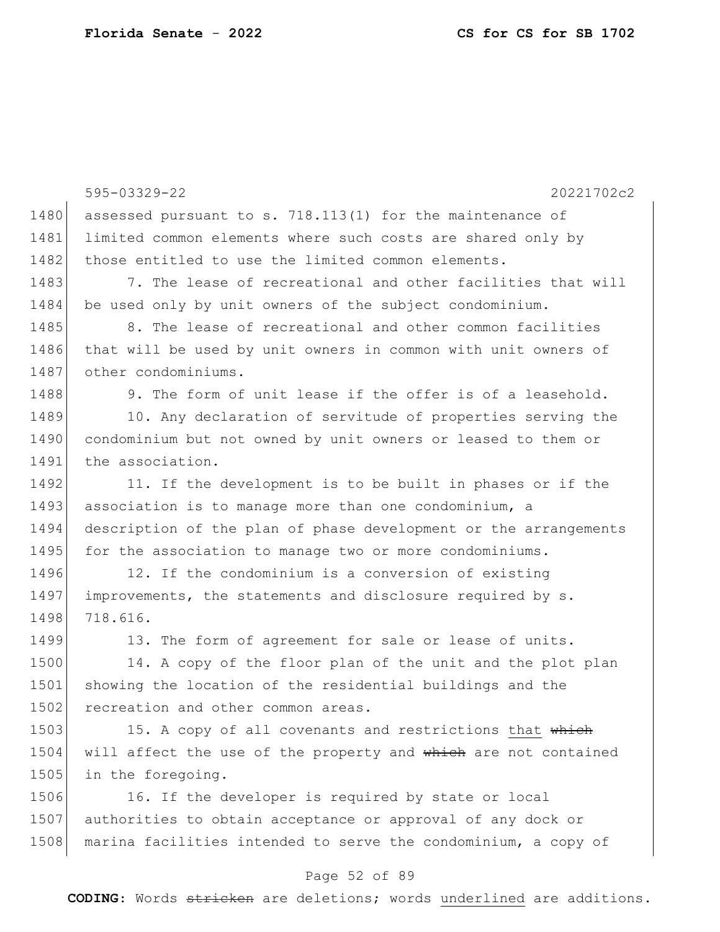|      | 595-03329-22<br>20221702c2                                       |
|------|------------------------------------------------------------------|
| 1480 | assessed pursuant to s. 718.113(1) for the maintenance of        |
| 1481 | limited common elements where such costs are shared only by      |
| 1482 | those entitled to use the limited common elements.               |
| 1483 | 7. The lease of recreational and other facilities that will      |
| 1484 | be used only by unit owners of the subject condominium.          |
| 1485 | 8. The lease of recreational and other common facilities         |
| 1486 | that will be used by unit owners in common with unit owners of   |
| 1487 | other condominiums.                                              |
| 1488 | 9. The form of unit lease if the offer is of a leasehold.        |
| 1489 | 10. Any declaration of servitude of properties serving the       |
| 1490 | condominium but not owned by unit owners or leased to them or    |
| 1491 | the association.                                                 |
| 1492 | 11. If the development is to be built in phases or if the        |
| 1493 | association is to manage more than one condominium, a            |
| 1494 | description of the plan of phase development or the arrangements |
| 1495 | for the association to manage two or more condominiums.          |
| 1496 | 12. If the condominium is a conversion of existing               |
| 1497 | improvements, the statements and disclosure required by s.       |
| 1498 | 718.616.                                                         |
| 1499 | 13. The form of agreement for sale or lease of units.            |
| 1500 | 14. A copy of the floor plan of the unit and the plot plan       |
| 1501 | showing the location of the residential buildings and the        |
| 1502 | recreation and other common areas.                               |
| 1503 | 15. A copy of all covenants and restrictions that which          |
| 1504 | will affect the use of the property and which are not contained  |
| 1505 | in the foregoing.                                                |
| 1506 | 16. If the developer is required by state or local               |
| 1507 | authorities to obtain acceptance or approval of any dock or      |
| 1508 | marina facilities intended to serve the condominium, a copy of   |

# Page 52 of 89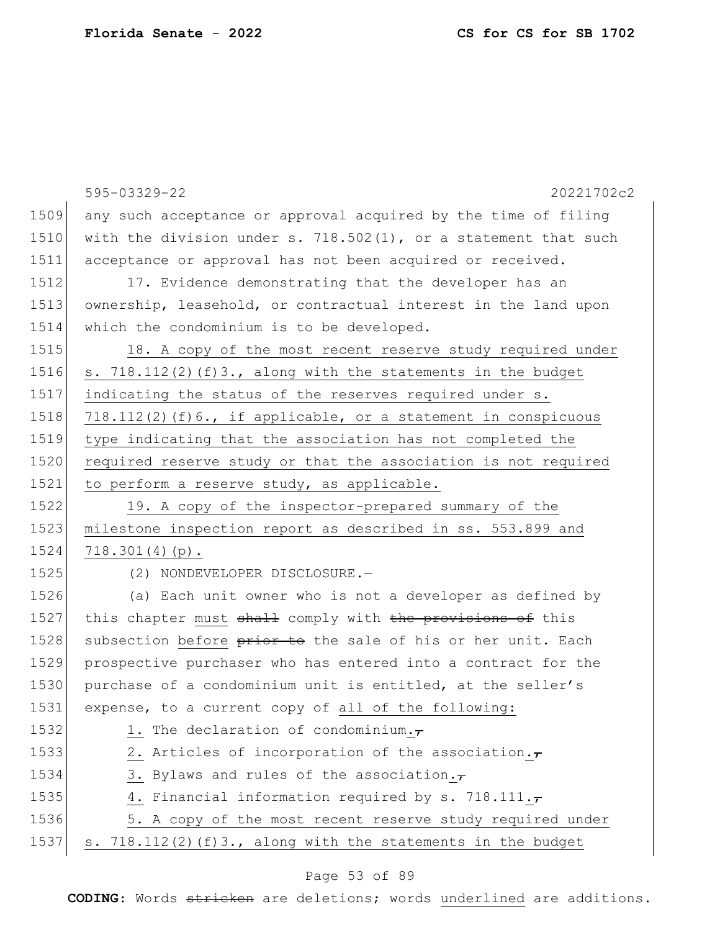|      | 595-03329-22<br>20221702c2                                         |
|------|--------------------------------------------------------------------|
| 1509 | any such acceptance or approval acquired by the time of filing     |
| 1510 | with the division under s. $718.502(1)$ , or a statement that such |
| 1511 | acceptance or approval has not been acquired or received.          |
| 1512 | 17. Evidence demonstrating that the developer has an               |
| 1513 | ownership, leasehold, or contractual interest in the land upon     |
| 1514 | which the condominium is to be developed.                          |
| 1515 | 18. A copy of the most recent reserve study required under         |
| 1516 | s. $718.112(2)$ (f) $3.$ , along with the statements in the budget |
| 1517 | indicating the status of the reserves required under s.            |
| 1518 | $718.112(2)$ (f) 6., if applicable, or a statement in conspicuous  |
| 1519 | type indicating that the association has not completed the         |
| 1520 | required reserve study or that the association is not required     |
| 1521 | to perform a reserve study, as applicable.                         |
| 1522 | 19. A copy of the inspector-prepared summary of the                |
| 1523 | milestone inspection report as described in ss. 553.899 and        |
| 1524 | $718.301(4)(p)$ .                                                  |
| 1525 | (2) NONDEVELOPER DISCLOSURE.-                                      |
| 1526 | (a) Each unit owner who is not a developer as defined by           |
| 1527 | this chapter must shall comply with the provisions of this         |
| 1528 | subsection before prior to the sale of his or her unit. Each       |
| 1529 | prospective purchaser who has entered into a contract for the      |
| 1530 | purchase of a condominium unit is entitled, at the seller's        |
| 1531 | expense, to a current copy of all of the following:                |
| 1532 | 1. The declaration of condominium. $\tau$                          |
| 1533 | 2. Articles of incorporation of the association. $\tau$            |
| 1534 | 3. Bylaws and rules of the association. $\tau$                     |
| 1535 | 4. Financial information required by s. 718.111. $\tau$            |
| 1536 | 5. A copy of the most recent reserve study required under          |
| 1537 | s. 718.112(2)(f)3., along with the statements in the budget        |

# Page 53 of 89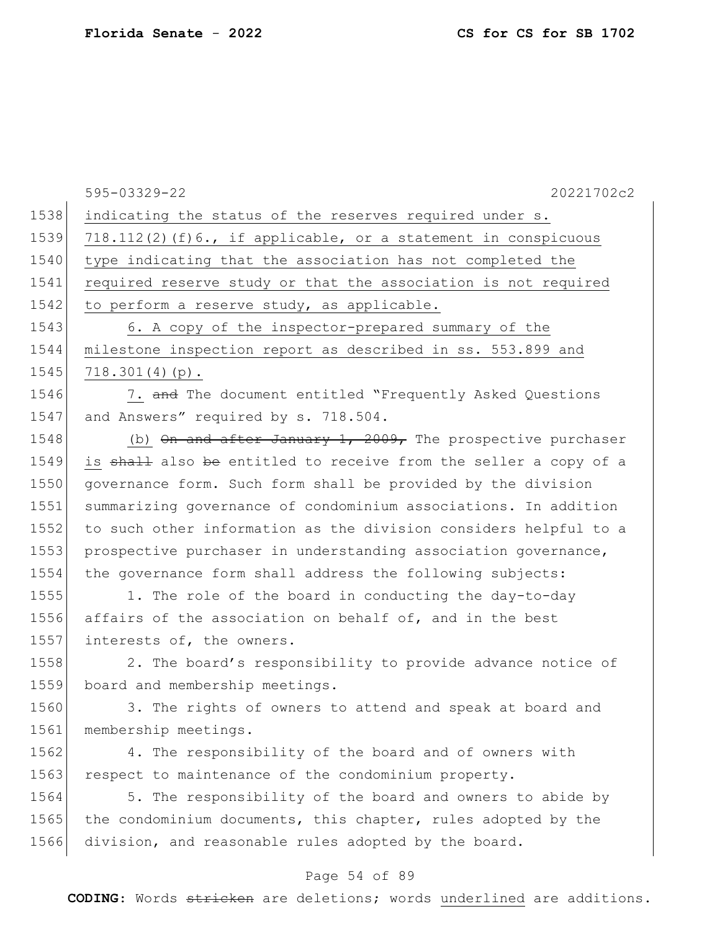|      | 595-03329-22<br>20221702c2                                          |
|------|---------------------------------------------------------------------|
| 1538 | indicating the status of the reserves required under s.             |
| 1539 | $718.112(2)$ (f) 6., if applicable, or a statement in conspicuous   |
| 1540 | type indicating that the association has not completed the          |
| 1541 | required reserve study or that the association is not required      |
| 1542 | to perform a reserve study, as applicable.                          |
| 1543 | 6. A copy of the inspector-prepared summary of the                  |
| 1544 | milestone inspection report as described in ss. 553.899 and         |
| 1545 | $718.301(4)(p)$ .                                                   |
| 1546 | 7. and The document entitled "Frequently Asked Questions            |
| 1547 | and Answers" required by s. 718.504.                                |
| 1548 | (b) $\Theta$ n and after January 1, 2009, The prospective purchaser |
| 1549 | is shall also be entitled to receive from the seller a copy of a    |
| 1550 | governance form. Such form shall be provided by the division        |
| 1551 | summarizing governance of condominium associations. In addition     |
| 1552 | to such other information as the division considers helpful to a    |
| 1553 | prospective purchaser in understanding association governance,      |
| 1554 | the governance form shall address the following subjects:           |
| 1555 | 1. The role of the board in conducting the day-to-day               |
| 1556 | affairs of the association on behalf of, and in the best            |
| 1557 | interests of, the owners.                                           |
| 1558 | 2. The board's responsibility to provide advance notice of          |
| 1559 | board and membership meetings.                                      |
| 1560 | 3. The rights of owners to attend and speak at board and            |
| 1561 | membership meetings.                                                |
| 1562 | 4. The responsibility of the board and of owners with               |
| 1563 | respect to maintenance of the condominium property.                 |
| 1564 | 5. The responsibility of the board and owners to abide by           |
| 1565 | the condominium documents, this chapter, rules adopted by the       |
| 1566 | division, and reasonable rules adopted by the board.                |

# Page 54 of 89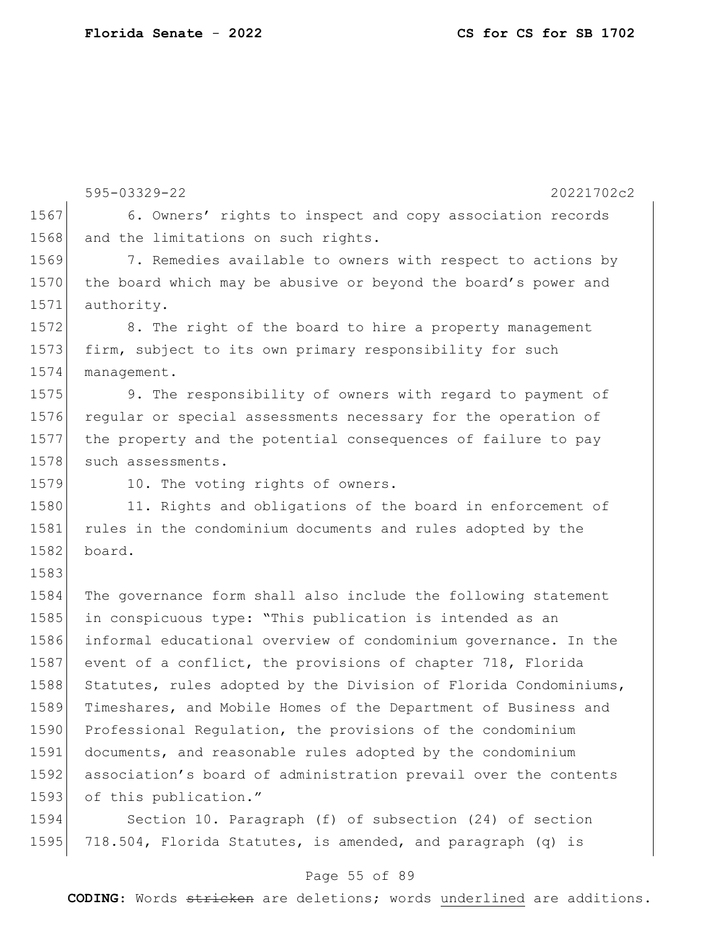595-03329-22 20221702c2 1567 6. Owners' rights to inspect and copy association records 1568 and the limitations on such rights. 1569 7. Remedies available to owners with respect to actions by 1570 the board which may be abusive or beyond the board's power and 1571 authority. 1572 8. The right of the board to hire a property management 1573 firm, subject to its own primary responsibility for such 1574 management. 1575 9. The responsibility of owners with regard to payment of 1576 regular or special assessments necessary for the operation of 1577 the property and the potential consequences of failure to pay 1578 such assessments. 1579 10. The voting rights of owners. 1580 11. Rights and obligations of the board in enforcement of 1581 rules in the condominium documents and rules adopted by the 1582 board. 1583 1584 The governance form shall also include the following statement 1585 in conspicuous type: "This publication is intended as an 1586 informal educational overview of condominium governance. In the 1587 event of a conflict, the provisions of chapter 718, Florida 1588 Statutes, rules adopted by the Division of Florida Condominiums, 1589 Timeshares, and Mobile Homes of the Department of Business and 1590 Professional Regulation, the provisions of the condominium 1591 documents, and reasonable rules adopted by the condominium 1592 association's board of administration prevail over the contents 1593 of this publication." 1594 Section 10. Paragraph (f) of subsection (24) of section

#### Page 55 of 89

1595 718.504, Florida Statutes, is amended, and paragraph (q) is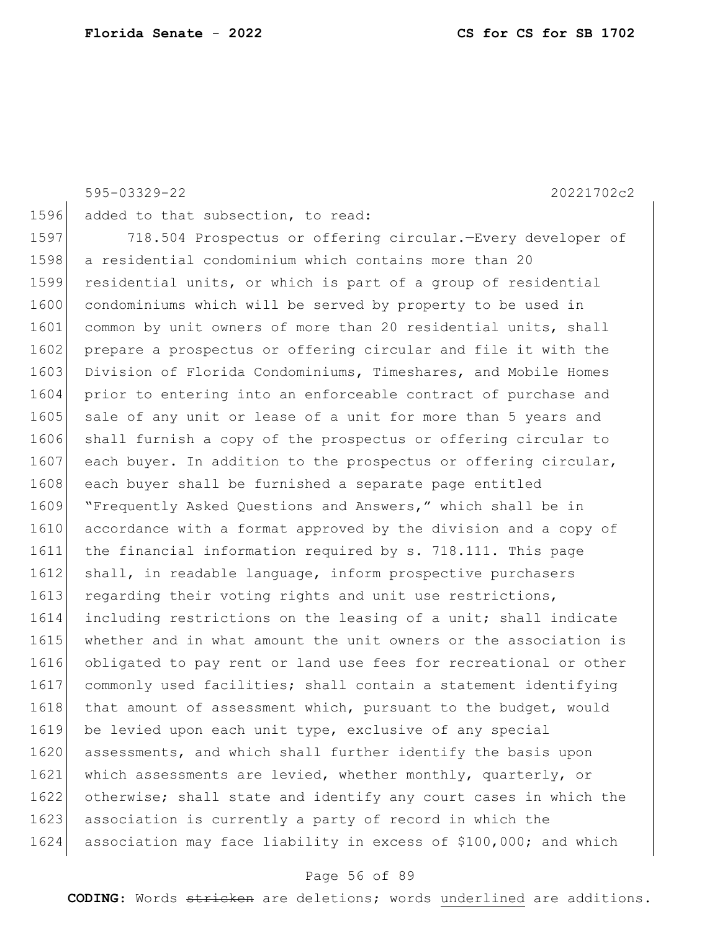595-03329-22 20221702c2

1596 added to that subsection, to read:

1597 718.504 Prospectus or offering circular.—Every developer of 1598 a residential condominium which contains more than 20 1599 residential units, or which is part of a group of residential 1600 condominiums which will be served by property to be used in 1601 common by unit owners of more than 20 residential units, shall 1602 prepare a prospectus or offering circular and file it with the 1603 Division of Florida Condominiums, Timeshares, and Mobile Homes 1604 prior to entering into an enforceable contract of purchase and 1605 sale of any unit or lease of a unit for more than 5 years and 1606 shall furnish a copy of the prospectus or offering circular to 1607 each buyer. In addition to the prospectus or offering circular, 1608 each buyer shall be furnished a separate page entitled 1609 "Frequently Asked Questions and Answers," which shall be in 1610 accordance with a format approved by the division and a copy of 1611 the financial information required by s. 718.111. This page 1612 shall, in readable language, inform prospective purchasers 1613 regarding their voting rights and unit use restrictions, 1614 including restrictions on the leasing of a unit; shall indicate 1615 whether and in what amount the unit owners or the association is 1616 obligated to pay rent or land use fees for recreational or other 1617 commonly used facilities; shall contain a statement identifying 1618 that amount of assessment which, pursuant to the budget, would 1619 be levied upon each unit type, exclusive of any special 1620 assessments, and which shall further identify the basis upon 1621 which assessments are levied, whether monthly, quarterly, or 1622 otherwise; shall state and identify any court cases in which the 1623 association is currently a party of record in which the 1624 association may face liability in excess of \$100,000; and which

## Page 56 of 89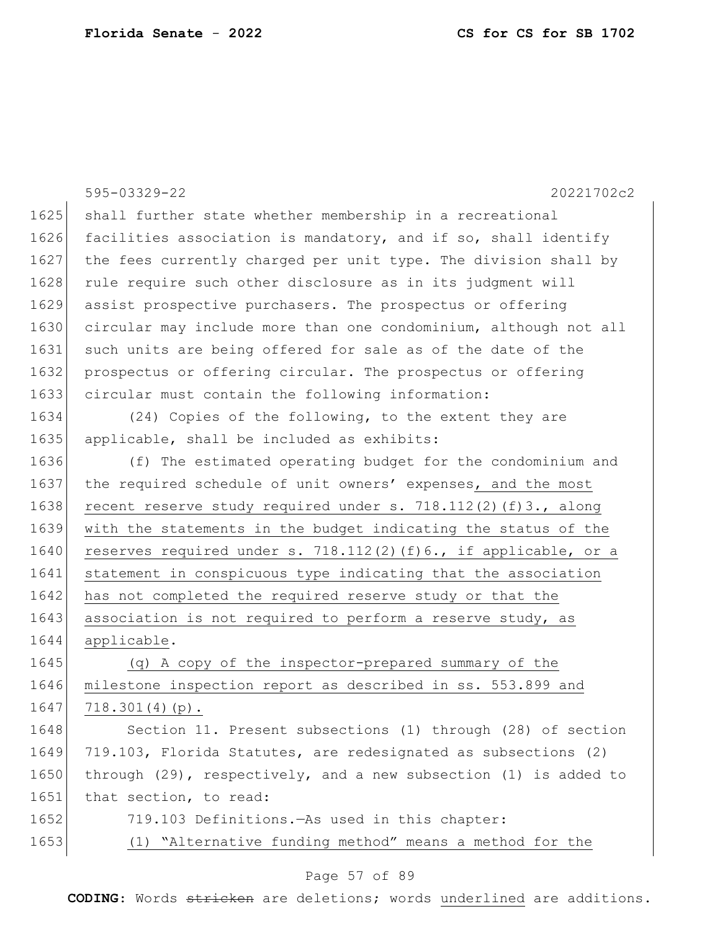|      | 20221702c2<br>595-03329-22                                            |
|------|-----------------------------------------------------------------------|
| 1625 | shall further state whether membership in a recreational              |
| 1626 | facilities association is mandatory, and if so, shall identify        |
| 1627 | the fees currently charged per unit type. The division shall by       |
| 1628 | rule require such other disclosure as in its judgment will            |
| 1629 | assist prospective purchasers. The prospectus or offering             |
| 1630 | circular may include more than one condominium, although not all      |
| 1631 | such units are being offered for sale as of the date of the           |
| 1632 | prospectus or offering circular. The prospectus or offering           |
| 1633 | circular must contain the following information:                      |
| 1634 | (24) Copies of the following, to the extent they are                  |
| 1635 | applicable, shall be included as exhibits:                            |
| 1636 | (f) The estimated operating budget for the condominium and            |
| 1637 | the required schedule of unit owners' expenses, and the most          |
| 1638 | recent reserve study required under s. $718.112(2)$ (f) 3., along     |
| 1639 | with the statements in the budget indicating the status of the        |
| 1640 | reserves required under s. 718.112(2)(f)6., if applicable, or a       |
| 1641 | statement in conspicuous type indicating that the association         |
| 1642 | has not completed the required reserve study or that the              |
| 1643 | association is not required to perform a reserve study, as            |
| 1644 | applicable.                                                           |
| 1645 | (q) A copy of the inspector-prepared summary of the                   |
| 1646 | milestone inspection report as described in ss. 553.899 and           |
| 1647 | $718.301(4)(p)$ .                                                     |
| 1648 | Section 11. Present subsections (1) through (28) of section           |
| 1649 | 719.103, Florida Statutes, are redesignated as subsections (2)        |
| 1650 | through $(29)$ , respectively, and a new subsection $(1)$ is added to |
| 1651 | that section, to read:                                                |
| 1652 | 719.103 Definitions. - As used in this chapter:                       |
| 1653 | (1) "Alternative funding method" means a method for the               |
|      | Page 57 of 89                                                         |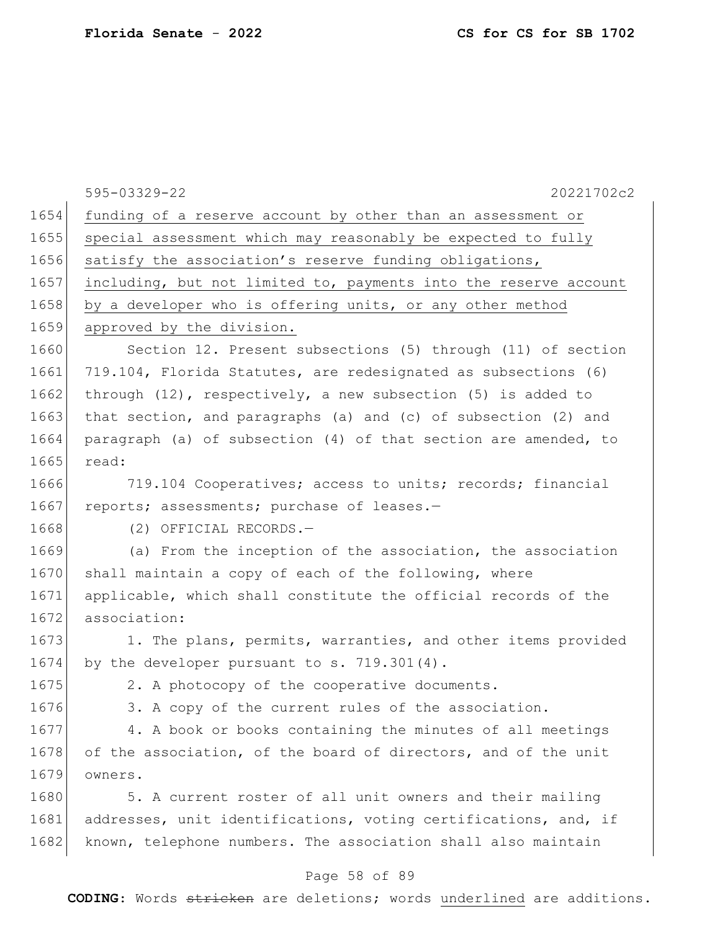|      | 595-03329-22<br>20221702c2                                        |
|------|-------------------------------------------------------------------|
| 1654 | funding of a reserve account by other than an assessment or       |
| 1655 | special assessment which may reasonably be expected to fully      |
| 1656 | satisfy the association's reserve funding obligations,            |
| 1657 | including, but not limited to, payments into the reserve account  |
| 1658 | by a developer who is offering units, or any other method         |
| 1659 | approved by the division.                                         |
| 1660 | Section 12. Present subsections (5) through (11) of section       |
| 1661 | 719.104, Florida Statutes, are redesignated as subsections (6)    |
| 1662 | through $(12)$ , respectively, a new subsection $(5)$ is added to |
| 1663 | that section, and paragraphs (a) and (c) of subsection (2) and    |
| 1664 | paragraph (a) of subsection (4) of that section are amended, to   |
| 1665 | read:                                                             |
| 1666 | 719.104 Cooperatives; access to units; records; financial         |
| 1667 | reports; assessments; purchase of leases.-                        |
| 1668 | (2) OFFICIAL RECORDS.-                                            |
| 1669 | (a) From the inception of the association, the association        |
| 1670 | shall maintain a copy of each of the following, where             |
| 1671 | applicable, which shall constitute the official records of the    |
| 1672 | association:                                                      |
| 1673 | 1. The plans, permits, warranties, and other items provided       |
| 1674 | by the developer pursuant to s. 719.301(4).                       |
| 1675 | 2. A photocopy of the cooperative documents.                      |
| 1676 | 3. A copy of the current rules of the association.                |
| 1677 | 4. A book or books containing the minutes of all meetings         |
| 1678 | of the association, of the board of directors, and of the unit    |
| 1679 | owners.                                                           |
| 1680 | 5. A current roster of all unit owners and their mailing          |
| 1681 | addresses, unit identifications, voting certifications, and, if   |
| 1682 | known, telephone numbers. The association shall also maintain     |
|      |                                                                   |

# Page 58 of 89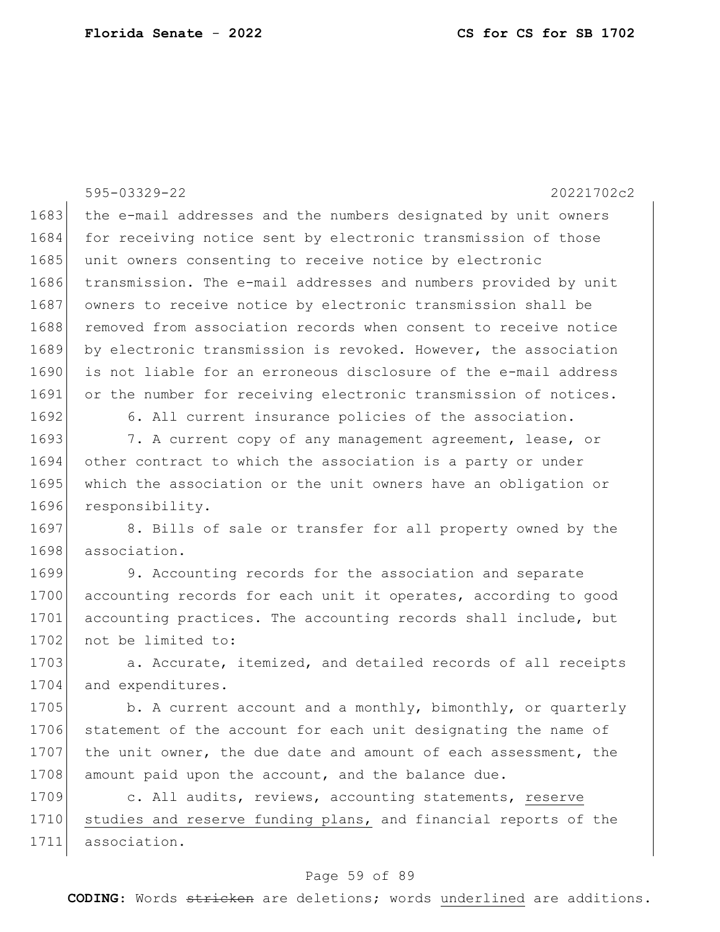595-03329-22 20221702c2 1683 the e-mail addresses and the numbers designated by unit owners 1684 for receiving notice sent by electronic transmission of those 1685 unit owners consenting to receive notice by electronic 1686 transmission. The e-mail addresses and numbers provided by unit 1687 owners to receive notice by electronic transmission shall be 1688 removed from association records when consent to receive notice 1689 by electronic transmission is revoked. However, the association 1690 is not liable for an erroneous disclosure of the e-mail address 1691 or the number for receiving electronic transmission of notices. 1692 6. All current insurance policies of the association. 1693 7. A current copy of any management agreement, lease, or 1694 other contract to which the association is a party or under 1695 which the association or the unit owners have an obligation or 1696 responsibility. 1697 8. Bills of sale or transfer for all property owned by the 1698 association. 1699 9. Accounting records for the association and separate 1700 accounting records for each unit it operates, according to good 1701 accounting practices. The accounting records shall include, but 1702 not be limited to: 1703 a. Accurate, itemized, and detailed records of all receipts 1704 and expenditures. 1705 b. A current account and a monthly, bimonthly, or quarterly 1706 statement of the account for each unit designating the name of 1707 the unit owner, the due date and amount of each assessment, the 1708 amount paid upon the account, and the balance due. 1709 c. All audits, reviews, accounting statements, reserve 1710 studies and reserve funding plans, and financial reports of the 1711 association.

## Page 59 of 89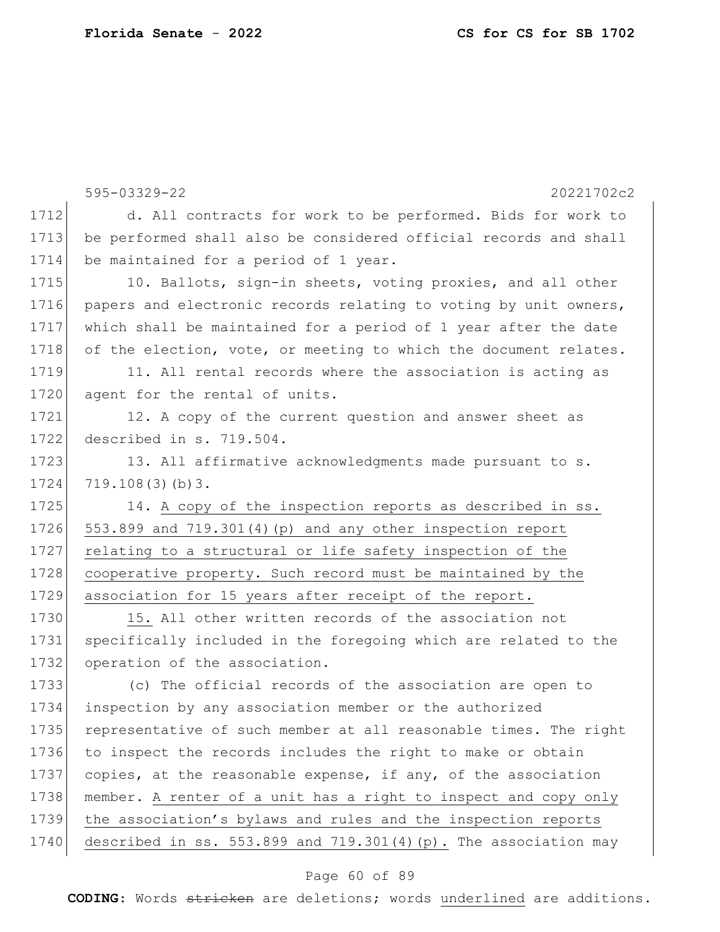|      | 595-03329-22<br>20221702c2                                       |
|------|------------------------------------------------------------------|
| 1712 | d. All contracts for work to be performed. Bids for work to      |
| 1713 | be performed shall also be considered official records and shall |
| 1714 | be maintained for a period of 1 year.                            |
| 1715 | 10. Ballots, sign-in sheets, voting proxies, and all other       |
| 1716 | papers and electronic records relating to voting by unit owners, |
| 1717 | which shall be maintained for a period of 1 year after the date  |
| 1718 | of the election, vote, or meeting to which the document relates. |
| 1719 | 11. All rental records where the association is acting as        |
| 1720 | agent for the rental of units.                                   |
| 1721 | 12. A copy of the current question and answer sheet as           |
| 1722 | described in s. 719.504.                                         |
| 1723 | 13. All affirmative acknowledgments made pursuant to s.          |
| 1724 | 719.108(3)(b)3.                                                  |
| 1725 | 14. A copy of the inspection reports as described in ss.         |
| 1726 | 553.899 and 719.301(4) (p) and any other inspection report       |
| 1727 | relating to a structural or life safety inspection of the        |
| 1728 | cooperative property. Such record must be maintained by the      |
| 1729 | association for 15 years after receipt of the report.            |
| 1730 | 15. All other written records of the association not             |
| 1731 | specifically included in the foregoing which are related to the  |
| 1732 | operation of the association.                                    |
| 1733 | (c) The official records of the association are open to          |
| 1734 | inspection by any association member or the authorized           |
| 1735 | representative of such member at all reasonable times. The right |
| 1736 | to inspect the records includes the right to make or obtain      |
| 1737 | copies, at the reasonable expense, if any, of the association    |
| 1738 | member. A renter of a unit has a right to inspect and copy only  |
| 1739 | the association's bylaws and rules and the inspection reports    |
| 1740 | described in ss. 553.899 and 719.301(4) (p). The association may |

# Page 60 of 89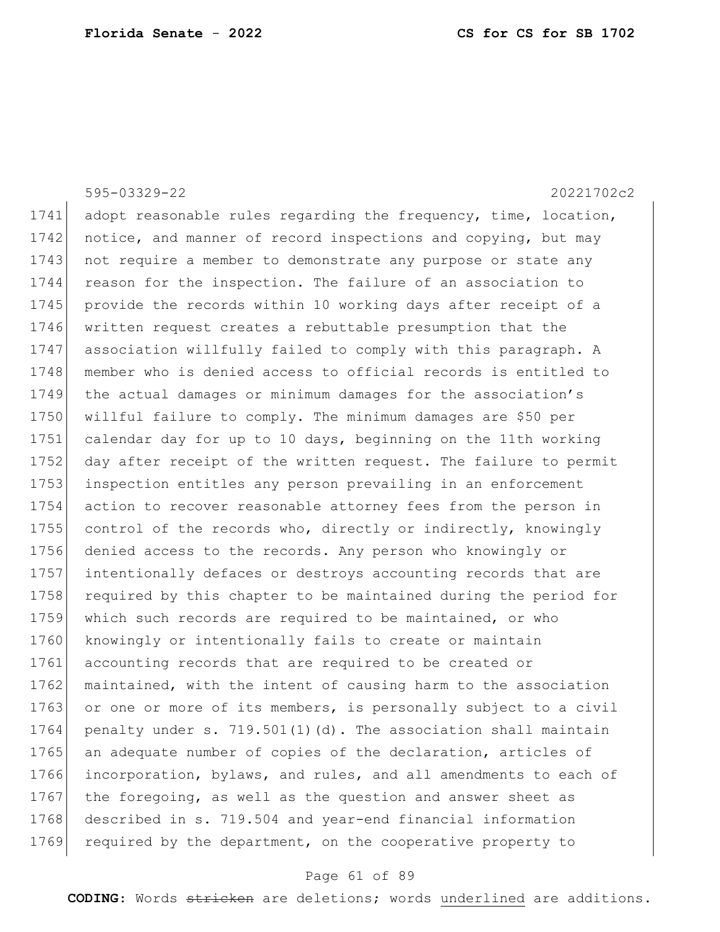595-03329-22 20221702c2

1741 adopt reasonable rules regarding the frequency, time, location, 1742 notice, and manner of record inspections and copying, but may 1743 not require a member to demonstrate any purpose or state any 1744 reason for the inspection. The failure of an association to 1745 provide the records within 10 working days after receipt of a 1746 written request creates a rebuttable presumption that the 1747 association willfully failed to comply with this paragraph. A 1748 member who is denied access to official records is entitled to 1749 the actual damages or minimum damages for the association's 1750 willful failure to comply. The minimum damages are \$50 per 1751 calendar day for up to 10 days, beginning on the 11th working 1752 day after receipt of the written request. The failure to permit 1753 inspection entitles any person prevailing in an enforcement 1754 action to recover reasonable attorney fees from the person in 1755 control of the records who, directly or indirectly, knowingly 1756 denied access to the records. Any person who knowingly or 1757 intentionally defaces or destroys accounting records that are 1758 required by this chapter to be maintained during the period for 1759 which such records are required to be maintained, or who 1760 knowingly or intentionally fails to create or maintain 1761 accounting records that are required to be created or 1762 maintained, with the intent of causing harm to the association 1763 or one or more of its members, is personally subject to a civil 1764 penalty under s. 719.501(1)(d). The association shall maintain 1765 an adequate number of copies of the declaration, articles of 1766 incorporation, bylaws, and rules, and all amendments to each of 1767 the foregoing, as well as the question and answer sheet as 1768 described in s. 719.504 and year-end financial information 1769 required by the department, on the cooperative property to

## Page 61 of 89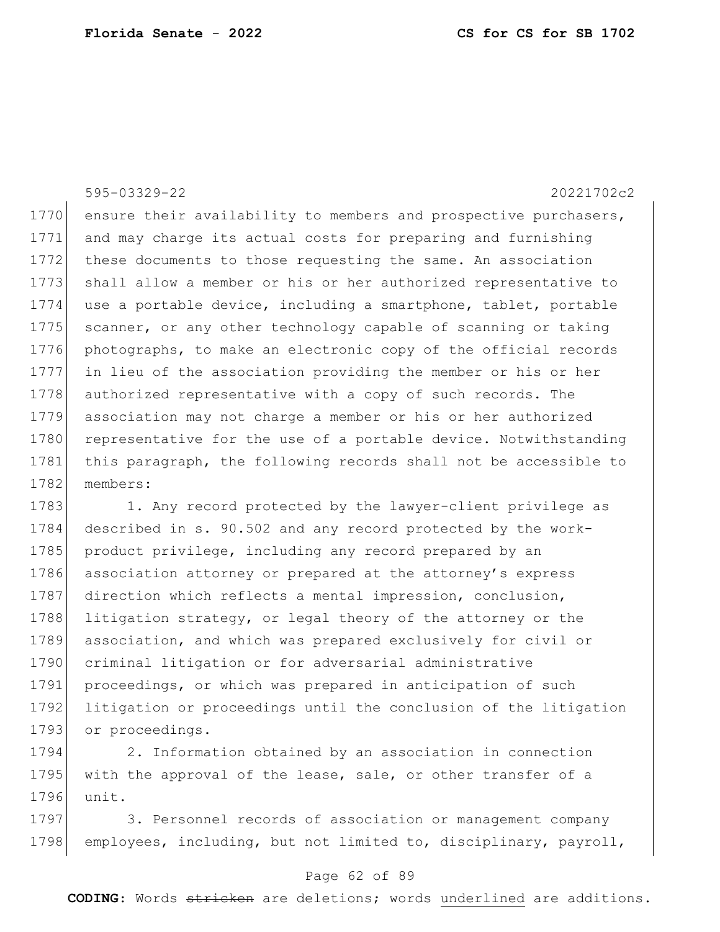## 595-03329-22 20221702c2

1770 ensure their availability to members and prospective purchasers, 1771 and may charge its actual costs for preparing and furnishing 1772 these documents to those requesting the same. An association 1773 shall allow a member or his or her authorized representative to 1774 use a portable device, including a smartphone, tablet, portable 1775 scanner, or any other technology capable of scanning or taking 1776 photographs, to make an electronic copy of the official records 1777 in lieu of the association providing the member or his or her 1778 authorized representative with a copy of such records. The 1779 association may not charge a member or his or her authorized 1780 representative for the use of a portable device. Notwithstanding 1781 this paragraph, the following records shall not be accessible to 1782 members:

1783 1. Any record protected by the lawyer-client privilege as 1784 described in s. 90.502 and any record protected by the work-1785 product privilege, including any record prepared by an 1786 association attorney or prepared at the attorney's express 1787 direction which reflects a mental impression, conclusion, 1788 litigation strategy, or legal theory of the attorney or the 1789 association, and which was prepared exclusively for civil or 1790 criminal litigation or for adversarial administrative 1791 proceedings, or which was prepared in anticipation of such 1792 litigation or proceedings until the conclusion of the litigation 1793 or proceedings.

1794 2. Information obtained by an association in connection 1795 with the approval of the lease, sale, or other transfer of a 1796 unit.

1797 3. Personnel records of association or management company 1798 employees, including, but not limited to, disciplinary, payroll,

## Page 62 of 89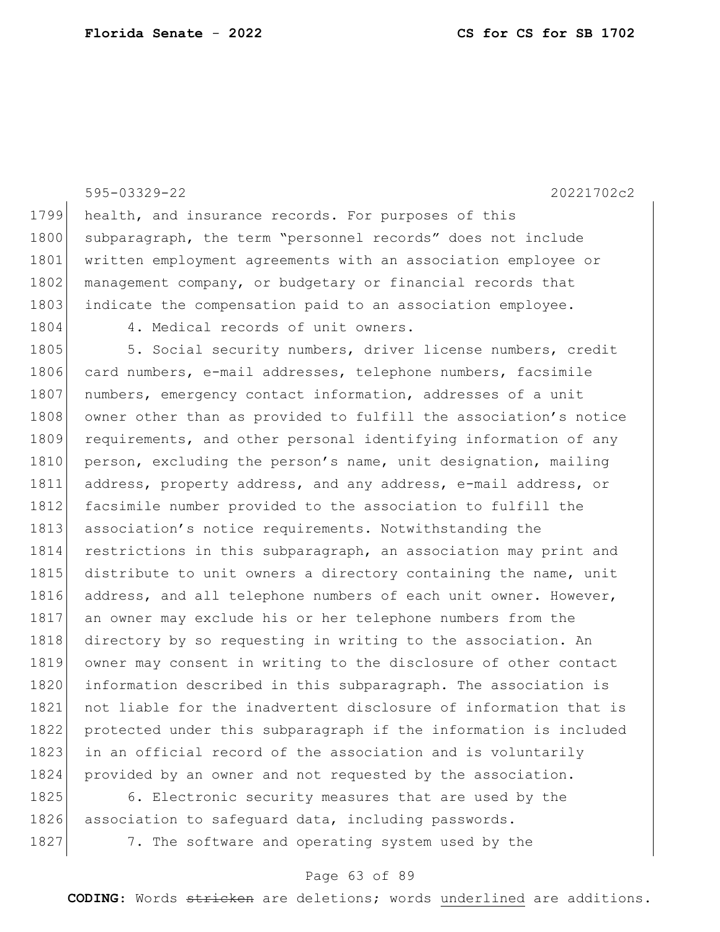595-03329-22 20221702c2 1799 health, and insurance records. For purposes of this 1800 subparagraph, the term "personnel records" does not include 1801 written employment agreements with an association employee or 1802 management company, or budgetary or financial records that 1803 indicate the compensation paid to an association employee. 1804 4. Medical records of unit owners. 1805 5. Social security numbers, driver license numbers, credit 1806 card numbers, e-mail addresses, telephone numbers, facsimile 1807 numbers, emergency contact information, addresses of a unit 1808 owner other than as provided to fulfill the association's notice 1809 requirements, and other personal identifying information of any 1810 person, excluding the person's name, unit designation, mailing 1811 address, property address, and any address, e-mail address, or 1812 facsimile number provided to the association to fulfill the 1813 association's notice requirements. Notwithstanding the 1814 restrictions in this subparagraph, an association may print and 1815 distribute to unit owners a directory containing the name, unit 1816 address, and all telephone numbers of each unit owner. However, 1817 an owner may exclude his or her telephone numbers from the 1818 directory by so requesting in writing to the association. An 1819 owner may consent in writing to the disclosure of other contact 1820 information described in this subparagraph. The association is 1821 not liable for the inadvertent disclosure of information that is 1822 protected under this subparagraph if the information is included 1823 in an official record of the association and is voluntarily 1824 provided by an owner and not requested by the association. 1825 6. Electronic security measures that are used by the

1826 association to safeguard data, including passwords.

1827 7. The software and operating system used by the

## Page 63 of 89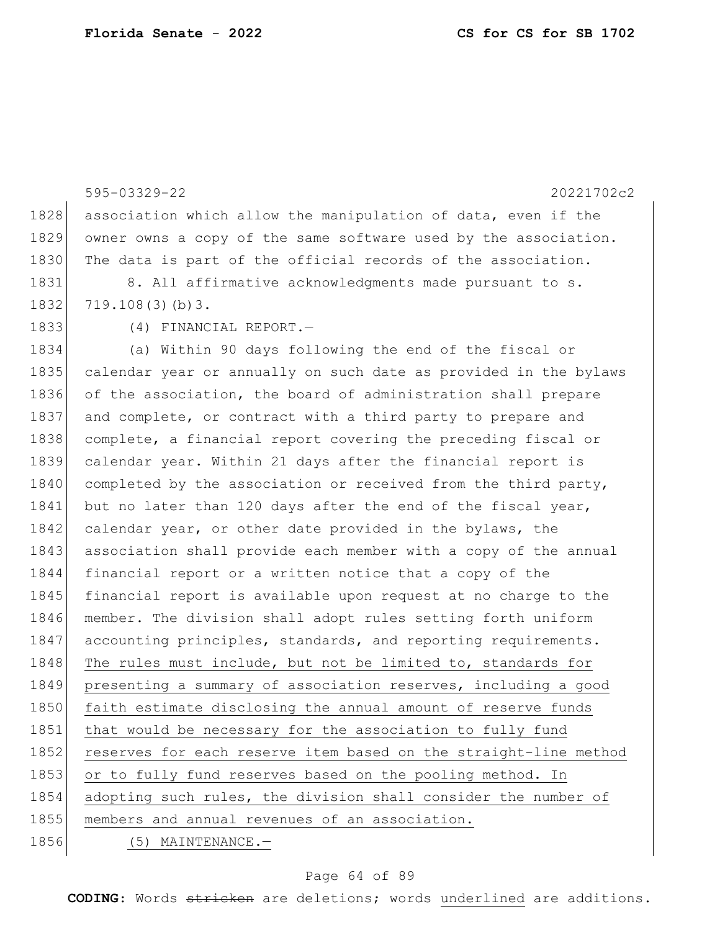595-03329-22 20221702c2 1828 association which allow the manipulation of data, even if the 1829 owner owns a copy of the same software used by the association. 1830 The data is part of the official records of the association. 1831 8. All affirmative acknowledgments made pursuant to s. 1832 719.108(3)(b)3. 1833 (4) FINANCIAL REPORT. 1834 (a) Within 90 days following the end of the fiscal or 1835 calendar year or annually on such date as provided in the bylaws 1836 of the association, the board of administration shall prepare 1837 and complete, or contract with a third party to prepare and 1838 complete, a financial report covering the preceding fiscal or 1839 calendar year. Within 21 days after the financial report is 1840 completed by the association or received from the third party, 1841 but no later than 120 days after the end of the fiscal year, 1842 calendar year, or other date provided in the bylaws, the 1843 association shall provide each member with a copy of the annual 1844 financial report or a written notice that a copy of the 1845 financial report is available upon request at no charge to the 1846 member. The division shall adopt rules setting forth uniform 1847 accounting principles, standards, and reporting requirements. 1848 The rules must include, but not be limited to, standards for 1849 presenting a summary of association reserves, including a good 1850 faith estimate disclosing the annual amount of reserve funds 1851 that would be necessary for the association to fully fund 1852 reserves for each reserve item based on the straight-line method 1853 or to fully fund reserves based on the pooling method. In 1854 adopting such rules, the division shall consider the number of 1855 members and annual revenues of an association. 1856 (5) MAINTENANCE.-

## Page 64 of 89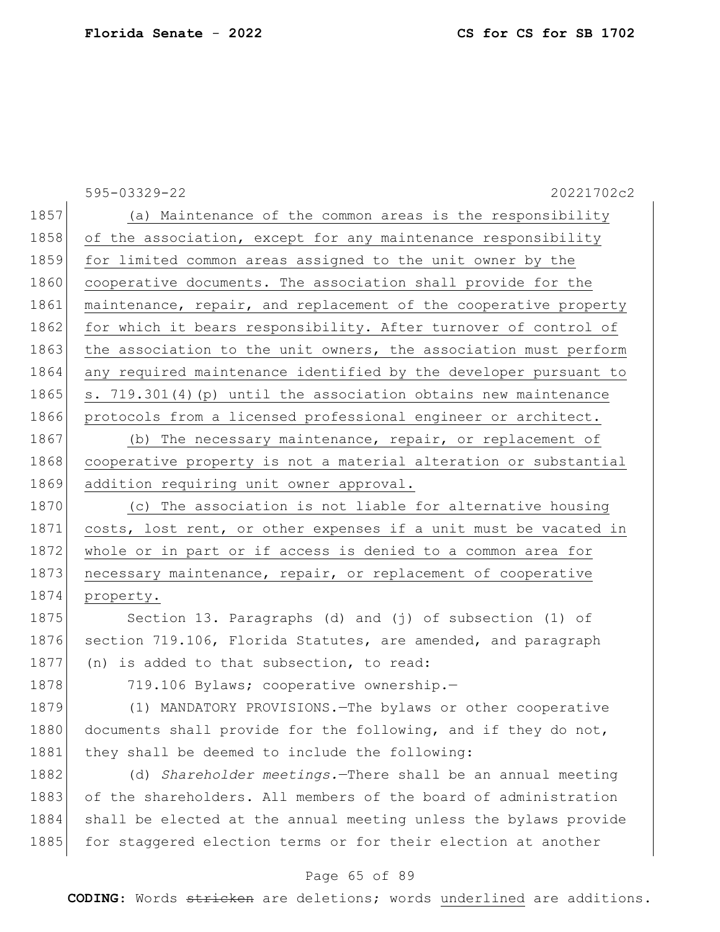|      | 595-03329-22<br>20221702c2                                       |
|------|------------------------------------------------------------------|
| 1857 | (a) Maintenance of the common areas is the responsibility        |
| 1858 | of the association, except for any maintenance responsibility    |
| 1859 | for limited common areas assigned to the unit owner by the       |
| 1860 | cooperative documents. The association shall provide for the     |
| 1861 | maintenance, repair, and replacement of the cooperative property |
| 1862 | for which it bears responsibility. After turnover of control of  |
| 1863 | the association to the unit owners, the association must perform |
| 1864 | any required maintenance identified by the developer pursuant to |
| 1865 | s. 719.301(4) (p) until the association obtains new maintenance  |
| 1866 | protocols from a licensed professional engineer or architect.    |
| 1867 | (b) The necessary maintenance, repair, or replacement of         |
| 1868 | cooperative property is not a material alteration or substantial |
| 1869 | addition requiring unit owner approval.                          |
| 1870 | (c) The association is not liable for alternative housing        |
| 1871 | costs, lost rent, or other expenses if a unit must be vacated in |
| 1872 | whole or in part or if access is denied to a common area for     |
| 1873 | necessary maintenance, repair, or replacement of cooperative     |
| 1874 | property.                                                        |
| 1875 | Section 13. Paragraphs (d) and (j) of subsection (1) of          |
| 1876 | section 719.106, Florida Statutes, are amended, and paragraph    |
| 1877 | (n) is added to that subsection, to read:                        |
| 1878 | 719.106 Bylaws; cooperative ownership.-                          |
| 1879 | (1) MANDATORY PROVISIONS. The bylaws or other cooperative        |
| 1880 | documents shall provide for the following, and if they do not,   |
| 1881 | they shall be deemed to include the following:                   |
| 1882 | (d) Shareholder meetings. - There shall be an annual meeting     |
| 1883 | of the shareholders. All members of the board of administration  |
| 1884 | shall be elected at the annual meeting unless the bylaws provide |
| 1885 | for staggered election terms or for their election at another    |

# Page 65 of 89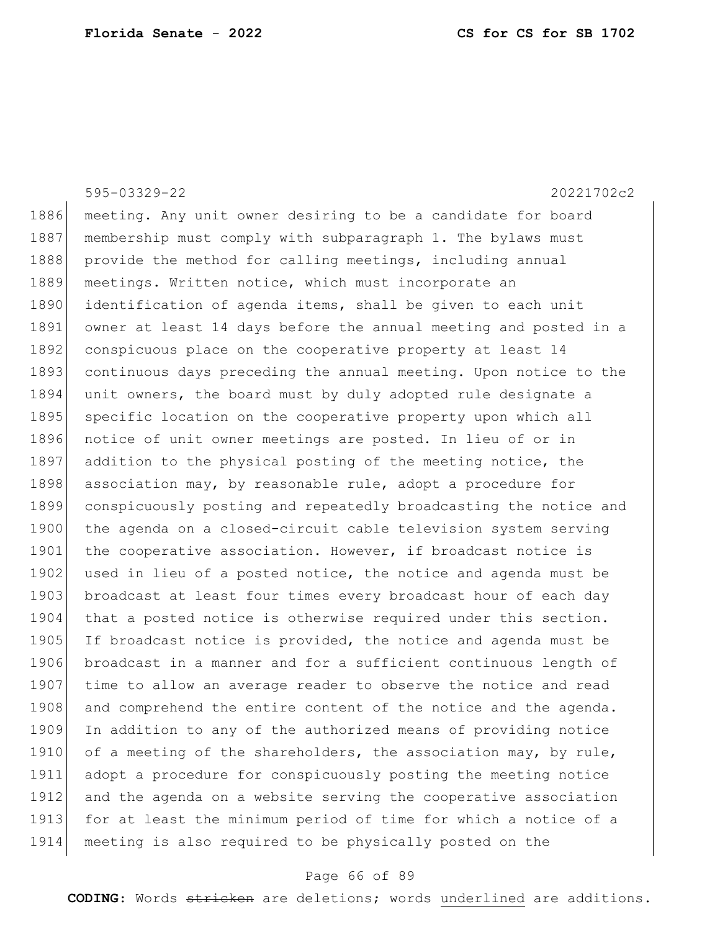595-03329-22 20221702c2 1886 | meeting. Any unit owner desiring to be a candidate for board 1887 membership must comply with subparagraph 1. The bylaws must 1888 provide the method for calling meetings, including annual 1889 meetings. Written notice, which must incorporate an 1890 identification of agenda items, shall be given to each unit 1891 owner at least 14 days before the annual meeting and posted in a 1892 conspicuous place on the cooperative property at least 14 1893 continuous days preceding the annual meeting. Upon notice to the 1894 unit owners, the board must by duly adopted rule designate a 1895 specific location on the cooperative property upon which all 1896 notice of unit owner meetings are posted. In lieu of or in 1897 addition to the physical posting of the meeting notice, the 1898 association may, by reasonable rule, adopt a procedure for 1899 conspicuously posting and repeatedly broadcasting the notice and 1900 the agenda on a closed-circuit cable television system serving 1901 the cooperative association. However, if broadcast notice is 1902 used in lieu of a posted notice, the notice and agenda must be 1903 broadcast at least four times every broadcast hour of each day 1904 | that a posted notice is otherwise required under this section. 1905 If broadcast notice is provided, the notice and agenda must be 1906 broadcast in a manner and for a sufficient continuous length of 1907 time to allow an average reader to observe the notice and read 1908 and comprehend the entire content of the notice and the agenda. 1909 In addition to any of the authorized means of providing notice 1910 of a meeting of the shareholders, the association may, by rule, 1911 adopt a procedure for conspicuously posting the meeting notice 1912 and the agenda on a website serving the cooperative association 1913 for at least the minimum period of time for which a notice of a 1914 meeting is also required to be physically posted on the

## Page 66 of 89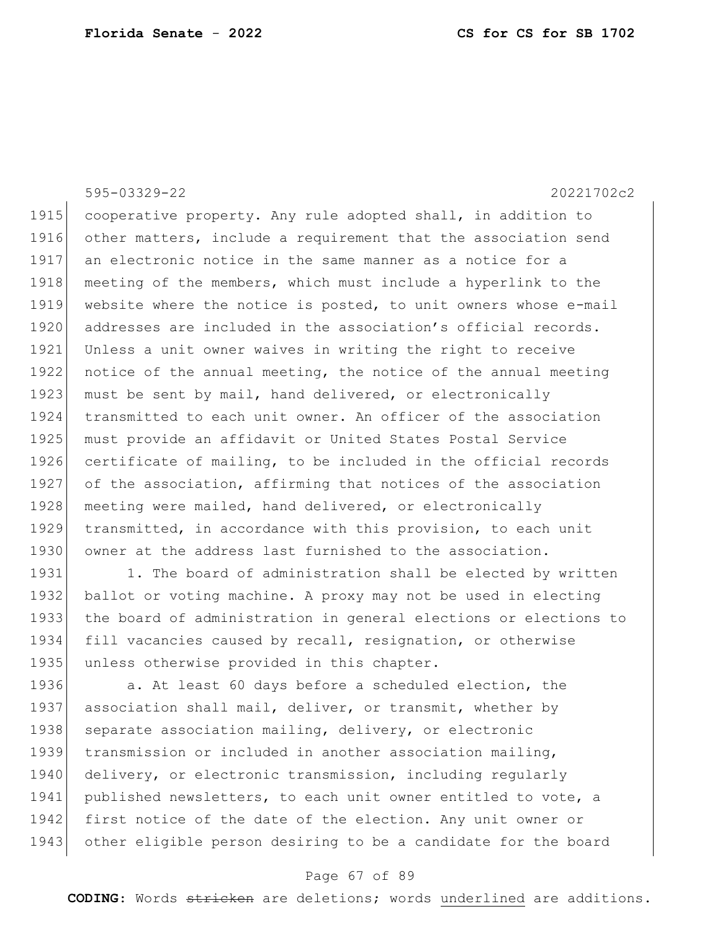595-03329-22 20221702c2

1915 cooperative property. Any rule adopted shall, in addition to 1916 other matters, include a requirement that the association send 1917 an electronic notice in the same manner as a notice for a 1918 meeting of the members, which must include a hyperlink to the 1919 website where the notice is posted, to unit owners whose e-mail 1920 addresses are included in the association's official records. 1921 Unless a unit owner waives in writing the right to receive 1922 notice of the annual meeting, the notice of the annual meeting 1923 must be sent by mail, hand delivered, or electronically 1924 transmitted to each unit owner. An officer of the association 1925 must provide an affidavit or United States Postal Service 1926 certificate of mailing, to be included in the official records 1927 of the association, affirming that notices of the association 1928 meeting were mailed, hand delivered, or electronically 1929 transmitted, in accordance with this provision, to each unit 1930 owner at the address last furnished to the association.

1931 1. The board of administration shall be elected by written 1932 ballot or voting machine. A proxy may not be used in electing 1933 the board of administration in general elections or elections to 1934 fill vacancies caused by recall, resignation, or otherwise 1935 unless otherwise provided in this chapter.

1936 **a.** At least 60 days before a scheduled election, the 1937 association shall mail, deliver, or transmit, whether by 1938 separate association mailing, delivery, or electronic 1939 transmission or included in another association mailing, 1940 delivery, or electronic transmission, including regularly 1941 published newsletters, to each unit owner entitled to vote, a 1942 first notice of the date of the election. Any unit owner or 1943 other eligible person desiring to be a candidate for the board

## Page 67 of 89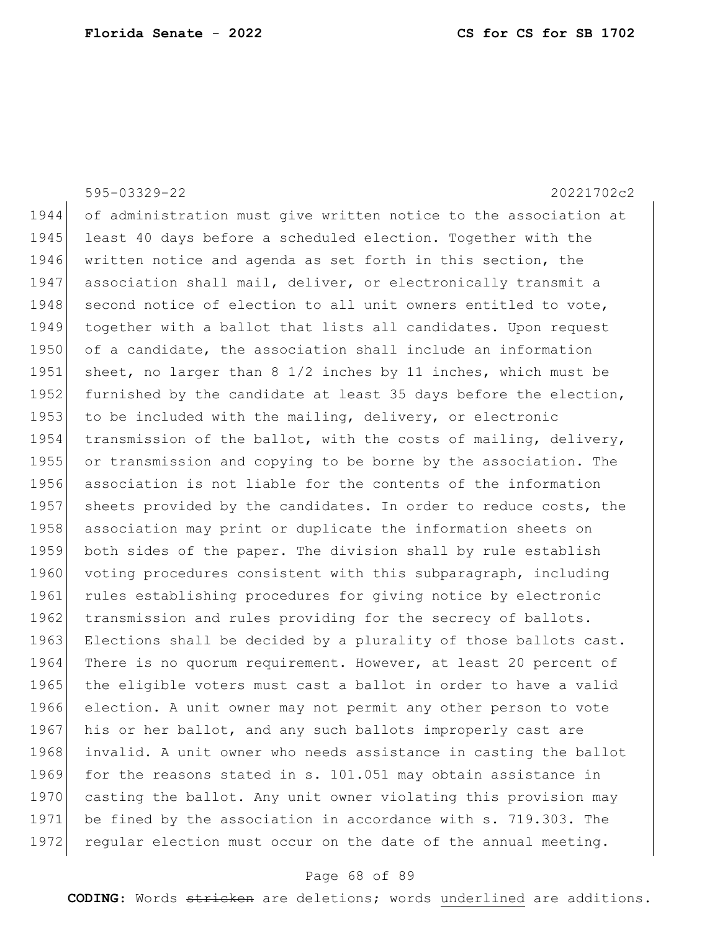|      | 595-03329-22<br>20221702c2                                              |
|------|-------------------------------------------------------------------------|
| 1944 | of administration must give written notice to the association at        |
| 1945 | least 40 days before a scheduled election. Together with the            |
| 1946 | written notice and agenda as set forth in this section, the             |
| 1947 | association shall mail, deliver, or electronically transmit a           |
| 1948 | second notice of election to all unit owners entitled to vote,          |
| 1949 | together with a ballot that lists all candidates. Upon request          |
| 1950 | of a candidate, the association shall include an information            |
| 1951 | sheet, no larger than $8\frac{1}{2}$ inches by 11 inches, which must be |
| 1952 | furnished by the candidate at least 35 days before the election,        |
| 1953 | to be included with the mailing, delivery, or electronic                |
| 1954 | transmission of the ballot, with the costs of mailing, delivery,        |
| 1955 | or transmission and copying to be borne by the association. The         |
| 1956 | association is not liable for the contents of the information           |
| 1957 | sheets provided by the candidates. In order to reduce costs, the        |
| 1958 | association may print or duplicate the information sheets on            |
| 1959 | both sides of the paper. The division shall by rule establish           |
| 1960 | voting procedures consistent with this subparagraph, including          |
| 1961 | rules establishing procedures for giving notice by electronic           |
| 1962 | transmission and rules providing for the secrecy of ballots.            |
| 1963 | Elections shall be decided by a plurality of those ballots cast.        |
| 1964 | There is no quorum requirement. However, at least 20 percent of         |
| 1965 | the eligible voters must cast a ballot in order to have a valid         |
| 1966 | election. A unit owner may not permit any other person to vote          |
| 1967 | his or her ballot, and any such ballots improperly cast are             |
| 1968 | invalid. A unit owner who needs assistance in casting the ballot        |
| 1969 | for the reasons stated in s. 101.051 may obtain assistance in           |
| 1970 | casting the ballot. Any unit owner violating this provision may         |
| 1971 | be fined by the association in accordance with s. 719.303. The          |
| 1972 | regular election must occur on the date of the annual meeting.          |

# Page 68 of 89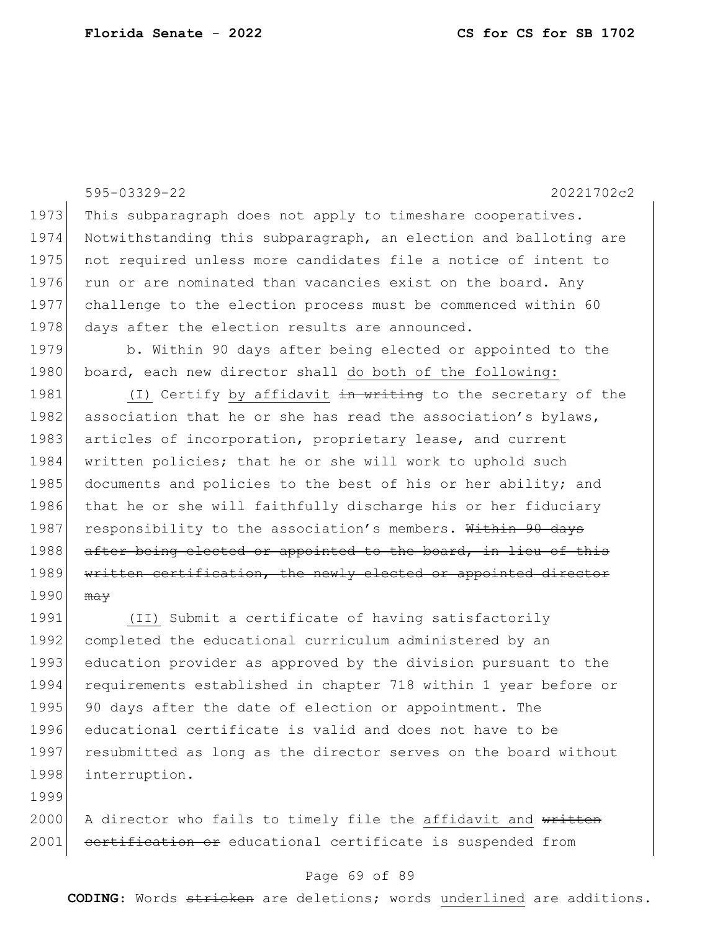1999

595-03329-22 20221702c2 1973 This subparagraph does not apply to timeshare cooperatives. 1974 Notwithstanding this subparagraph, an election and balloting are 1975 not required unless more candidates file a notice of intent to 1976 run or are nominated than vacancies exist on the board. Any 1977 challenge to the election process must be commenced within 60 1978 days after the election results are announced. 1979 b. Within 90 days after being elected or appointed to the 1980 board, each new director shall do both of the following: 1981  $(1)$  Certify by affidavit in writing to the secretary of the 1982 association that he or she has read the association's bylaws, 1983 articles of incorporation, proprietary lease, and current 1984 written policies; that he or she will work to uphold such 1985 documents and policies to the best of his or her ability; and 1986 that he or she will faithfully discharge his or her fiduciary 1987 responsibility to the association's members. Within 90 days 1988 after being elected or appointed to the board, in lieu of this 1989 written certification, the newly elected or appointed director  $1990$  may 1991 (II) Submit a certificate of having satisfactorily 1992 completed the educational curriculum administered by an 1993 education provider as approved by the division pursuant to the

1994 requirements established in chapter 718 within 1 year before or 1995 90 days after the date of election or appointment. The 1996 educational certificate is valid and does not have to be 1997 resubmitted as long as the director serves on the board without 1998 interruption.

 $2000$  A director who fails to timely file the affidavit and written 2001 certification or educational certificate is suspended from

## Page 69 of 89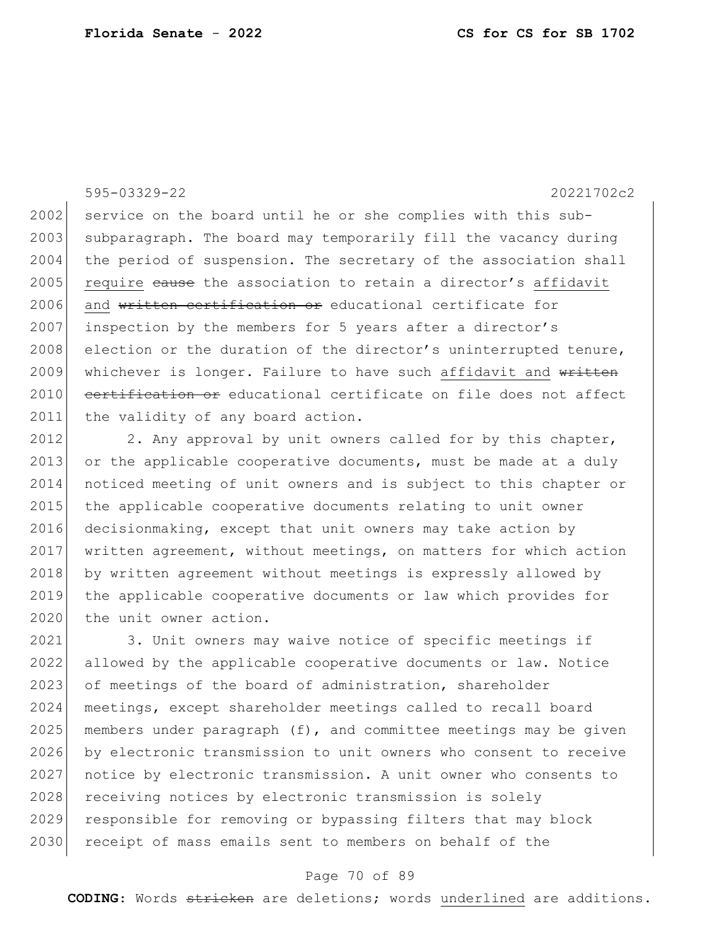## 595-03329-22 20221702c2

 $2002$  service on the board until he or she complies with this sub-2003 subparagraph. The board may temporarily fill the vacancy during 2004 the period of suspension. The secretary of the association shall 2005 require cause the association to retain a director's affidavit 2006 and written certification or educational certificate for 2007 inspection by the members for 5 years after a director's 2008 election or the duration of the director's uninterrupted tenure,  $2009$  whichever is longer. Failure to have such affidavit and written 2010 certification or educational certificate on file does not affect 2011 the validity of any board action.

 $2012$  2. Any approval by unit owners called for by this chapter,  $2013$  or the applicable cooperative documents, must be made at a duly 2014 noticed meeting of unit owners and is subject to this chapter or 2015 the applicable cooperative documents relating to unit owner 2016 decisionmaking, except that unit owners may take action by 2017 written agreement, without meetings, on matters for which action 2018 by written agreement without meetings is expressly allowed by 2019 the applicable cooperative documents or law which provides for 2020 the unit owner action.

2021 3. Unit owners may waive notice of specific meetings if 2022 allowed by the applicable cooperative documents or law. Notice 2023 of meetings of the board of administration, shareholder 2024 meetings, except shareholder meetings called to recall board  $2025$  members under paragraph (f), and committee meetings may be given 2026 by electronic transmission to unit owners who consent to receive 2027 notice by electronic transmission. A unit owner who consents to 2028 receiving notices by electronic transmission is solely 2029 responsible for removing or bypassing filters that may block 2030 | receipt of mass emails sent to members on behalf of the

## Page 70 of 89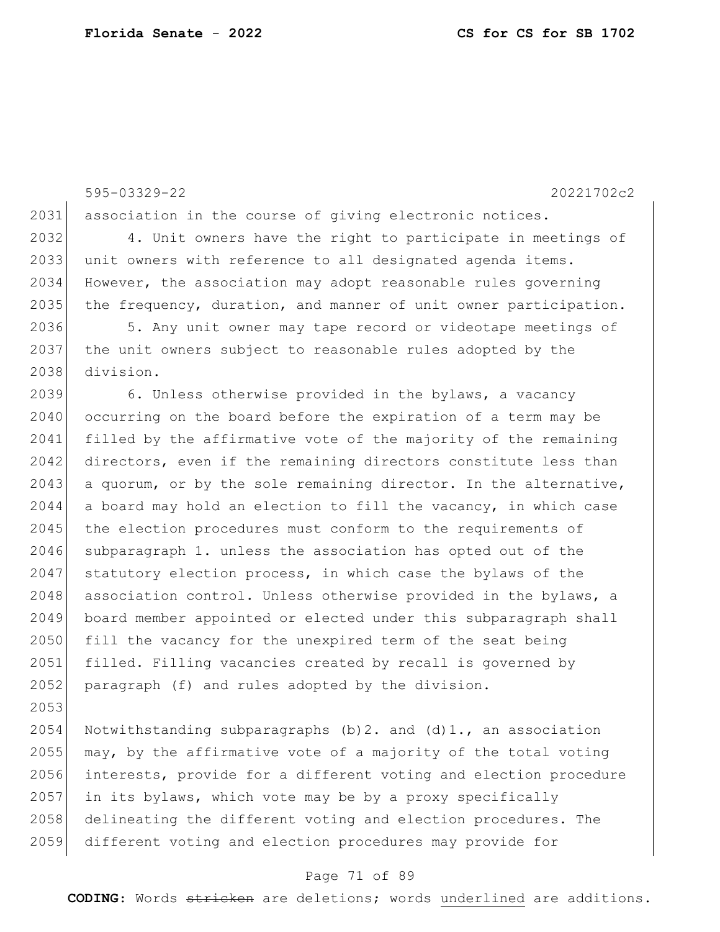595-03329-22 20221702c2 2031 association in the course of giving electronic notices. 2032 4. Unit owners have the right to participate in meetings of 2033 unit owners with reference to all designated agenda items. 2034 However, the association may adopt reasonable rules governing 2035 the frequency, duration, and manner of unit owner participation. 2036 5. Any unit owner may tape record or videotape meetings of 2037 the unit owners subject to reasonable rules adopted by the 2038 division. 2039 6. Unless otherwise provided in the bylaws, a vacancy 2040 occurring on the board before the expiration of a term may be 2041 filled by the affirmative vote of the majority of the remaining 2042 directors, even if the remaining directors constitute less than  $2043$  a quorum, or by the sole remaining director. In the alternative,  $2044$  a board may hold an election to fill the vacancy, in which case 2045 the election procedures must conform to the requirements of 2046 subparagraph 1. unless the association has opted out of the  $2047$  statutory election process, in which case the bylaws of the 2048 association control. Unless otherwise provided in the bylaws, a 2049 board member appointed or elected under this subparagraph shall 2050 fill the vacancy for the unexpired term of the seat being 2051 filled. Filling vacancies created by recall is governed by 2052 paragraph (f) and rules adopted by the division. 2053 2054 Notwithstanding subparagraphs  $(b)$  2. and  $(d)$  1., an association  $2055$  may, by the affirmative vote of a majority of the total voting 2056 interests, provide for a different voting and election procedure

2058 delineating the different voting and election procedures. The 2059 different voting and election procedures may provide for

2057 in its bylaws, which vote may be by a proxy specifically

## Page 71 of 89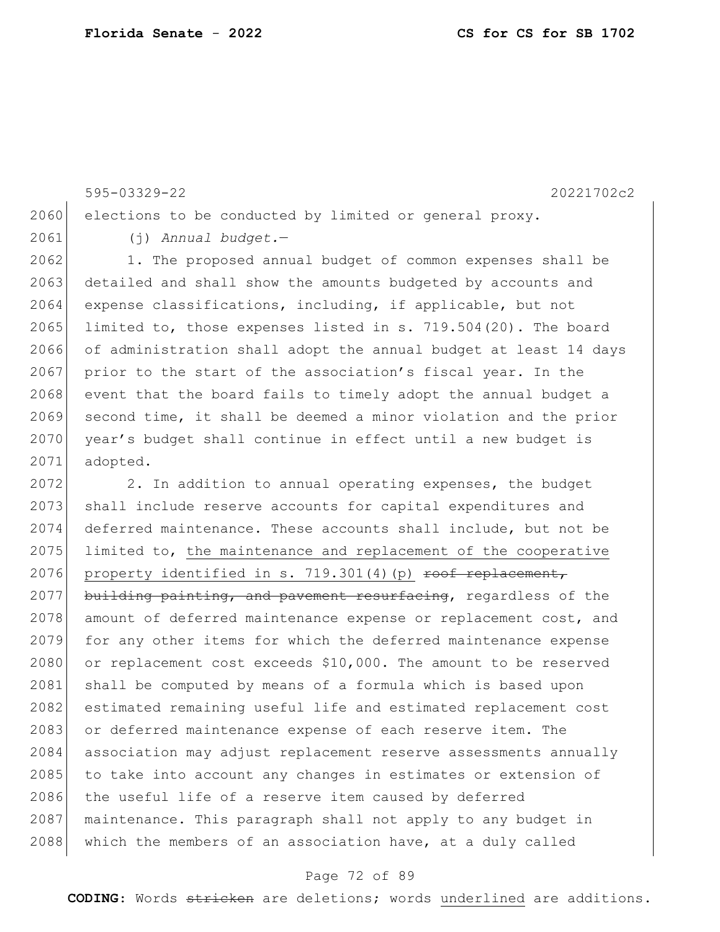595-03329-22 20221702c2 2060 elections to be conducted by limited or general proxy. 2061 (j) *Annual budget.*— 2062 1. The proposed annual budget of common expenses shall be 2063 detailed and shall show the amounts budgeted by accounts and 2064 expense classifications, including, if applicable, but not 2065 limited to, those expenses listed in s. 719.504(20). The board 2066 of administration shall adopt the annual budget at least 14 days 2067 prior to the start of the association's fiscal year. In the

2068 event that the board fails to timely adopt the annual budget a 2069 second time, it shall be deemed a minor violation and the prior 2070 year's budget shall continue in effect until a new budget is 2071 adopted.

2072 2. In addition to annual operating expenses, the budget 2073 shall include reserve accounts for capital expenditures and 2074 deferred maintenance. These accounts shall include, but not be  $2075$  limited to, the maintenance and replacement of the cooperative 2076 property identified in s. 719.301(4)(p) roof replacement,  $2077$  building painting, and pavement resurfacing, regardless of the 2078 amount of deferred maintenance expense or replacement cost, and 2079 for any other items for which the deferred maintenance expense  $2080$  or replacement cost exceeds \$10,000. The amount to be reserved 2081 shall be computed by means of a formula which is based upon 2082 estimated remaining useful life and estimated replacement cost 2083 or deferred maintenance expense of each reserve item. The 2084 association may adjust replacement reserve assessments annually 2085 to take into account any changes in estimates or extension of 2086 the useful life of a reserve item caused by deferred 2087 maintenance. This paragraph shall not apply to any budget in  $2088$  which the members of an association have, at a duly called

#### Page 72 of 89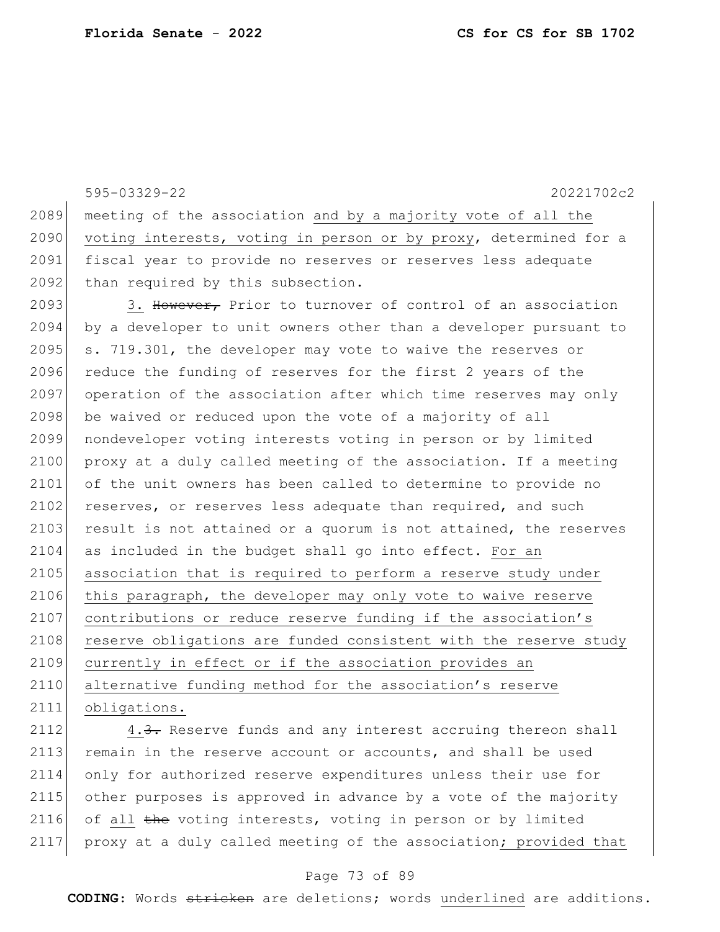595-03329-22 20221702c2 2089 meeting of the association and by a majority vote of all the 2090 voting interests, voting in person or by proxy, determined for a 2091 fiscal year to provide no reserves or reserves less adequate 2092 than required by this subsection. 2093 3. However, Prior to turnover of control of an association 2094 by a developer to unit owners other than a developer pursuant to 2095 s. 719.301, the developer may vote to waive the reserves or 2096 reduce the funding of reserves for the first 2 years of the 2097 operation of the association after which time reserves may only 2098 be waived or reduced upon the vote of a majority of all 2099 nondeveloper voting interests voting in person or by limited 2100 proxy at a duly called meeting of the association. If a meeting 2101 of the unit owners has been called to determine to provide no 2102 reserves, or reserves less adequate than required, and such 2103 result is not attained or a quorum is not attained, the reserves 2104 as included in the budget shall go into effect. For an 2105 association that is required to perform a reserve study under 2106 this paragraph, the developer may only vote to waive reserve 2107 contributions or reduce reserve funding if the association's 2108 reserve obligations are funded consistent with the reserve study 2109 currently in effect or if the association provides an 2110 alternative funding method for the association's reserve 2111 obligations.

2112 4.3. Reserve funds and any interest accruing thereon shall 2113 remain in the reserve account or accounts, and shall be used 2114 only for authorized reserve expenditures unless their use for 2115 other purposes is approved in advance by a vote of the majority 2116 of all  $the$  voting interests, voting in person or by limited 2117 proxy at a duly called meeting of the association; provided that

### Page 73 of 89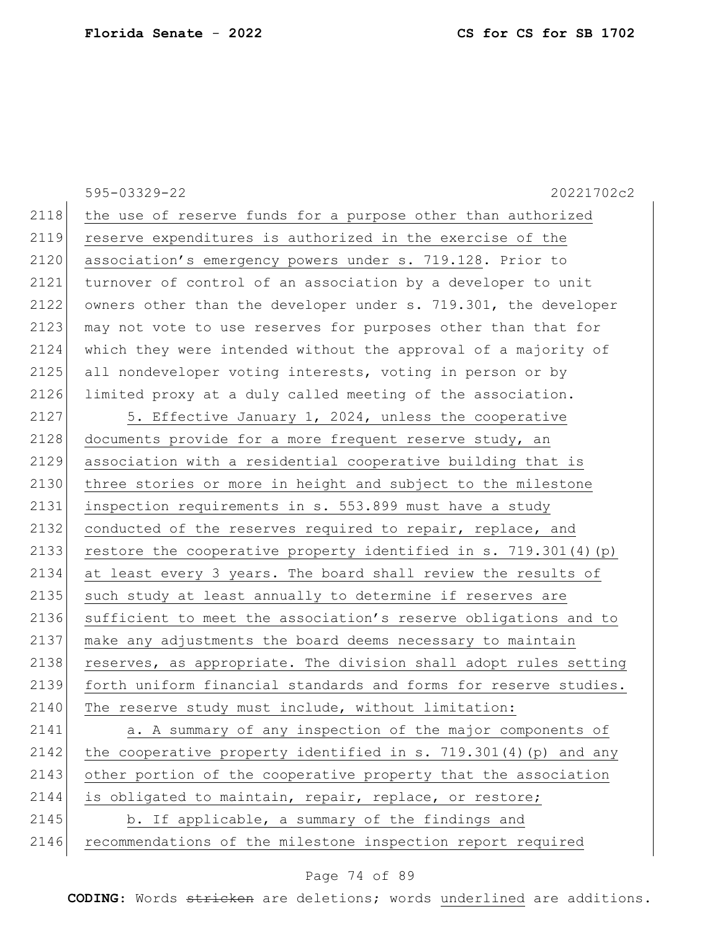|      | 595-03329-22<br>20221702c2                                       |
|------|------------------------------------------------------------------|
| 2118 | the use of reserve funds for a purpose other than authorized     |
| 2119 | reserve expenditures is authorized in the exercise of the        |
| 2120 | association's emergency powers under s. 719.128. Prior to        |
| 2121 | turnover of control of an association by a developer to unit     |
| 2122 | owners other than the developer under s. 719.301, the developer  |
| 2123 | may not vote to use reserves for purposes other than that for    |
| 2124 | which they were intended without the approval of a majority of   |
| 2125 | all nondeveloper voting interests, voting in person or by        |
| 2126 | limited proxy at a duly called meeting of the association.       |
| 2127 | 5. Effective January 1, 2024, unless the cooperative             |
| 2128 | documents provide for a more frequent reserve study, an          |
| 2129 | association with a residential cooperative building that is      |
| 2130 | three stories or more in height and subject to the milestone     |
| 2131 | inspection requirements in s. 553.899 must have a study          |
| 2132 | conducted of the reserves required to repair, replace, and       |
| 2133 | restore the cooperative property identified in s. 719.301(4) (p) |
| 2134 | at least every 3 years. The board shall review the results of    |
| 2135 | such study at least annually to determine if reserves are        |
| 2136 | sufficient to meet the association's reserve obligations and to  |
| 2137 | make any adjustments the board deems necessary to maintain       |
| 2138 | reserves, as appropriate. The division shall adopt rules setting |
| 2139 | forth uniform financial standards and forms for reserve studies. |
| 2140 | The reserve study must include, without limitation:              |
| 2141 | a. A summary of any inspection of the major components of        |
| 2142 | the cooperative property identified in s. 719.301(4) (p) and any |
| 2143 | other portion of the cooperative property that the association   |
| 2144 | is obligated to maintain, repair, replace, or restore;           |
| 2145 | b. If applicable, a summary of the findings and                  |
| 2146 | recommendations of the milestone inspection report required      |

# Page 74 of 89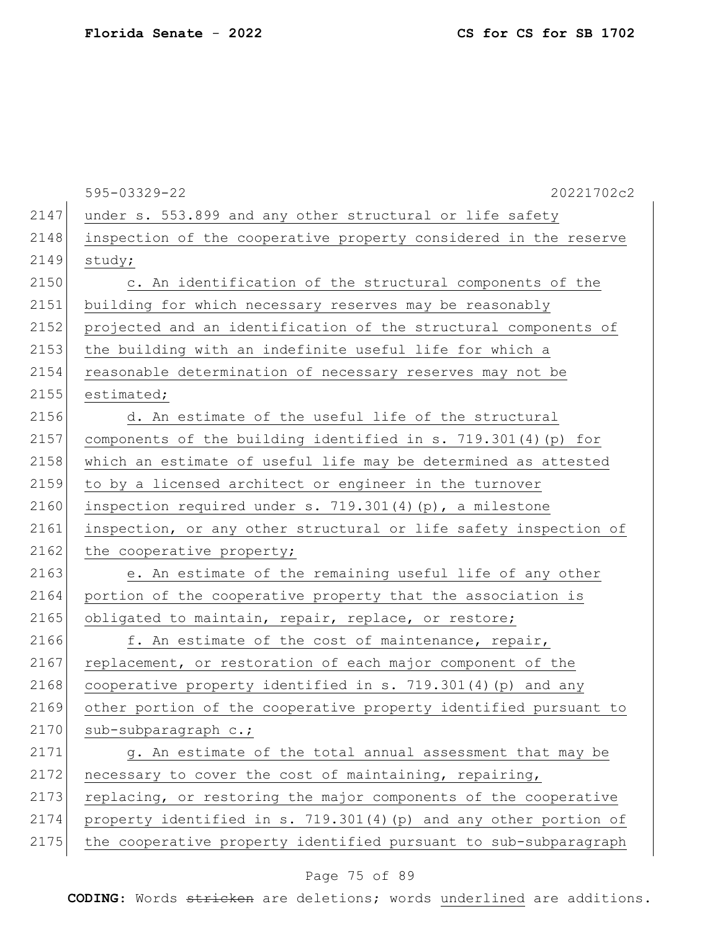|      | $595 - 03329 - 22$<br>20221702c2                                  |
|------|-------------------------------------------------------------------|
| 2147 | under s. 553.899 and any other structural or life safety          |
| 2148 | inspection of the cooperative property considered in the reserve  |
| 2149 | study;                                                            |
| 2150 | c. An identification of the structural components of the          |
| 2151 | building for which necessary reserves may be reasonably           |
| 2152 | projected and an identification of the structural components of   |
| 2153 | the building with an indefinite useful life for which a           |
| 2154 | reasonable determination of necessary reserves may not be         |
| 2155 | estimated;                                                        |
| 2156 | d. An estimate of the useful life of the structural               |
| 2157 | components of the building identified in s. 719.301(4) (p) for    |
| 2158 | which an estimate of useful life may be determined as attested    |
| 2159 | to by a licensed architect or engineer in the turnover            |
| 2160 | inspection required under s. 719.301(4)(p), a milestone           |
| 2161 | inspection, or any other structural or life safety inspection of  |
| 2162 | the cooperative property;                                         |
| 2163 | e. An estimate of the remaining useful life of any other          |
| 2164 | portion of the cooperative property that the association is       |
| 2165 | obligated to maintain, repair, replace, or restore;               |
| 2166 | f. An estimate of the cost of maintenance, repair,                |
| 2167 | replacement, or restoration of each major component of the        |
| 2168 | cooperative property identified in s. 719.301(4) (p) and any      |
| 2169 | other portion of the cooperative property identified pursuant to  |
| 2170 | sub-subparagraph c.;                                              |
| 2171 | g. An estimate of the total annual assessment that may be         |
| 2172 | necessary to cover the cost of maintaining, repairing,            |
| 2173 | replacing, or restoring the major components of the cooperative   |
| 2174 | property identified in s. 719.301(4) (p) and any other portion of |
| 2175 | the cooperative property identified pursuant to sub-subparagraph  |

# Page 75 of 89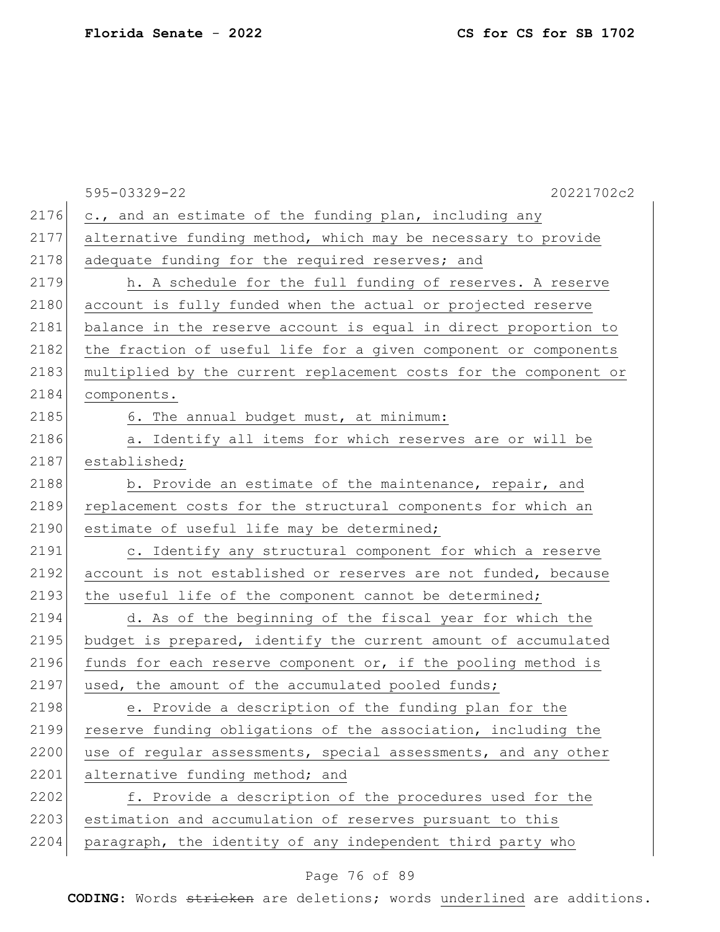|      | 595-03329-22<br>20221702c2                                       |
|------|------------------------------------------------------------------|
| 2176 | c., and an estimate of the funding plan, including any           |
| 2177 | alternative funding method, which may be necessary to provide    |
| 2178 | adequate funding for the required reserves; and                  |
| 2179 | h. A schedule for the full funding of reserves. A reserve        |
| 2180 | account is fully funded when the actual or projected reserve     |
| 2181 | balance in the reserve account is equal in direct proportion to  |
| 2182 | the fraction of useful life for a given component or components  |
| 2183 | multiplied by the current replacement costs for the component or |
| 2184 | components.                                                      |
| 2185 | 6. The annual budget must, at minimum:                           |
| 2186 | a. Identify all items for which reserves are or will be          |
| 2187 | established;                                                     |
| 2188 | b. Provide an estimate of the maintenance, repair, and           |
| 2189 | replacement costs for the structural components for which an     |
| 2190 | estimate of useful life may be determined;                       |
| 2191 | c. Identify any structural component for which a reserve         |
| 2192 | account is not established or reserves are not funded, because   |
| 2193 | the useful life of the component cannot be determined;           |
| 2194 | d. As of the beginning of the fiscal year for which the          |
| 2195 | budget is prepared, identify the current amount of accumulated   |
| 2196 | funds for each reserve component or, if the pooling method is    |
| 2197 | used, the amount of the accumulated pooled funds;                |
| 2198 | e. Provide a description of the funding plan for the             |
| 2199 | reserve funding obligations of the association, including the    |
| 2200 | use of regular assessments, special assessments, and any other   |
| 2201 | alternative funding method; and                                  |
| 2202 | f. Provide a description of the procedures used for the          |
| 2203 | estimation and accumulation of reserves pursuant to this         |
| 2204 | paragraph, the identity of any independent third party who       |

# Page 76 of 89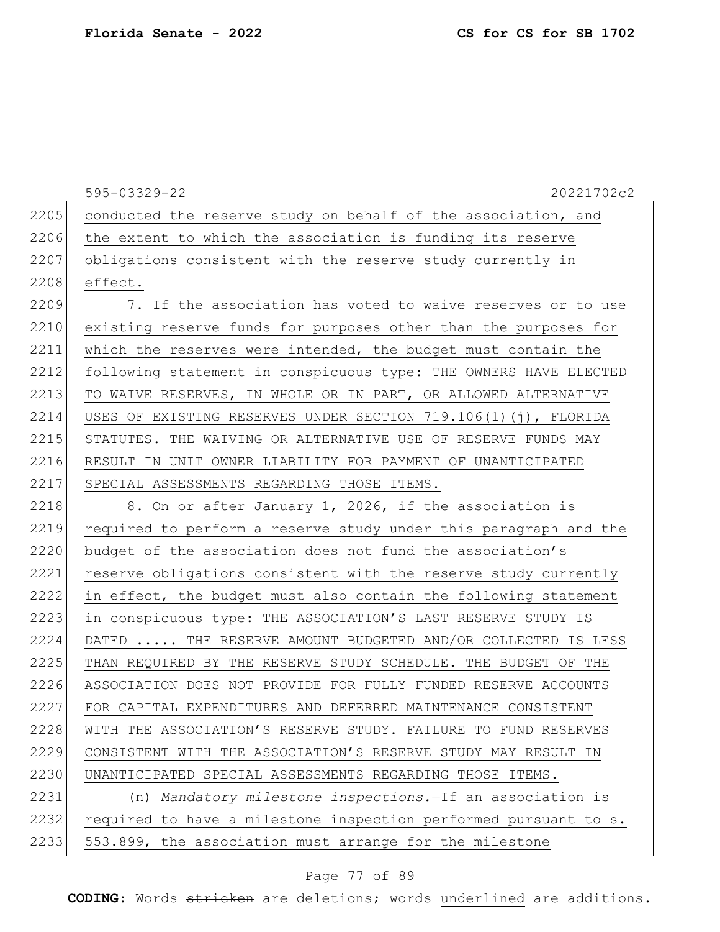595-03329-22 20221702c2 2205 conducted the reserve study on behalf of the association, and 2206 the extent to which the association is funding its reserve 2207 obligations consistent with the reserve study currently in  $2208$  effect. 2209 7. If the association has voted to waive reserves or to use 2210 existing reserve funds for purposes other than the purposes for  $2211$  which the reserves were intended, the budget must contain the 2212 following statement in conspicuous type: THE OWNERS HAVE ELECTED 2213 TO WAIVE RESERVES, IN WHOLE OR IN PART, OR ALLOWED ALTERNATIVE 2214 USES OF EXISTING RESERVES UNDER SECTION 719.106(1)(j), FLORIDA 2215 STATUTES. THE WAIVING OR ALTERNATIVE USE OF RESERVE FUNDS MAY 2216 RESULT IN UNIT OWNER LIABILITY FOR PAYMENT OF UNANTICIPATED 2217 SPECIAL ASSESSMENTS REGARDING THOSE ITEMS.  $2218$  8. On or after January 1, 2026, if the association is 2219 required to perform a reserve study under this paragraph and the 2220 budget of the association does not fund the association's 2221 reserve obligations consistent with the reserve study currently 2222 in effect, the budget must also contain the following statement 2223 in conspicuous type: THE ASSOCIATION'S LAST RESERVE STUDY IS 2224 DATED ..... THE RESERVE AMOUNT BUDGETED AND/OR COLLECTED IS LESS 2225 THAN REQUIRED BY THE RESERVE STUDY SCHEDULE. THE BUDGET OF THE 2226 ASSOCIATION DOES NOT PROVIDE FOR FULLY FUNDED RESERVE ACCOUNTS 2227 FOR CAPITAL EXPENDITURES AND DEFERRED MAINTENANCE CONSISTENT 2228 WITH THE ASSOCIATION'S RESERVE STUDY. FAILURE TO FUND RESERVES 2229 CONSISTENT WITH THE ASSOCIATION'S RESERVE STUDY MAY RESULT IN 2230 | UNANTICIPATED SPECIAL ASSESSMENTS REGARDING THOSE ITEMS. 2231 (n) *Mandatory milestone inspections.*—If an association is 2232 required to have a milestone inspection performed pursuant to s. 2233 553.899, the association must arrange for the milestone

### Page 77 of 89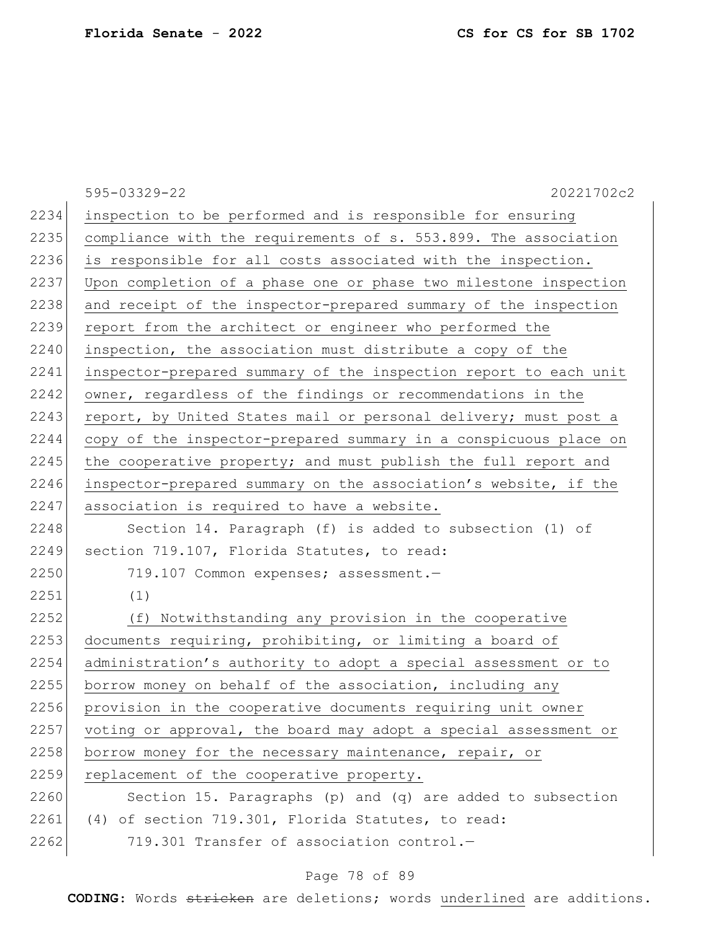|      | 595-03329-22<br>20221702c2                                       |
|------|------------------------------------------------------------------|
| 2234 | inspection to be performed and is responsible for ensuring       |
| 2235 | compliance with the requirements of s. 553.899. The association  |
| 2236 | is responsible for all costs associated with the inspection.     |
| 2237 | Upon completion of a phase one or phase two milestone inspection |
| 2238 | and receipt of the inspector-prepared summary of the inspection  |
| 2239 | report from the architect or engineer who performed the          |
| 2240 | inspection, the association must distribute a copy of the        |
| 2241 | inspector-prepared summary of the inspection report to each unit |
| 2242 | owner, regardless of the findings or recommendations in the      |
| 2243 | report, by United States mail or personal delivery; must post a  |
| 2244 | copy of the inspector-prepared summary in a conspicuous place on |
| 2245 | the cooperative property; and must publish the full report and   |
| 2246 | inspector-prepared summary on the association's website, if the  |
| 2247 | association is required to have a website.                       |
| 2248 | Section 14. Paragraph (f) is added to subsection (1) of          |
| 2249 | section 719.107, Florida Statutes, to read:                      |
| 2250 | 719.107 Common expenses; assessment.-                            |
| 2251 | (1)                                                              |
| 2252 | (f) Notwithstanding any provision in the cooperative             |
| 2253 | documents requiring, prohibiting, or limiting a board of         |
| 2254 | administration's authority to adopt a special assessment or to   |
| 2255 | borrow money on behalf of the association, including any         |
| 2256 | provision in the cooperative documents requiring unit owner      |
| 2257 | voting or approval, the board may adopt a special assessment or  |
| 2258 | borrow money for the necessary maintenance, repair, or           |
| 2259 | replacement of the cooperative property.                         |
| 2260 | Section 15. Paragraphs (p) and (q) are added to subsection       |
| 2261 | (4) of section 719.301, Florida Statutes, to read:               |
| 2262 | 719.301 Transfer of association control.-                        |

# Page 78 of 89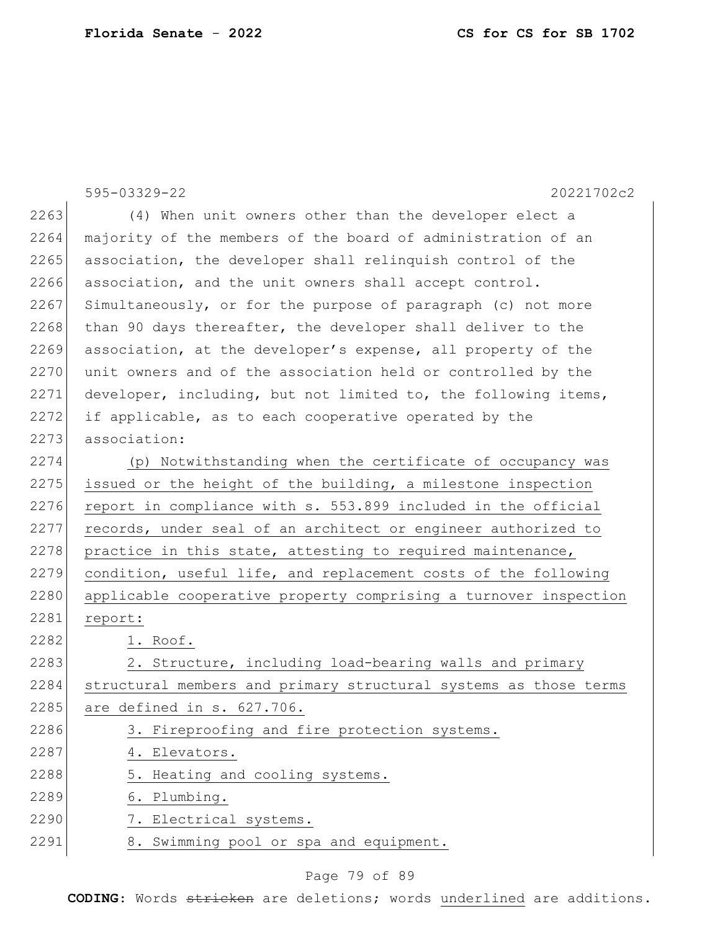|      | 595-03329-22<br>20221702c2                                       |
|------|------------------------------------------------------------------|
| 2263 | (4) When unit owners other than the developer elect a            |
| 2264 | majority of the members of the board of administration of an     |
| 2265 | association, the developer shall relinquish control of the       |
| 2266 | association, and the unit owners shall accept control.           |
| 2267 | Simultaneously, or for the purpose of paragraph (c) not more     |
| 2268 | than 90 days thereafter, the developer shall deliver to the      |
| 2269 | association, at the developer's expense, all property of the     |
| 2270 | unit owners and of the association held or controlled by the     |
| 2271 | developer, including, but not limited to, the following items,   |
| 2272 | if applicable, as to each cooperative operated by the            |
| 2273 | association:                                                     |
| 2274 | (p) Notwithstanding when the certificate of occupancy was        |
| 2275 | issued or the height of the building, a milestone inspection     |
| 2276 | report in compliance with s. 553.899 included in the official    |
| 2277 | records, under seal of an architect or engineer authorized to    |
| 2278 | practice in this state, attesting to required maintenance,       |
| 2279 | condition, useful life, and replacement costs of the following   |
| 2280 | applicable cooperative property comprising a turnover inspection |
| 2281 | report:                                                          |
| 2282 | 1. Roof.                                                         |
| 2283 | 2. Structure, including load-bearing walls and primary           |
| 2284 | structural members and primary structural systems as those terms |
| 2285 | are defined in s. 627.706.                                       |
| 2286 | 3. Fireproofing and fire protection systems.                     |
| 2287 | 4. Elevators.                                                    |
| 2288 | 5. Heating and cooling systems.                                  |
| 2289 | 6. Plumbing.                                                     |
| 2290 | 7. Electrical systems.                                           |
| 2291 | 8. Swimming pool or spa and equipment.                           |

# Page 79 of 89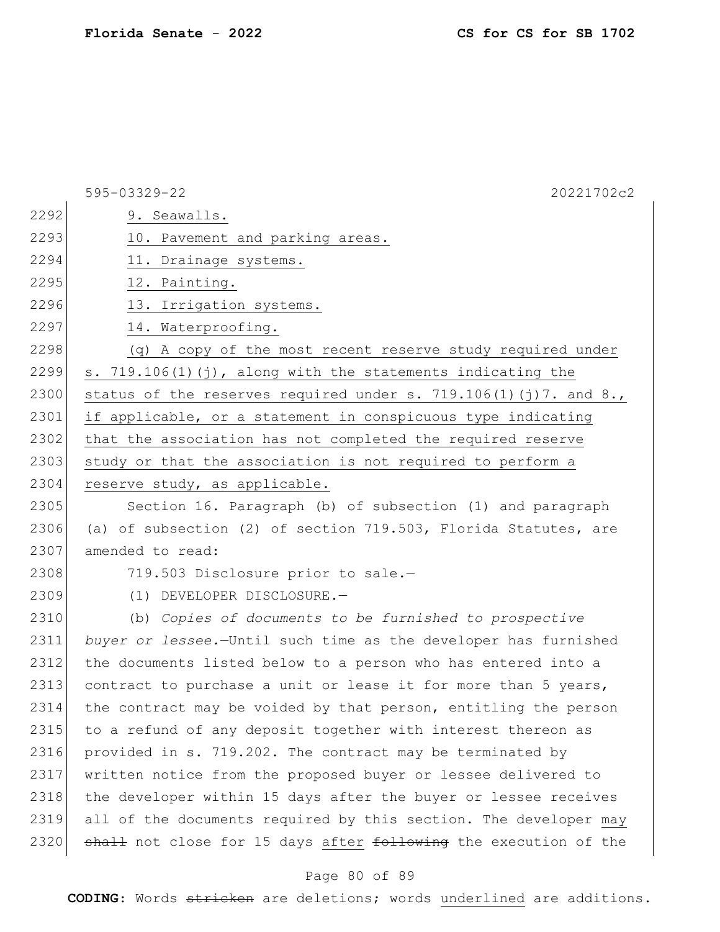|      | 595-03329-22<br>20221702c2                                       |
|------|------------------------------------------------------------------|
| 2292 | 9. Seawalls.                                                     |
| 2293 | 10. Pavement and parking areas.                                  |
| 2294 | 11. Drainage systems.                                            |
| 2295 | 12. Painting.                                                    |
| 2296 | 13. Irrigation systems.                                          |
| 2297 | 14. Waterproofing.                                               |
| 2298 | (q) A copy of the most recent reserve study required under       |
| 2299 | s. 719.106(1)(j), along with the statements indicating the       |
| 2300 | status of the reserves required under s. 719.106(1)(j)7. and 8., |
| 2301 | if applicable, or a statement in conspicuous type indicating     |
| 2302 | that the association has not completed the required reserve      |
| 2303 | study or that the association is not required to perform a       |
| 2304 | reserve study, as applicable.                                    |
| 2305 | Section 16. Paragraph (b) of subsection (1) and paragraph        |
| 2306 | (a) of subsection (2) of section 719.503, Florida Statutes, are  |
| 2307 | amended to read:                                                 |
| 2308 | 719.503 Disclosure prior to sale.-                               |
| 2309 | (1)<br>DEVELOPER DISCLOSURE.-                                    |
| 2310 | (b) Copies of documents to be furnished to prospective           |
| 2311 | buyer or lessee.-Until such time as the developer has furnished  |
| 2312 | the documents listed below to a person who has entered into a    |
| 2313 | contract to purchase a unit or lease it for more than 5 years,   |
| 2314 | the contract may be voided by that person, entitling the person  |
| 2315 | to a refund of any deposit together with interest thereon as     |
| 2316 | provided in s. 719.202. The contract may be terminated by        |
| 2317 | written notice from the proposed buyer or lessee delivered to    |
| 2318 | the developer within 15 days after the buyer or lessee receives  |
| 2319 | all of the documents required by this section. The developer may |
| 2320 | shall not close for 15 days after following the execution of the |

# Page 80 of 89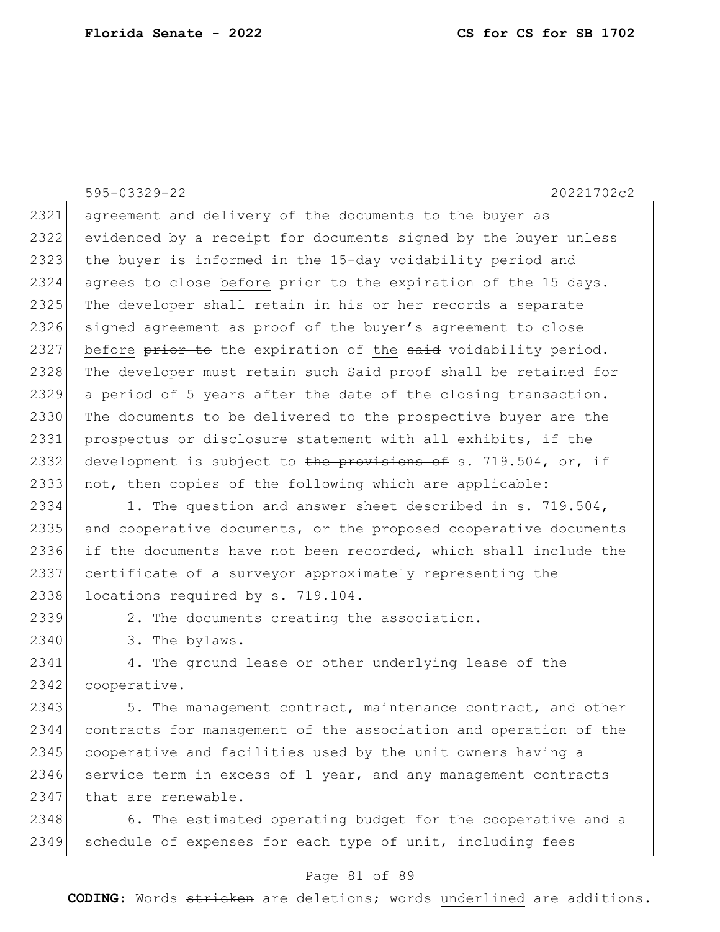595-03329-22 20221702c2 2321 agreement and delivery of the documents to the buyer as 2322 evidenced by a receipt for documents signed by the buyer unless 2323 the buyer is informed in the 15-day voidability period and 2324 agrees to close before  $\frac{p}{p+1}$  be the expiration of the 15 days. 2325 The developer shall retain in his or her records a separate 2326 signed agreement as proof of the buyer's agreement to close 2327 before  $\frac{1}{2}$  before  $\frac{1}{2}$  the expiration of the  $\frac{1}{2}$  voidability period. 2328 The developer must retain such Said proof shall be retained for 2329 a period of 5 years after the date of the closing transaction. 2330 The documents to be delivered to the prospective buyer are the 2331 prospectus or disclosure statement with all exhibits, if the 2332 development is subject to the provisions of s. 719.504, or, if 2333 not, then copies of the following which are applicable: 2334 1. The question and answer sheet described in s. 719.504, 2335 and cooperative documents, or the proposed cooperative documents 2336 if the documents have not been recorded, which shall include the 2337 certificate of a surveyor approximately representing the 2338 locations required by s. 719.104. 2339 2. The documents creating the association. 2340 3. The bylaws. 2341 4. The ground lease or other underlying lease of the 2342 cooperative. 2343 5. The management contract, maintenance contract, and other 2344 contracts for management of the association and operation of the 2345 cooperative and facilities used by the unit owners having a  $2346$  service term in excess of 1 year, and any management contracts 2347 that are renewable.

2348 6. The estimated operating budget for the cooperative and a 2349 schedule of expenses for each type of unit, including fees

### Page 81 of 89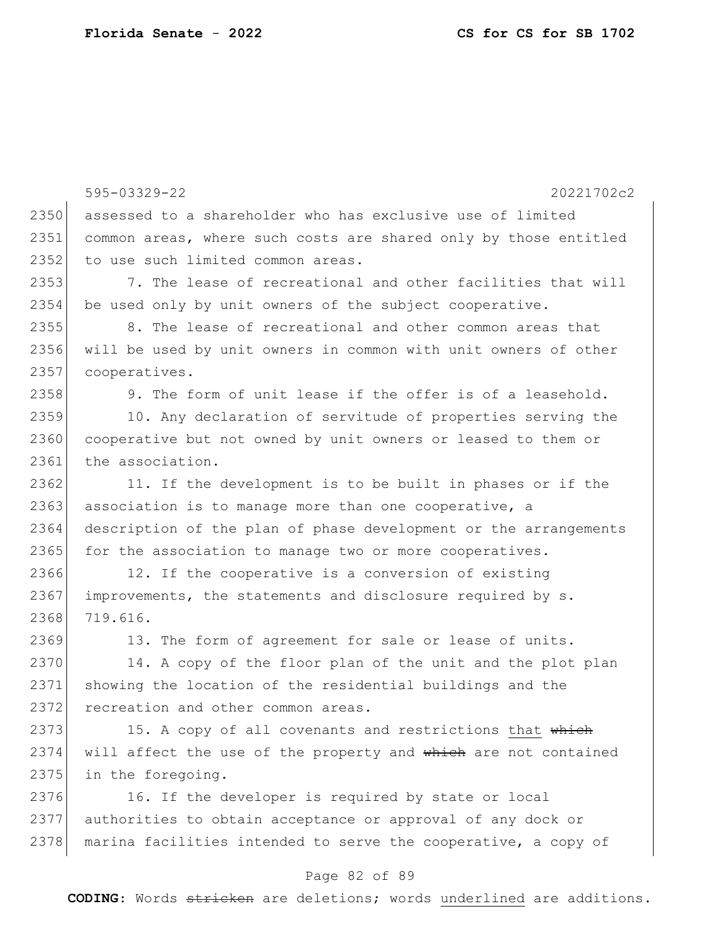595-03329-22 20221702c2 2350 assessed to a shareholder who has exclusive use of limited 2351 common areas, where such costs are shared only by those entitled 2352 to use such limited common areas. 2353 7. The lease of recreational and other facilities that will 2354 be used only by unit owners of the subject cooperative. 2355 8. The lease of recreational and other common areas that 2356 will be used by unit owners in common with unit owners of other 2357 cooperatives. 2358 9. The form of unit lease if the offer is of a leasehold. 2359 10. Any declaration of servitude of properties serving the 2360 cooperative but not owned by unit owners or leased to them or 2361 the association. 2362 11. If the development is to be built in phases or if the  $2363$  association is to manage more than one cooperative, a 2364 description of the plan of phase development or the arrangements 2365 for the association to manage two or more cooperatives. 2366 12. If the cooperative is a conversion of existing  $2367$  improvements, the statements and disclosure required by s. 2368 719.616. 2369 13. The form of agreement for sale or lease of units. 2370 14. A copy of the floor plan of the unit and the plot plan 2371 showing the location of the residential buildings and the 2372 recreation and other common areas. 2373 15. A copy of all covenants and restrictions that which  $2374$  will affect the use of the property and which are not contained 2375 in the foregoing. 2376 16. If the developer is required by state or local 2377 authorities to obtain acceptance or approval of any dock or 2378 marina facilities intended to serve the cooperative, a copy of

#### Page 82 of 89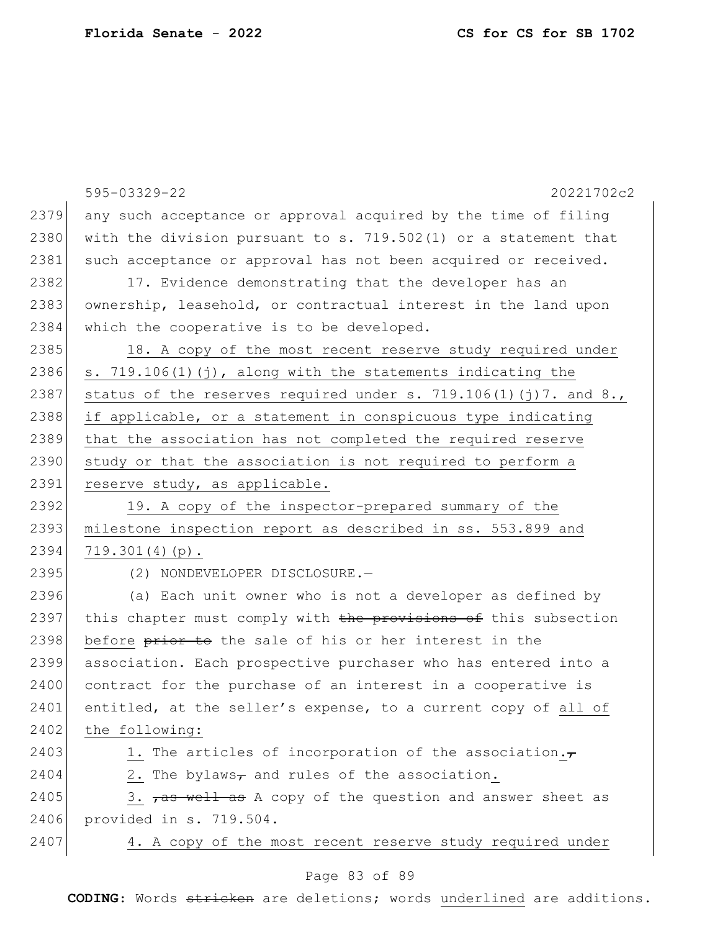|      | $595 - 03329 - 22$<br>20221702c2                                         |
|------|--------------------------------------------------------------------------|
| 2379 | any such acceptance or approval acquired by the time of filing           |
| 2380 | with the division pursuant to s. $719.502(1)$ or a statement that        |
| 2381 | such acceptance or approval has not been acquired or received.           |
| 2382 | 17. Evidence demonstrating that the developer has an                     |
| 2383 | ownership, leasehold, or contractual interest in the land upon           |
| 2384 | which the cooperative is to be developed.                                |
| 2385 | 18. A copy of the most recent reserve study required under               |
| 2386 | s. $719.106(1)(j)$ , along with the statements indicating the            |
| 2387 | status of the reserves required under s. $719.106(1)(j)7$ . and 8.,      |
| 2388 | if applicable, or a statement in conspicuous type indicating             |
| 2389 | that the association has not completed the required reserve              |
| 2390 | study or that the association is not required to perform a               |
| 2391 | reserve study, as applicable.                                            |
| 2392 | 19. A copy of the inspector-prepared summary of the                      |
| 2393 | milestone inspection report as described in ss. 553.899 and              |
| 2394 | $719.301(4)(p)$ .                                                        |
| 2395 | (2) NONDEVELOPER DISCLOSURE.-                                            |
| 2396 | (a) Each unit owner who is not a developer as defined by                 |
| 2397 | this chapter must comply with the provisions of this subsection          |
| 2398 | before prior to the sale of his or her interest in the                   |
| 2399 | association. Each prospective purchaser who has entered into a           |
| 2400 | contract for the purchase of an interest in a cooperative is             |
| 2401 | entitled, at the seller's expense, to a current copy of all of           |
| 2402 | the following:                                                           |
| 2403 | 1. The articles of incorporation of the association. $\tau$              |
| 2404 | 2. The bylaws <sub><math>\tau</math></sub> and rules of the association. |
| 2405 | 3. Tas well as A copy of the question and answer sheet as                |
| 2406 | provided in s. 719.504.                                                  |
| 2407 | 4. A copy of the most recent reserve study required under                |

# Page 83 of 89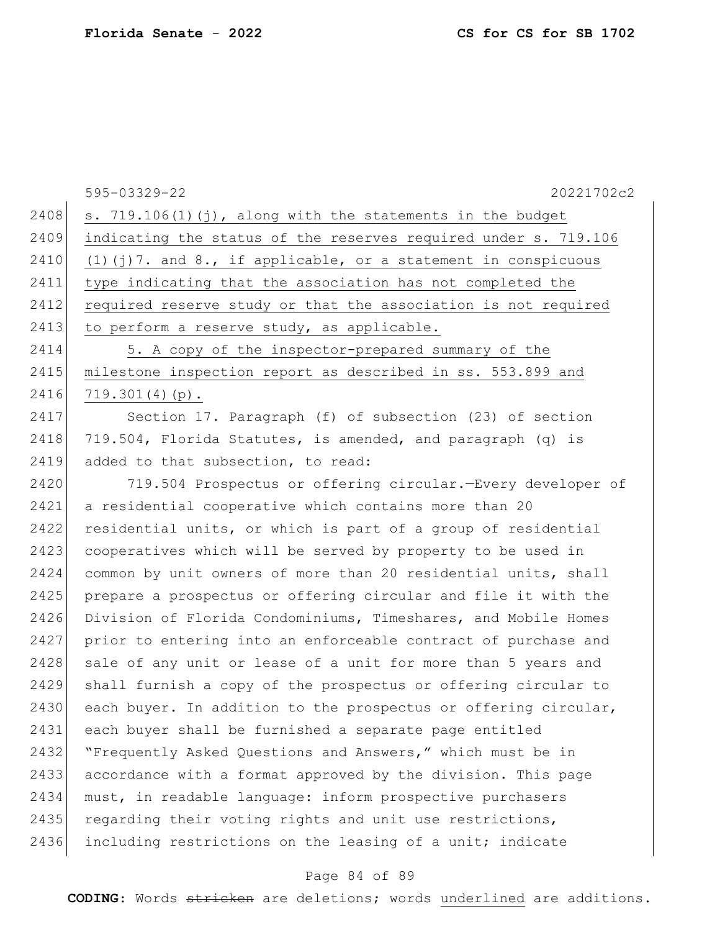|      | 595-03329-22<br>20221702c2                                        |
|------|-------------------------------------------------------------------|
| 2408 | s. $719.106(1)(j)$ , along with the statements in the budget      |
| 2409 | indicating the status of the reserves required under s. 719.106   |
| 2410 | $(1)$ (j) 7. and 8., if applicable, or a statement in conspicuous |
| 2411 | type indicating that the association has not completed the        |
| 2412 | required reserve study or that the association is not required    |
| 2413 | to perform a reserve study, as applicable.                        |
| 2414 | 5. A copy of the inspector-prepared summary of the                |
| 2415 | milestone inspection report as described in ss. 553.899 and       |
| 2416 | $719.301(4)(p)$ .                                                 |
| 2417 | Section 17. Paragraph (f) of subsection (23) of section           |
| 2418 | 719.504, Florida Statutes, is amended, and paragraph (q) is       |
| 2419 | added to that subsection, to read:                                |
| 2420 | 719.504 Prospectus or offering circular. - Every developer of     |
| 2421 | a residential cooperative which contains more than 20             |
| 2422 | residential units, or which is part of a group of residential     |
| 2423 | cooperatives which will be served by property to be used in       |
| 2424 | common by unit owners of more than 20 residential units, shall    |
| 2425 | prepare a prospectus or offering circular and file it with the    |
| 2426 | Division of Florida Condominiums, Timeshares, and Mobile Homes    |
| 2427 | prior to entering into an enforceable contract of purchase and    |
| 2428 | sale of any unit or lease of a unit for more than 5 years and     |
| 2429 | shall furnish a copy of the prospectus or offering circular to    |
| 2430 | each buyer. In addition to the prospectus or offering circular,   |
| 2431 | each buyer shall be furnished a separate page entitled            |
| 2432 | "Frequently Asked Questions and Answers," which must be in        |
| 2433 | accordance with a format approved by the division. This page      |
| 2434 | must, in readable language: inform prospective purchasers         |
| 2435 | regarding their voting rights and unit use restrictions,          |
| 2436 | including restrictions on the leasing of a unit; indicate         |

# Page 84 of 89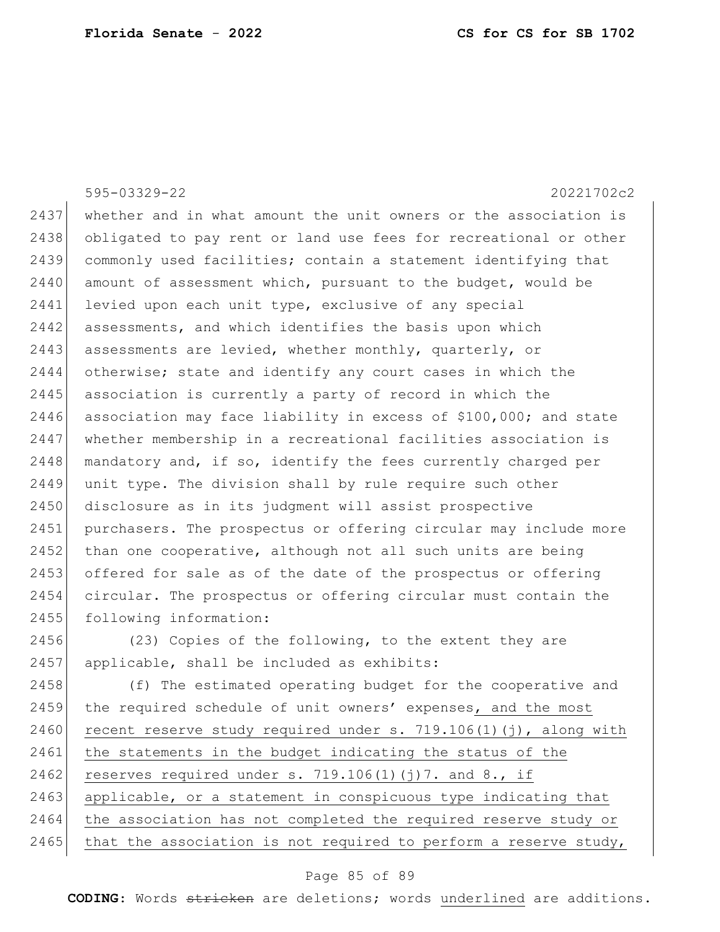595-03329-22 20221702c2 2437 whether and in what amount the unit owners or the association is 2438 obligated to pay rent or land use fees for recreational or other 2439 commonly used facilities; contain a statement identifying that 2440 amount of assessment which, pursuant to the budget, would be 2441 levied upon each unit type, exclusive of any special 2442 assessments, and which identifies the basis upon which 2443 assessments are levied, whether monthly, quarterly, or 2444 otherwise; state and identify any court cases in which the 2445 association is currently a party of record in which the 2446 association may face liability in excess of \$100,000; and state 2447 whether membership in a recreational facilities association is  $2448$  mandatory and, if so, identify the fees currently charged per 2449 unit type. The division shall by rule require such other 2450 disclosure as in its judgment will assist prospective 2451 purchasers. The prospectus or offering circular may include more  $2452$  than one cooperative, although not all such units are being 2453 offered for sale as of the date of the prospectus or offering 2454 circular. The prospectus or offering circular must contain the 2455 following information: 2456 (23) Copies of the following, to the extent they are  $2457$  applicable, shall be included as exhibits: 2458 (f) The estimated operating budget for the cooperative and 2459 the required schedule of unit owners' expenses, and the most

2460 recent reserve study required under s. 719.106(1)(j), along with 2461 the statements in the budget indicating the status of the 2462 reserves required under s.  $719.106(1)(j)7$ . and 8., if 2463 applicable, or a statement in conspicuous type indicating that 2464 the association has not completed the required reserve study or

2465 that the association is not required to perform a reserve study,

#### Page 85 of 89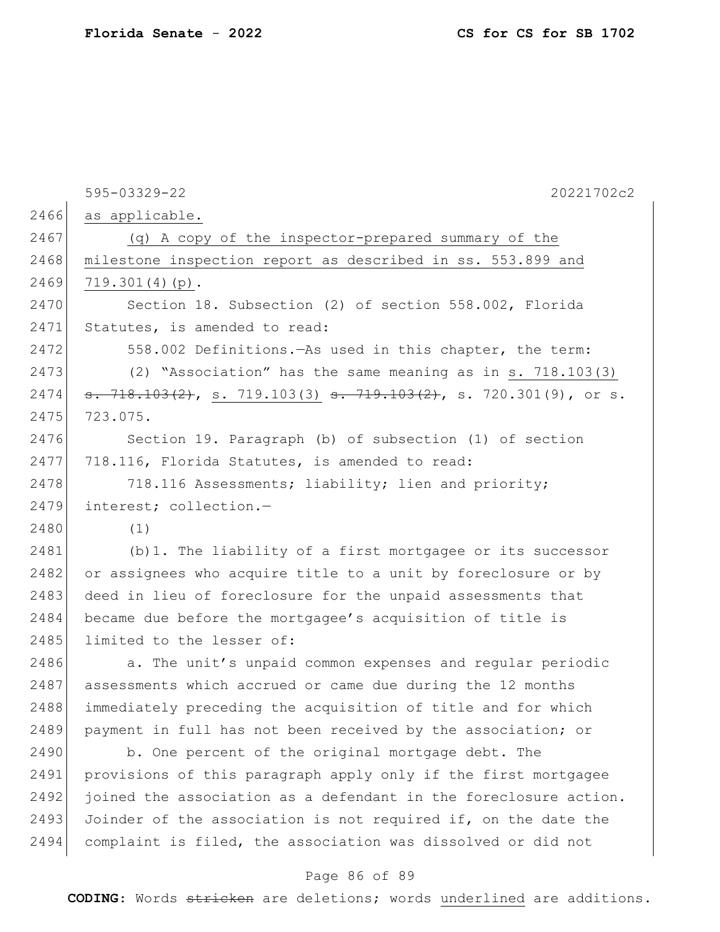|      | 595-03329-22<br>20221702c2                                                                |
|------|-------------------------------------------------------------------------------------------|
| 2466 | as applicable.                                                                            |
| 2467 | (q) A copy of the inspector-prepared summary of the                                       |
| 2468 | milestone inspection report as described in ss. 553.899 and                               |
| 2469 | $719.301(4)(p)$ .                                                                         |
| 2470 | Section 18. Subsection (2) of section 558.002, Florida                                    |
| 2471 | Statutes, is amended to read:                                                             |
| 2472 | 558.002 Definitions. - As used in this chapter, the term:                                 |
| 2473 | (2) "Association" has the same meaning as in s. 718.103(3)                                |
| 2474 | $\frac{1}{3}$ . 718.103(2), s. 719.103(3) <del>s. 719.103(2)</del> , s. 720.301(9), or s. |
| 2475 | 723.075.                                                                                  |
| 2476 | Section 19. Paragraph (b) of subsection (1) of section                                    |
| 2477 | 718.116, Florida Statutes, is amended to read:                                            |
| 2478 | 718.116 Assessments; liability; lien and priority;                                        |
| 2479 | interest; collection.-                                                                    |
| 2480 | (1)                                                                                       |
| 2481 | (b) 1. The liability of a first mortgagee or its successor                                |
| 2482 | or assignees who acquire title to a unit by foreclosure or by                             |
| 2483 | deed in lieu of foreclosure for the unpaid assessments that                               |
| 2484 | became due before the mortgagee's acquisition of title is                                 |
| 2485 | limited to the lesser of:                                                                 |
| 2486 | a. The unit's unpaid common expenses and regular periodic                                 |
| 2487 | assessments which accrued or came due during the 12 months                                |
| 2488 | immediately preceding the acquisition of title and for which                              |
| 2489 | payment in full has not been received by the association; or                              |
| 2490 | b. One percent of the original mortgage debt. The                                         |
| 2491 | provisions of this paragraph apply only if the first mortgagee                            |
| 2492 | joined the association as a defendant in the foreclosure action.                          |
| 2493 | Joinder of the association is not required if, on the date the                            |
| 2494 | complaint is filed, the association was dissolved or did not                              |

# Page 86 of 89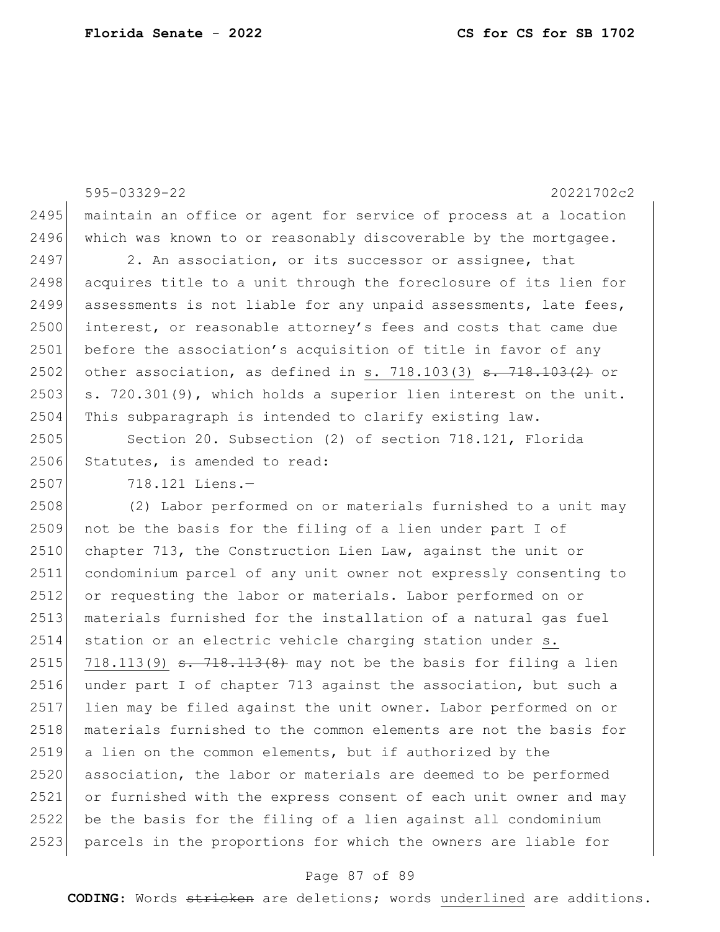595-03329-22 20221702c2 2495 maintain an office or agent for service of process at a location 2496 which was known to or reasonably discoverable by the mortgagee. 2497 2. An association, or its successor or assignee, that 2498 acquires title to a unit through the foreclosure of its lien for  $2499$  assessments is not liable for any unpaid assessments, late fees, 2500 interest, or reasonable attorney's fees and costs that came due 2501 before the association's acquisition of title in favor of any 2502 other association, as defined in s. 718.103(3)  $\frac{1}{3}$ . 718.103(2) or  $2503$  s. 720.301(9), which holds a superior lien interest on the unit. 2504 This subparagraph is intended to clarify existing law. 2505 Section 20. Subsection (2) of section 718.121, Florida 2506 Statutes, is amended to read:

2507 718.121 Liens.—

 (2) Labor performed on or materials furnished to a unit may not be the basis for the filing of a lien under part I of chapter 713, the Construction Lien Law, against the unit or condominium parcel of any unit owner not expressly consenting to or requesting the labor or materials. Labor performed on or materials furnished for the installation of a natural gas fuel 2514 station or an electric vehicle charging station under s. 2515 718.113(9)  $\frac{1}{13}$ . 718.113(8) may not be the basis for filing a lien under part I of chapter 713 against the association, but such a 2517 lien may be filed against the unit owner. Labor performed on or 2518 materials furnished to the common elements are not the basis for a lien on the common elements, but if authorized by the association, the labor or materials are deemed to be performed or furnished with the express consent of each unit owner and may be the basis for the filing of a lien against all condominium parcels in the proportions for which the owners are liable for

### Page 87 of 89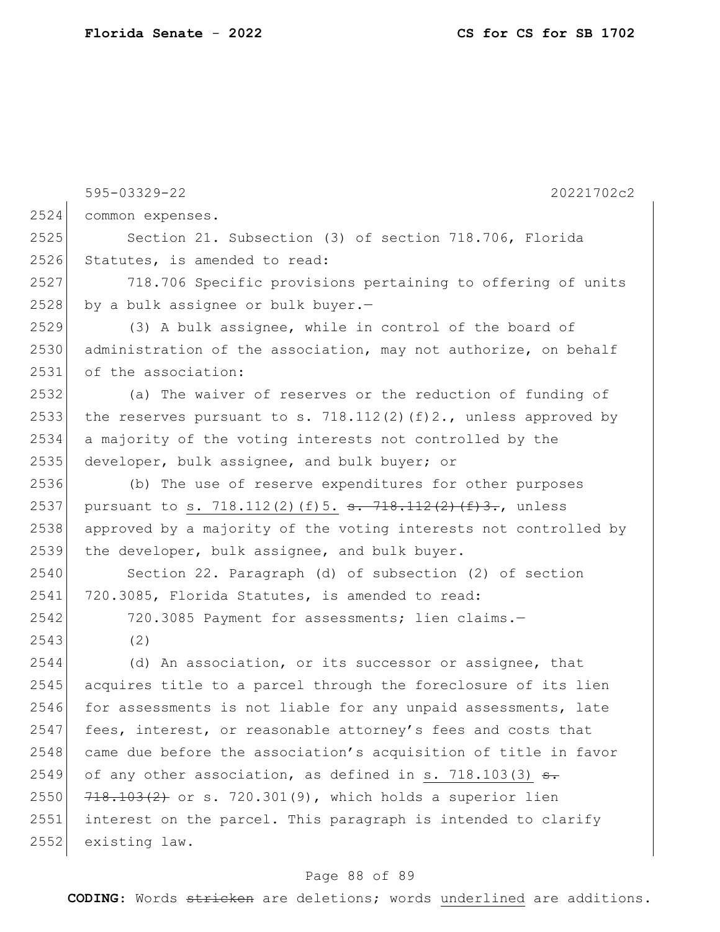595-03329-22 20221702c2 common expenses. Section 21. Subsection (3) of section 718.706, Florida 2526 Statutes, is amended to read: 718.706 Specific provisions pertaining to offering of units by a bulk assignee or bulk buyer.- (3) A bulk assignee, while in control of the board of 2530 administration of the association, may not authorize, on behalf 2531 of the association: (a) The waiver of reserves or the reduction of funding of 2533 the reserves pursuant to s. 718.112(2)(f)2., unless approved by a majority of the voting interests not controlled by the developer, bulk assignee, and bulk buyer; or (b) The use of reserve expenditures for other purposes 2537 pursuant to s. 718.112(2)(f)5. <del>s. 718.112(2)(f)3.</del>, unless approved by a majority of the voting interests not controlled by 2539 the developer, bulk assignee, and bulk buyer. 2540 Section 22. Paragraph (d) of subsection (2) of section 720.3085, Florida Statutes, is amended to read: 720.3085 Payment for assessments; lien claims.— (2) (d) An association, or its successor or assignee, that acquires title to a parcel through the foreclosure of its lien for assessments is not liable for any unpaid assessments, late fees, interest, or reasonable attorney's fees and costs that 2548 came due before the association's acquisition of title in favor 2549 of any other association, as defined in s. 718.103(3)  $s$ .  $718.103(2)$  or s. 720.301(9), which holds a superior lien interest on the parcel. This paragraph is intended to clarify existing law.

### Page 88 of 89